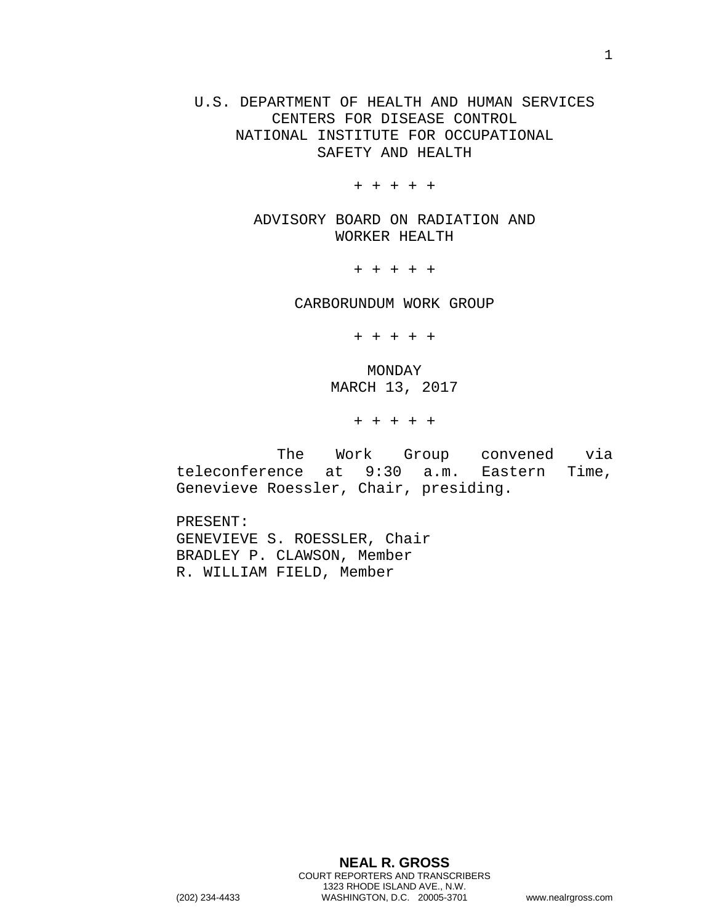U.S. DEPARTMENT OF HEALTH AND HUMAN SERVICES CENTERS FOR DISEASE CONTROL NATIONAL INSTITUTE FOR OCCUPATIONAL SAFETY AND HEALTH

+ + + + +

ADVISORY BOARD ON RADIATION AND WORKER HEALTH

+ + + + +

CARBORUNDUM WORK GROUP

+ + + + +

MONDAY MARCH 13, 2017

+ + + + +

The Work Group convened via teleconference at 9:30 a.m. Eastern Time, Genevieve Roessler, Chair, presiding.

PRESENT: GENEVIEVE S. ROESSLER, Chair BRADLEY P. CLAWSON, Member R. WILLIAM FIELD, Member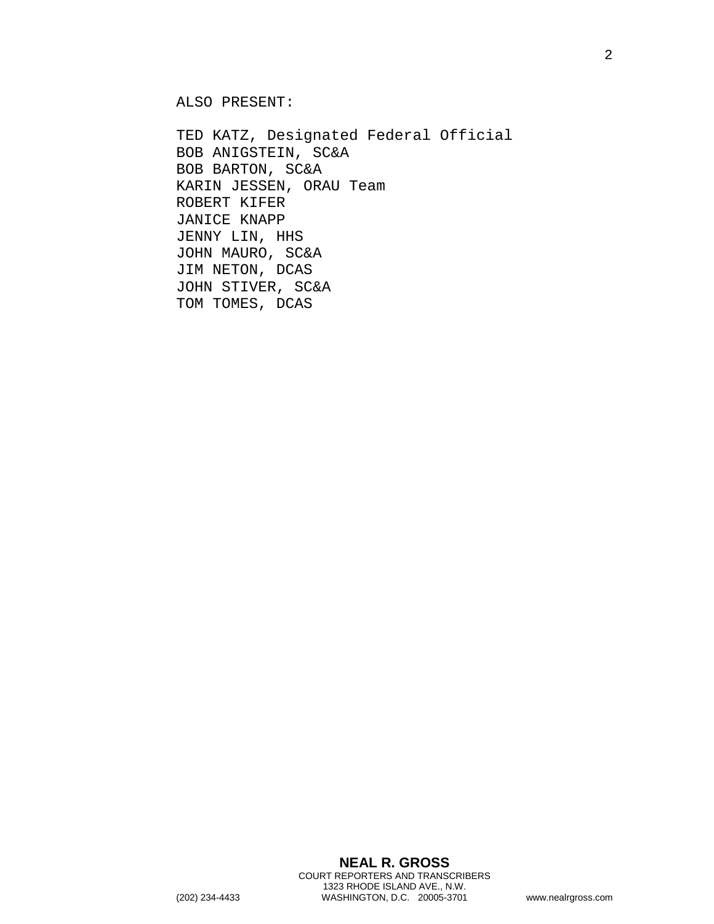ALSO PRESENT:

TED KATZ, Designated Federal Official BOB ANIGSTEIN, SC&A BOB BARTON, SC&A KARIN JESSEN, ORAU Team ROBERT KIFER JANICE KNAPP JENNY LIN, HHS JOHN MAURO, SC&A JIM NETON, DCAS JOHN STIVER, SC&A TOM TOMES, DCAS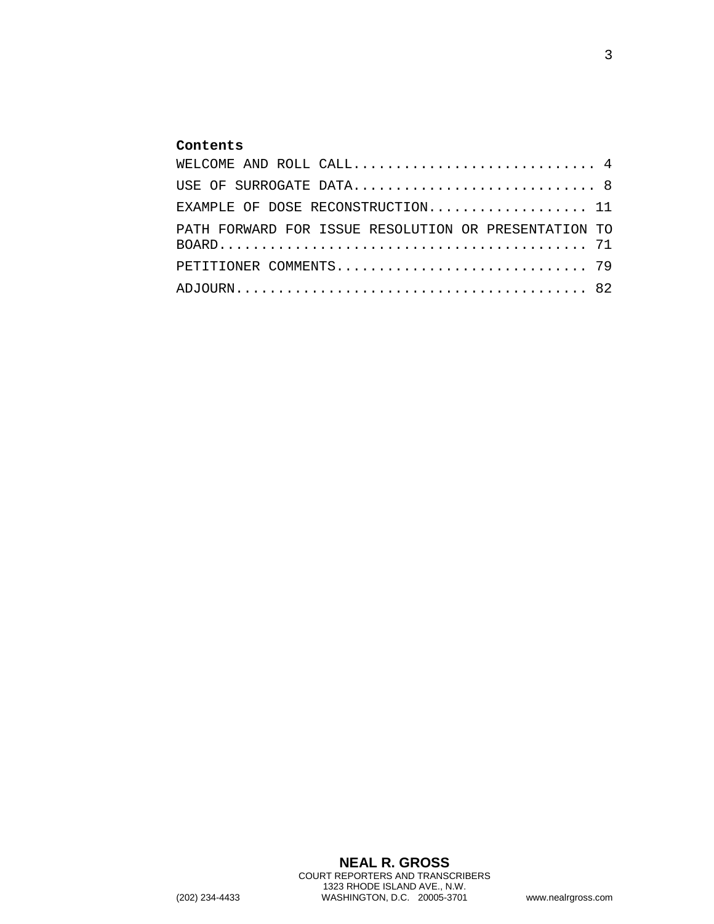## **Contents**

| WELCOME AND ROLL $CALL. 4$                           |
|------------------------------------------------------|
| USE OF SURROGATE DATA 8                              |
| EXAMPLE OF DOSE RECONSTRUCTION 11                    |
| PATH FORWARD FOR ISSUE RESOLUTION OR PRESENTATION TO |
| PETITIONER COMMENTS 79                               |
|                                                      |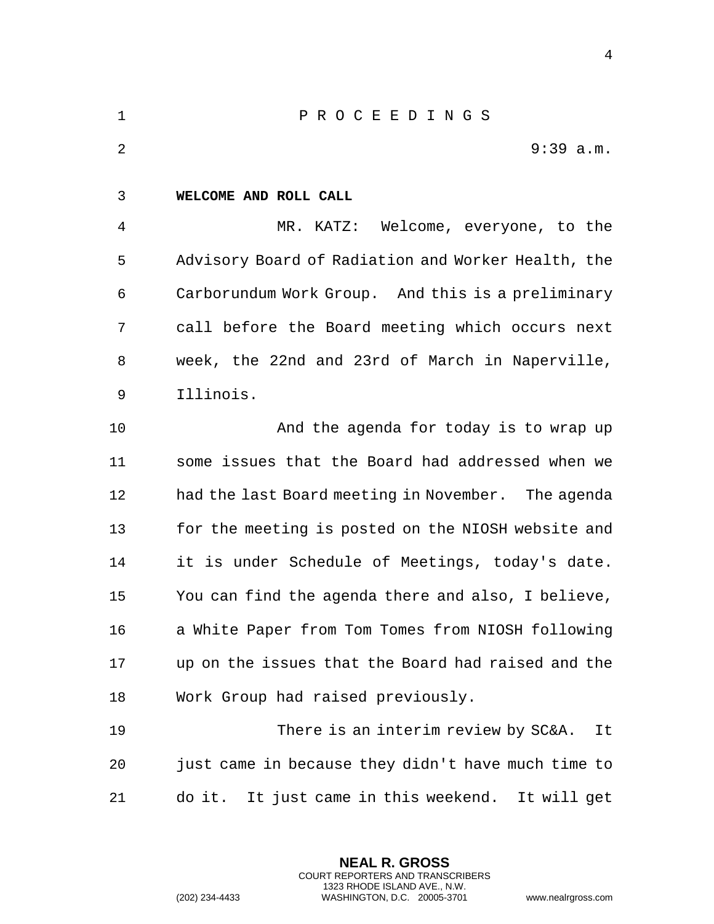<span id="page-3-0"></span>

| $\mathbf{1}$ | PROCEEDINGS                                         |
|--------------|-----------------------------------------------------|
| 2            | $9:39$ a.m.                                         |
| 3            | WELCOME AND ROLL CALL                               |
| 4            | Welcome, everyone, to the<br>MR. KATZ:              |
| 5            | Advisory Board of Radiation and Worker Health, the  |
| 6            | Carborundum Work Group. And this is a preliminary   |
| 7            | call before the Board meeting which occurs next     |
| 8            | week, the 22nd and 23rd of March in Naperville,     |
| 9            | Illinois.                                           |
| 10           | And the agenda for today is to wrap up              |
| 11           | some issues that the Board had addressed when we    |
| 12           | had the last Board meeting in November. The agenda  |
| 13           | for the meeting is posted on the NIOSH website and  |
| 14           | it is under Schedule of Meetings, today's date.     |
| 15           | You can find the agenda there and also, I believe,  |
| 16           | a White Paper from Tom Tomes from NIOSH following   |
| 17           | up on the issues that the Board had raised and the  |
| 18           | Work Group had raised previously.                   |
| 19           | There is an interim review by SC&A.<br>It           |
| 20           | just came in because they didn't have much time to  |
| 21           | It just came in this weekend. It will get<br>do it. |
|              |                                                     |

**NEAL R. GROSS** COURT REPORTERS AND TRANSCRIBERS 1323 RHODE ISLAND AVE., N.W.

(202) 234-4433 WASHINGTON, D.C. 20005-3701 www.nealrgross.com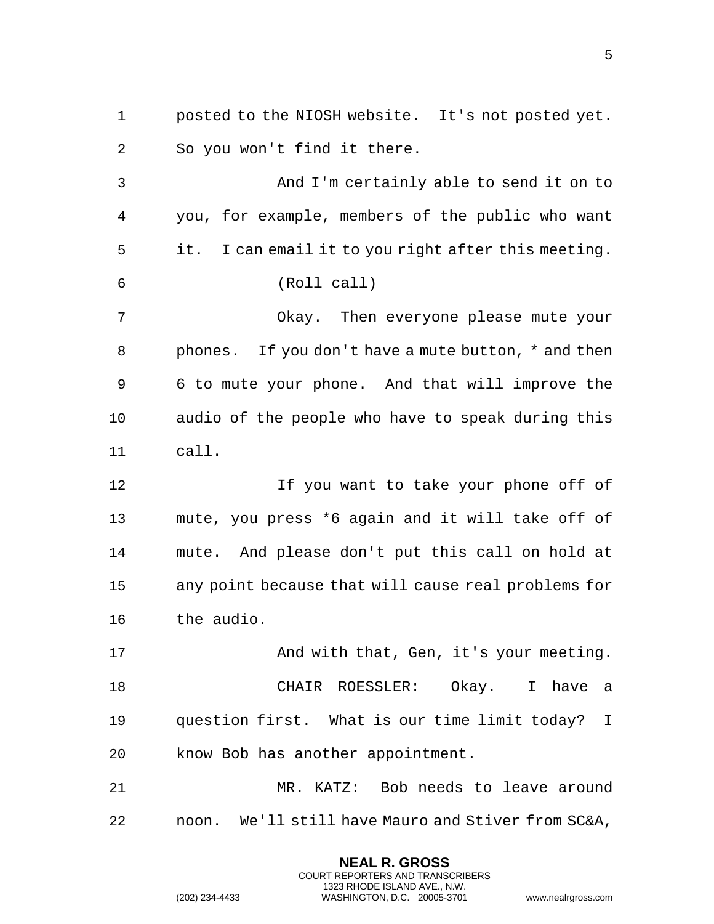1 posted to the NIOSH website. It's not posted yet. 2 So you won't find it there. 3 And I'm certainly able to send it on to 4 you, for example, members of the public who want 5 it. I can email it to you right after this meeting. 6 (Roll call) 7 Okay. Then everyone please mute your 8 phones. If you don't have a mute button, \* and then 9 6 to mute your phone. And that will improve the 10 audio of the people who have to speak during this 11 call. 12 If you want to take your phone off of 13 mute, you press \*6 again and it will take off of 14 mute. And please don't put this call on hold at 15 any point because that will cause real problems for 16 the audio. 17 And with that, Gen, it's your meeting. 18 CHAIR ROESSLER: Okay. I have a 19 question first. What is our time limit today? I 20 know Bob has another appointment. 21 MR. KATZ: Bob needs to leave around 22 noon. We'll still have Mauro and Stiver from SC&A,

> **NEAL R. GROSS** COURT REPORTERS AND TRANSCRIBERS 1323 RHODE ISLAND AVE., N.W.

(202) 234-4433 WASHINGTON, D.C. 20005-3701 www.nealrgross.com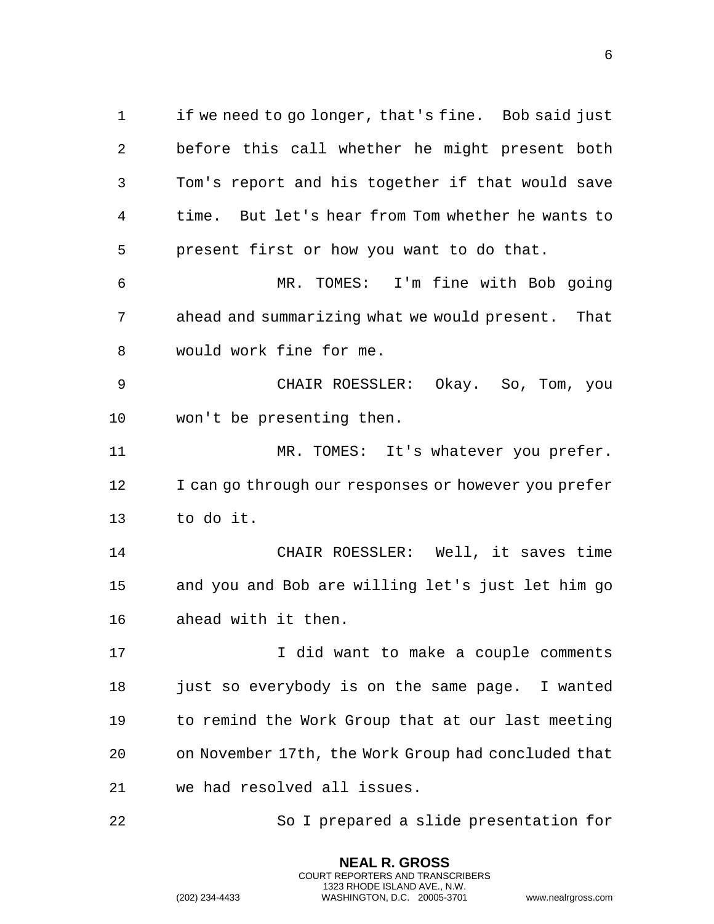1 if we need to go longer, that's fine. Bob said just 2 before this call whether he might present both 3 Tom's report and his together if that would save 4 time. But let's hear from Tom whether he wants to 5 present first or how you want to do that.

6 MR. TOMES: I'm fine with Bob going 7 ahead and summarizing what we would present. That 8 would work fine for me.

9 CHAIR ROESSLER: Okay. So, Tom, you 10 won't be presenting then.

11 MR. TOMES: It's whatever you prefer. 12 I can go through our responses or however you prefer 13 to do it.

14 CHAIR ROESSLER: Well, it saves time 15 and you and Bob are willing let's just let him go 16 ahead with it then.

17 17 I did want to make a couple comments 18 just so everybody is on the same page. I wanted 19 to remind the Work Group that at our last meeting 20 on November 17th, the Work Group had concluded that 21 we had resolved all issues.

22 So I prepared a slide presentation for

**NEAL R. GROSS** COURT REPORTERS AND TRANSCRIBERS 1323 RHODE ISLAND AVE., N.W.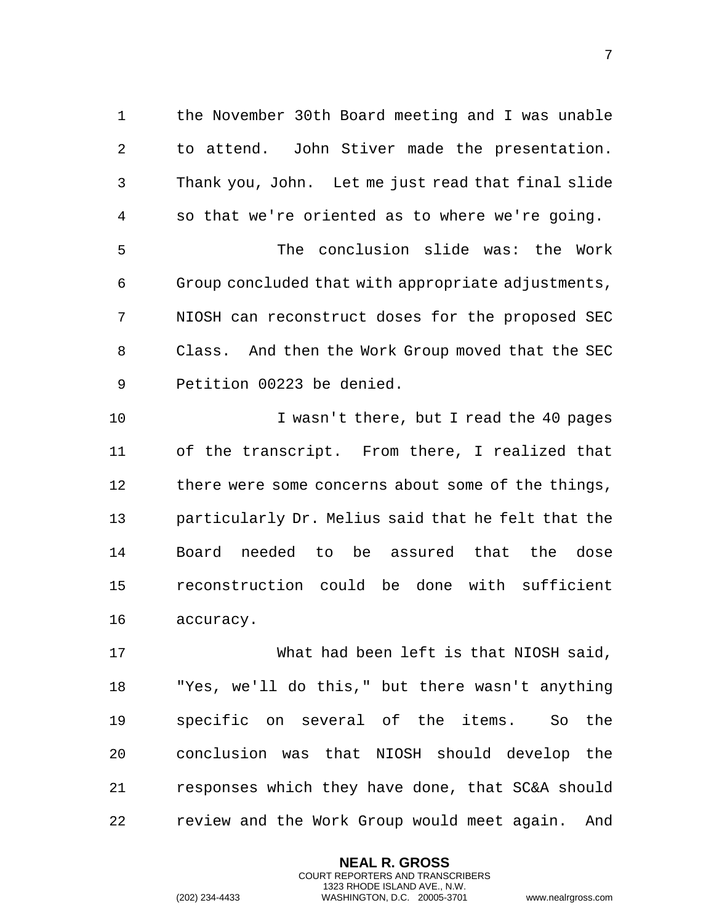1 the November 30th Board meeting and I was unable 2 to attend. John Stiver made the presentation. 3 Thank you, John. Let me just read that final slide 4 so that we're oriented as to where we're going. 5 The conclusion slide was: the Work 6 Group concluded that with appropriate adjustments, 7 NIOSH can reconstruct doses for the proposed SEC 8 Class. And then the Work Group moved that the SEC 9 Petition 00223 be denied.

10 I wasn't there, but I read the 40 pages 11 of the transcript. From there, I realized that 12 there were some concerns about some of the things, 13 particularly Dr. Melius said that he felt that the 14 Board needed to be assured that the dose 15 reconstruction could be done with sufficient 16 accuracy.

17 What had been left is that NIOSH said, 18 "Yes, we'll do this," but there wasn't anything 19 specific on several of the items. So the 20 conclusion was that NIOSH should develop the 21 responses which they have done, that SC&A should 22 review and the Work Group would meet again. And

> **NEAL R. GROSS** COURT REPORTERS AND TRANSCRIBERS 1323 RHODE ISLAND AVE., N.W.

(202) 234-4433 WASHINGTON, D.C. 20005-3701 www.nealrgross.com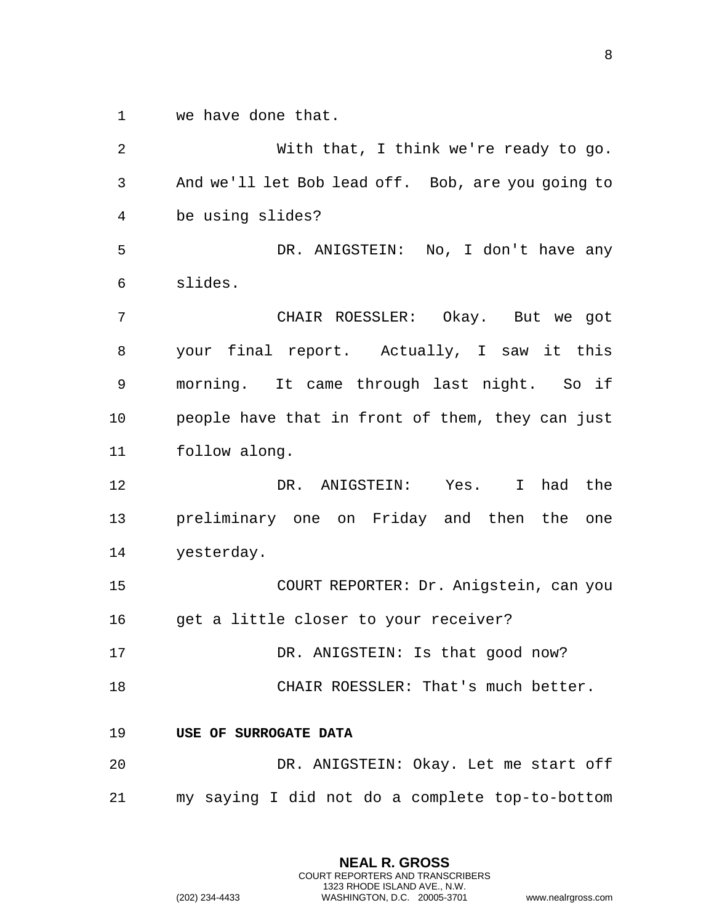1 we have done that.

2 With that, I think we're ready to go. 3 And we'll let Bob lead off. Bob, are you going to 4 be using slides? 5 DR. ANIGSTEIN: No, I don't have any 6 slides. 7 CHAIR ROESSLER: Okay. But we got 8 your final report. Actually, I saw it this 9 morning. It came through last night. So if 10 people have that in front of them, they can just 11 follow along. 12 DR. ANIGSTEIN: Yes. I had the 13 preliminary one on Friday and then the one 14 yesterday. 15 COURT REPORTER: Dr. Anigstein, can you 16 get a little closer to your receiver? 17 DR. ANIGSTEIN: Is that good now? 18 CHAIR ROESSLER: That's much better. 19 **USE OF SURROGATE DATA**  20 DR. ANIGSTEIN: Okay. Let me start off 21 my saying I did not do a complete top-to-bottom

> <span id="page-7-0"></span>**NEAL R. GROSS** COURT REPORTERS AND TRANSCRIBERS 1323 RHODE ISLAND AVE., N.W. (202) 234-4433 WASHINGTON, D.C. 20005-3701 www.nealrgross.com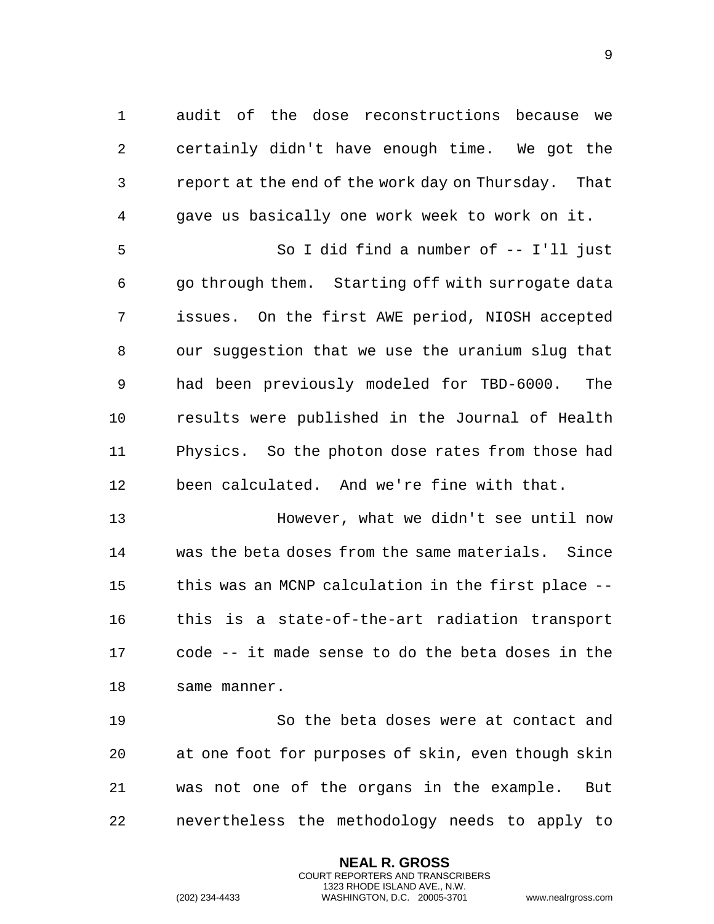1 audit of the dose reconstructions because we 2 certainly didn't have enough time. We got the 3 report at the end of the work day on Thursday. That 4 gave us basically one work week to work on it. 5 So I did find a number of -- I'll just

6 go through them. Starting off with surrogate data 7 issues. On the first AWE period, NIOSH accepted 8 our suggestion that we use the uranium slug that 9 had been previously modeled for TBD-6000. The 10 results were published in the Journal of Health 11 Physics. So the photon dose rates from those had 12 been calculated. And we're fine with that.

13 However, what we didn't see until now 14 was the beta doses from the same materials. Since 15 this was an MCNP calculation in the first place -- 16 this is a state-of-the-art radiation transport 17 code -- it made sense to do the beta doses in the 18 same manner.

19 So the beta doses were at contact and 20 at one foot for purposes of skin, even though skin 21 was not one of the organs in the example. But 22 nevertheless the methodology needs to apply to

> **NEAL R. GROSS** COURT REPORTERS AND TRANSCRIBERS 1323 RHODE ISLAND AVE., N.W.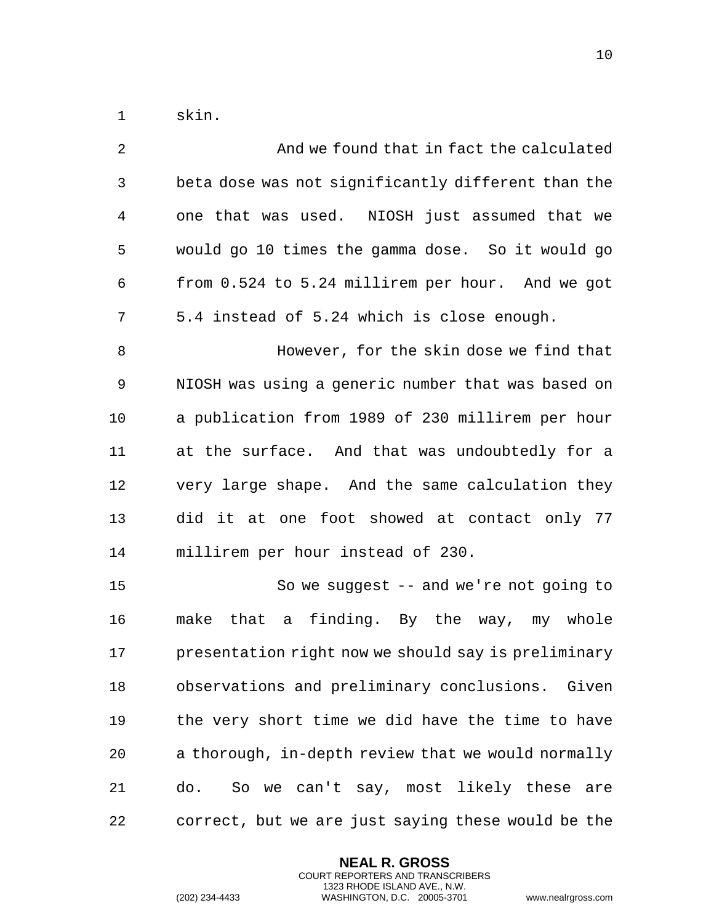1 skin.

| 2              | And we found that in fact the calculated            |
|----------------|-----------------------------------------------------|
| $\mathfrak{Z}$ | beta dose was not significantly different than the  |
| 4              | one that was used. NIOSH just assumed that we       |
| 5              | would go 10 times the gamma dose. So it would go    |
| 6              | from 0.524 to 5.24 millirem per hour. And we got    |
| 7              | 5.4 instead of 5.24 which is close enough.          |
| 8              | However, for the skin dose we find that             |
| 9              | NIOSH was using a generic number that was based on  |
| 10             | a publication from 1989 of 230 millirem per hour    |
| 11             | at the surface. And that was undoubtedly for a      |
| 12             | very large shape. And the same calculation they     |
| 13             | did it at one foot showed at contact only 77        |
| 14             | millirem per hour instead of 230.                   |
| 15             | So we suggest $-$ and we're not going to            |
| 16             | that a finding. By the way, my whole<br>make        |
| 17             | presentation right now we should say is preliminary |
| 18             | observations and preliminary conclusions. Given     |
| 19             | the very short time we did have the time to have    |
| 20             | a thorough, in-depth review that we would normally  |
| 21             | So we can't say, most likely these<br>do.<br>are    |
| 22             | correct, but we are just saying these would be the  |

**NEAL R. GROSS** COURT REPORTERS AND TRANSCRIBERS 1323 RHODE ISLAND AVE., N.W.

(202) 234-4433 WASHINGTON, D.C. 20005-3701 www.nealrgross.com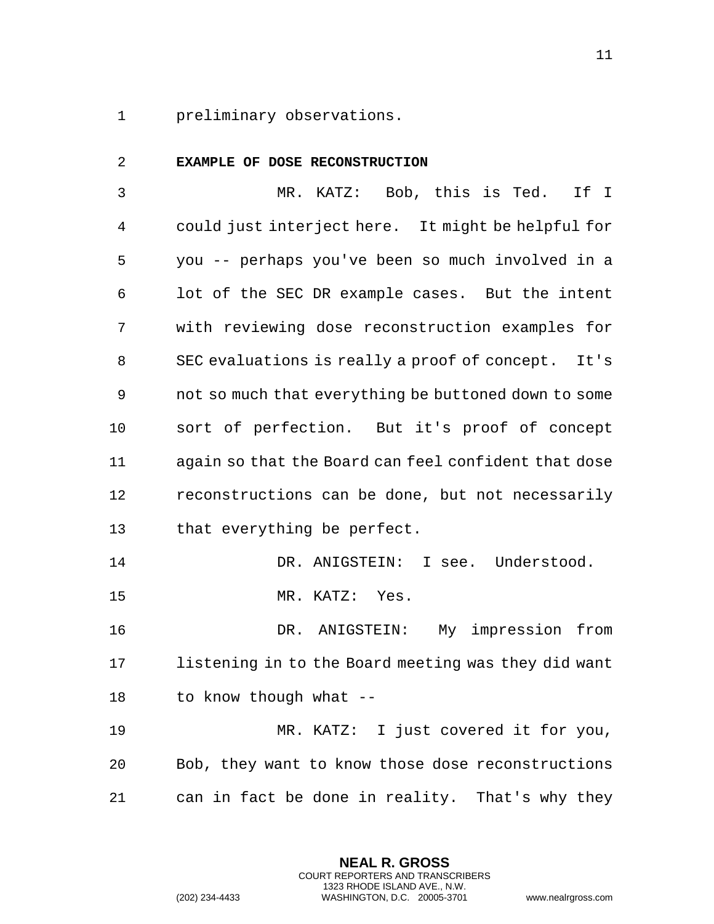<span id="page-10-0"></span>preliminary observations.

| 2  | EXAMPLE OF DOSE RECONSTRUCTION                       |
|----|------------------------------------------------------|
| 3  | MR. KATZ: Bob, this is Ted.<br>If I                  |
| 4  | could just interject here. It might be helpful for   |
| 5  | you -- perhaps you've been so much involved in a     |
| 6  | lot of the SEC DR example cases. But the intent      |
| 7  | with reviewing dose reconstruction examples for      |
| 8  | SEC evaluations is really a proof of concept. It's   |
| 9  | not so much that everything be buttoned down to some |
| 10 | sort of perfection. But it's proof of concept        |
| 11 | again so that the Board can feel confident that dose |
| 12 | reconstructions can be done, but not necessarily     |
| 13 | that everything be perfect.                          |
| 14 | DR. ANIGSTEIN: I see. Understood.                    |
| 15 | MR. KATZ: Yes.                                       |
| 16 | My impression from<br>DR. ANIGSTEIN:                 |
| 17 | listening in to the Board meeting was they did want  |
| 18 | to know though what --                               |
| 19 | MR. KATZ: I just covered it for you,                 |
| 20 | Bob, they want to know those dose reconstructions    |
| 21 | can in fact be done in reality. That's why they      |

**NEAL R. GROSS** COURT REPORTERS AND TRANSCRIBERS 1323 RHODE ISLAND AVE., N.W.

(202) 234-4433 WASHINGTON, D.C. 20005-3701 www.nealrgross.com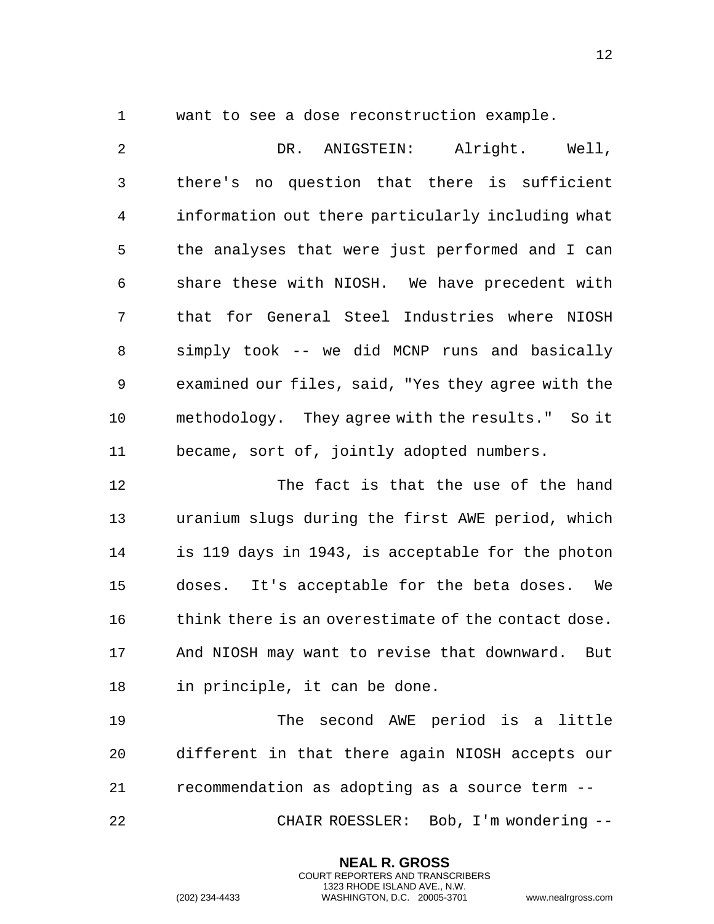want to see a dose reconstruction example.

 DR. ANIGSTEIN: Alright. Well, there's no question that there is sufficient information out there particularly including what the analyses that were just performed and I can share these with NIOSH. We have precedent with that for General Steel Industries where NIOSH simply took -- we did MCNP runs and basically examined our files, said, "Yes they agree with the methodology. They agree with the results." So it became, sort of, jointly adopted numbers.

 The fact is that the use of the hand uranium slugs during the first AWE period, which is 119 days in 1943, is acceptable for the photon doses. It's acceptable for the beta doses. We think there is an overestimate of the contact dose. And NIOSH may want to revise that downward. But in principle, it can be done.

 The second AWE period is a little different in that there again NIOSH accepts our recommendation as adopting as a source term --

CHAIR ROESSLER: Bob, I'm wondering --

**NEAL R. GROSS** COURT REPORTERS AND TRANSCRIBERS 1323 RHODE ISLAND AVE., N.W.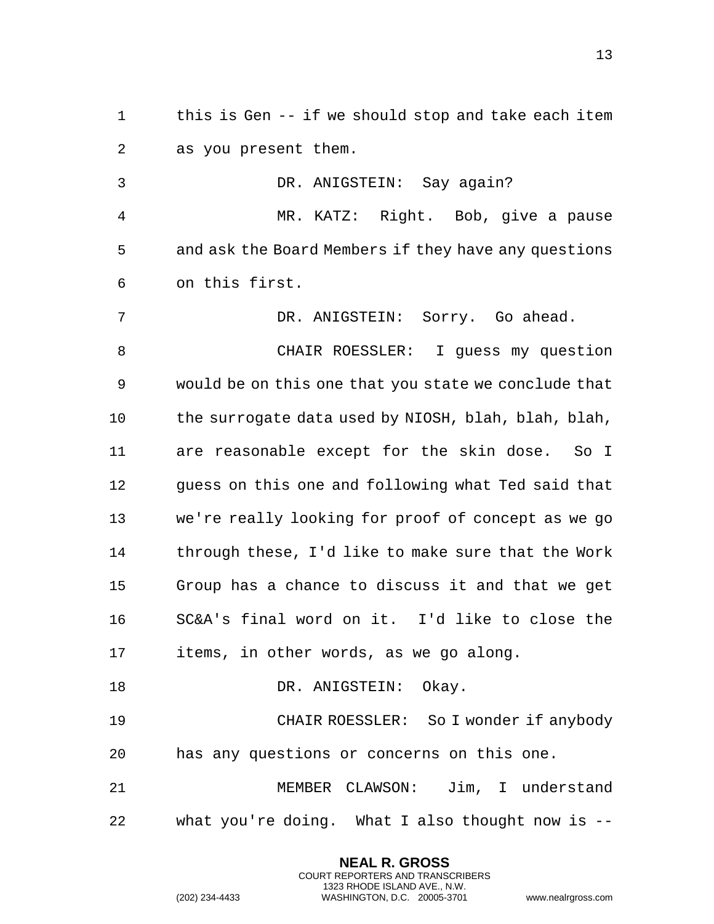this is Gen -- if we should stop and take each item as you present them.

 DR. ANIGSTEIN: Say again? MR. KATZ: Right. Bob, give a pause and ask the Board Members if they have any questions on this first. DR. ANIGSTEIN: Sorry. Go ahead. CHAIR ROESSLER: I guess my question would be on this one that you state we conclude that the surrogate data used by NIOSH, blah, blah, blah, are reasonable except for the skin dose. So I guess on this one and following what Ted said that we're really looking for proof of concept as we go through these, I'd like to make sure that the Work Group has a chance to discuss it and that we get SC&A's final word on it. I'd like to close the items, in other words, as we go along. 18 DR. ANIGSTEIN: Okay. CHAIR ROESSLER: So I wonder if anybody has any questions or concerns on this one.

 MEMBER CLAWSON: Jim, I understand what you're doing. What I also thought now is --

> **NEAL R. GROSS** COURT REPORTERS AND TRANSCRIBERS 1323 RHODE ISLAND AVE., N.W.

(202) 234-4433 WASHINGTON, D.C. 20005-3701 www.nealrgross.com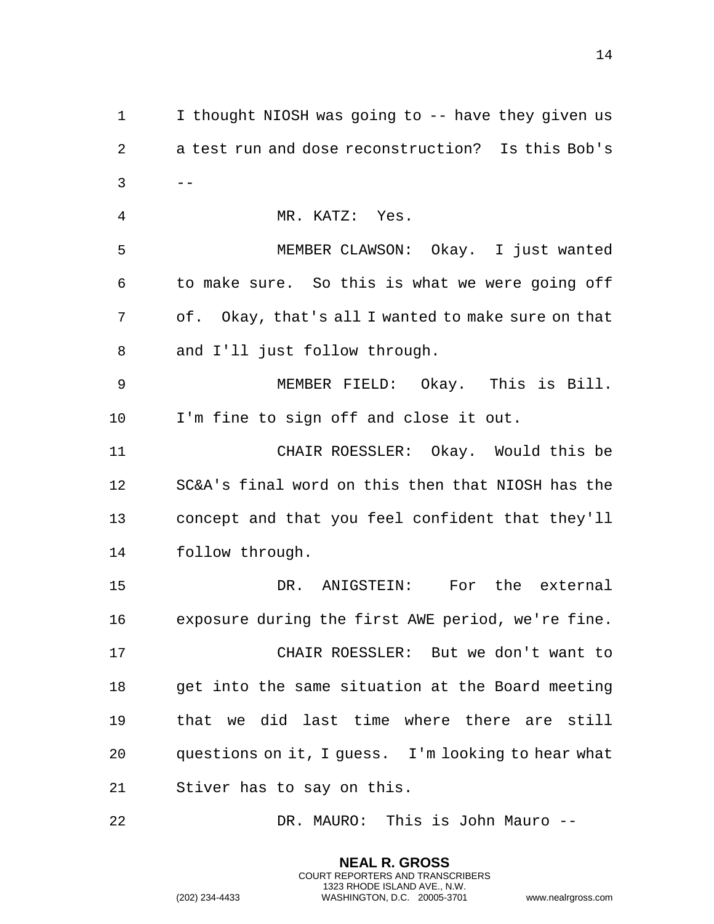I thought NIOSH was going to -- have they given us a test run and dose reconstruction? Is this Bob's  $3 \qquad -$  MR. KATZ: Yes. MEMBER CLAWSON: Okay. I just wanted to make sure. So this is what we were going off of. Okay, that's all I wanted to make sure on that and I'll just follow through. MEMBER FIELD: Okay. This is Bill. I'm fine to sign off and close it out. CHAIR ROESSLER: Okay. Would this be SC&A's final word on this then that NIOSH has the concept and that you feel confident that they'll follow through. DR. ANIGSTEIN: For the external exposure during the first AWE period, we're fine. CHAIR ROESSLER: But we don't want to get into the same situation at the Board meeting that we did last time where there are still questions on it, I guess. I'm looking to hear what Stiver has to say on this.

DR. MAURO: This is John Mauro --

**NEAL R. GROSS** COURT REPORTERS AND TRANSCRIBERS 1323 RHODE ISLAND AVE., N.W.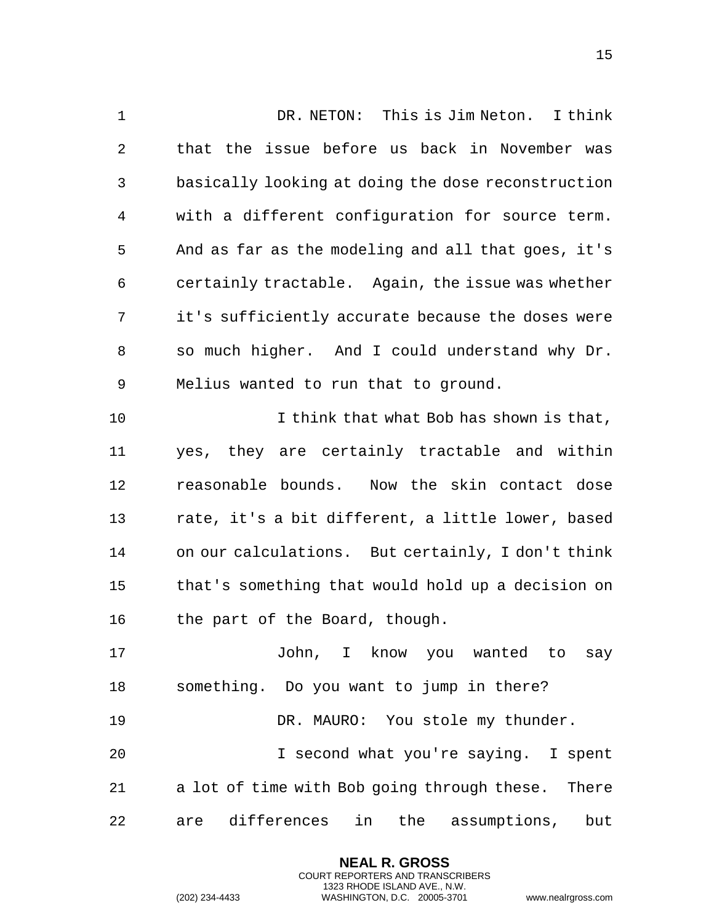DR. NETON: This is Jim Neton. I think that the issue before us back in November was basically looking at doing the dose reconstruction with a different configuration for source term. And as far as the modeling and all that goes, it's certainly tractable. Again, the issue was whether it's sufficiently accurate because the doses were so much higher. And I could understand why Dr. Melius wanted to run that to ground. I think that what Bob has shown is that, yes, they are certainly tractable and within reasonable bounds. Now the skin contact dose rate, it's a bit different, a little lower, based on our calculations. But certainly, I don't think that's something that would hold up a decision on the part of the Board, though. John, I know you wanted to say something. Do you want to jump in there? 19 DR. MAURO: You stole my thunder. I second what you're saying. I spent a lot of time with Bob going through these. There are differences in the assumptions, but

> **NEAL R. GROSS** COURT REPORTERS AND TRANSCRIBERS 1323 RHODE ISLAND AVE., N.W.

(202) 234-4433 WASHINGTON, D.C. 20005-3701 www.nealrgross.com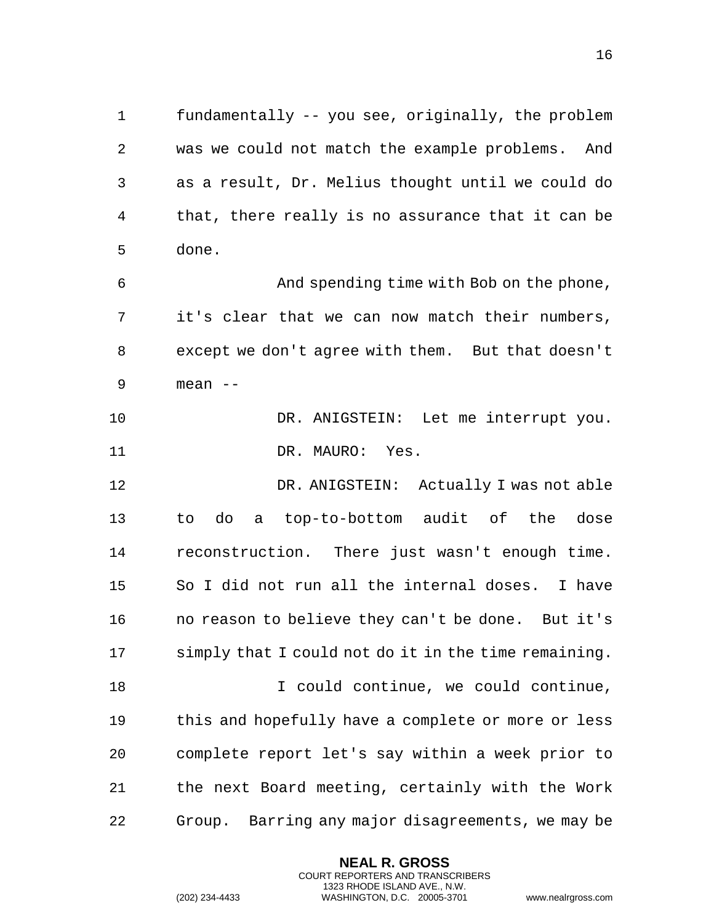fundamentally -- you see, originally, the problem was we could not match the example problems. And as a result, Dr. Melius thought until we could do that, there really is no assurance that it can be done.

 And spending time with Bob on the phone, it's clear that we can now match their numbers, except we don't agree with them. But that doesn't mean --

 DR. ANIGSTEIN: Let me interrupt you. 11 DR. MAURO: Yes.

 DR. ANIGSTEIN: Actually I was not able to do a top-to-bottom audit of the dose reconstruction. There just wasn't enough time. So I did not run all the internal doses. I have no reason to believe they can't be done. But it's simply that I could not do it in the time remaining. I could continue, we could continue, this and hopefully have a complete or more or less complete report let's say within a week prior to

 the next Board meeting, certainly with the Work Group. Barring any major disagreements, we may be

> **NEAL R. GROSS** COURT REPORTERS AND TRANSCRIBERS 1323 RHODE ISLAND AVE., N.W.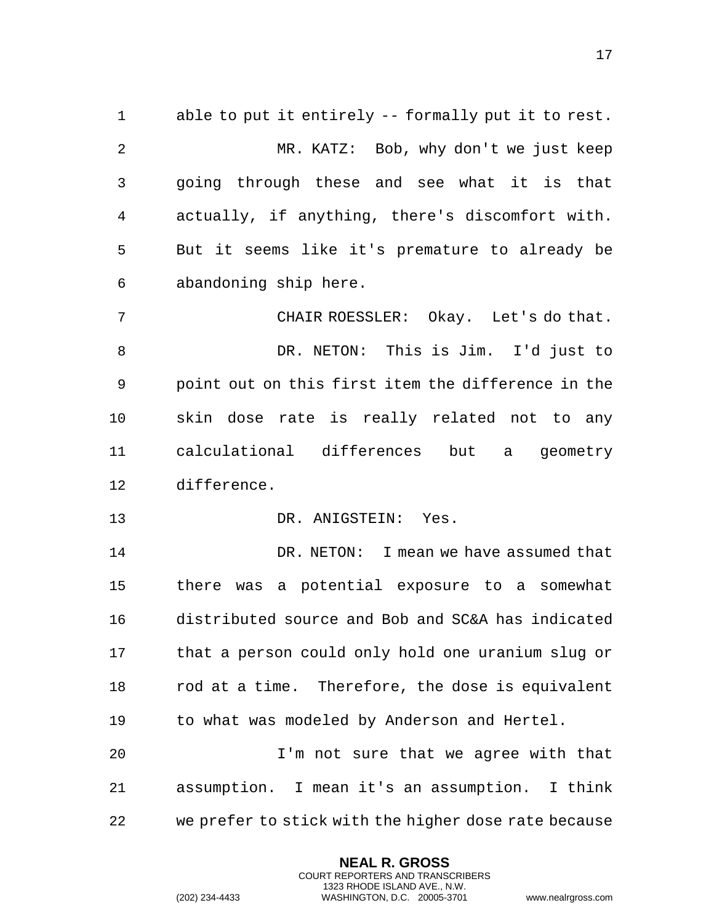able to put it entirely -- formally put it to rest. MR. KATZ: Bob, why don't we just keep going through these and see what it is that actually, if anything, there's discomfort with. But it seems like it's premature to already be abandoning ship here. CHAIR ROESSLER: Okay. Let's do that. DR. NETON: This is Jim. I'd just to point out on this first item the difference in the skin dose rate is really related not to any calculational differences but a geometry difference. 13 DR. ANIGSTEIN: Yes. DR. NETON: I mean we have assumed that there was a potential exposure to a somewhat distributed source and Bob and SC&A has indicated that a person could only hold one uranium slug or rod at a time. Therefore, the dose is equivalent to what was modeled by Anderson and Hertel.

 I'm not sure that we agree with that assumption. I mean it's an assumption. I think we prefer to stick with the higher dose rate because

> **NEAL R. GROSS** COURT REPORTERS AND TRANSCRIBERS 1323 RHODE ISLAND AVE., N.W.

(202) 234-4433 WASHINGTON, D.C. 20005-3701 www.nealrgross.com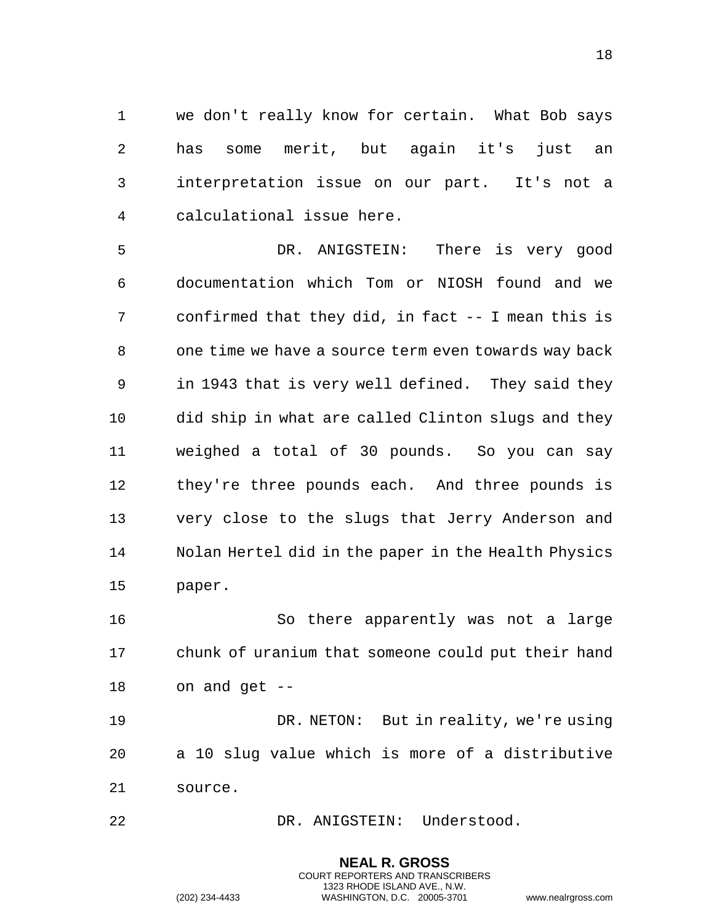we don't really know for certain. What Bob says has some merit, but again it's just an interpretation issue on our part. It's not a calculational issue here.

 DR. ANIGSTEIN: There is very good documentation which Tom or NIOSH found and we confirmed that they did, in fact -- I mean this is one time we have a source term even towards way back in 1943 that is very well defined. They said they did ship in what are called Clinton slugs and they weighed a total of 30 pounds. So you can say they're three pounds each. And three pounds is very close to the slugs that Jerry Anderson and Nolan Hertel did in the paper in the Health Physics paper.

 So there apparently was not a large chunk of uranium that someone could put their hand on and get --

 DR. NETON: But in reality, we're using a 10 slug value which is more of a distributive source.

> **NEAL R. GROSS** COURT REPORTERS AND TRANSCRIBERS 1323 RHODE ISLAND AVE., N.W.

22 DR. ANIGSTEIN: Understood.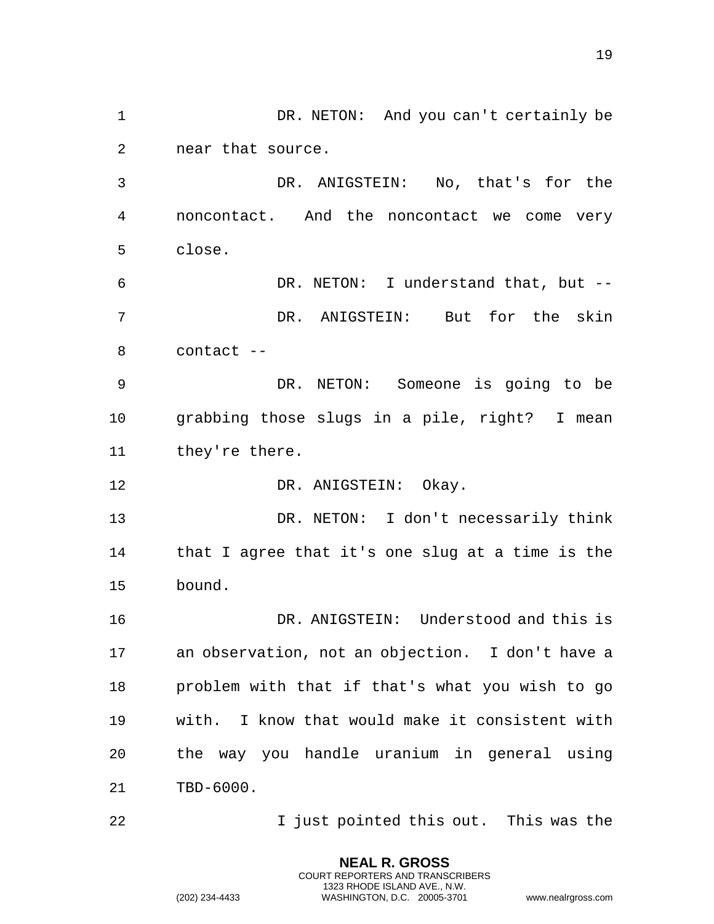1 DR. NETON: And you can't certainly be near that source.

 DR. ANIGSTEIN: No, that's for the noncontact. And the noncontact we come very close.

 DR. NETON: I understand that, but -- DR. ANIGSTEIN: But for the skin contact --

 DR. NETON: Someone is going to be grabbing those slugs in a pile, right? I mean they're there.

12 DR. ANIGSTEIN: Okay.

 DR. NETON: I don't necessarily think that I agree that it's one slug at a time is the bound.

 DR. ANIGSTEIN: Understood and this is an observation, not an objection. I don't have a problem with that if that's what you wish to go with. I know that would make it consistent with the way you handle uranium in general using TBD-6000.

**I** just pointed this out. This was the

**NEAL R. GROSS** COURT REPORTERS AND TRANSCRIBERS 1323 RHODE ISLAND AVE., N.W.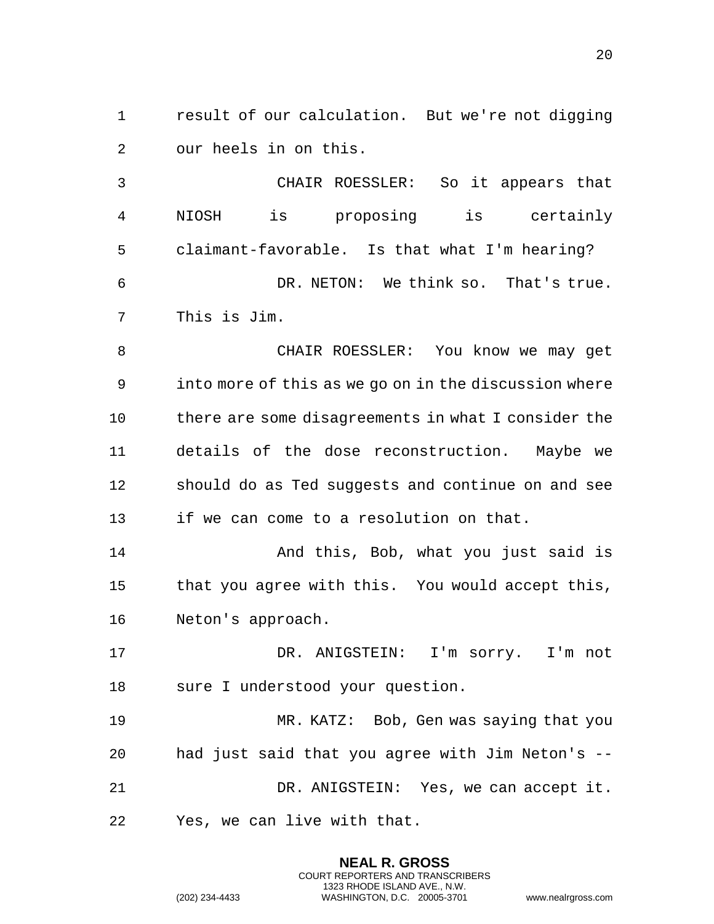result of our calculation. But we're not digging our heels in on this.

 CHAIR ROESSLER: So it appears that NIOSH is proposing is certainly claimant-favorable. Is that what I'm hearing? DR. NETON: We think so. That's true. This is Jim.

 CHAIR ROESSLER: You know we may get into more of this as we go on in the discussion where there are some disagreements in what I consider the details of the dose reconstruction. Maybe we should do as Ted suggests and continue on and see if we can come to a resolution on that.

 And this, Bob, what you just said is that you agree with this. You would accept this, Neton's approach.

 DR. ANIGSTEIN: I'm sorry. I'm not sure I understood your question.

 MR. KATZ: Bob, Gen was saying that you had just said that you agree with Jim Neton's -- DR. ANIGSTEIN: Yes, we can accept it. Yes, we can live with that.

> **NEAL R. GROSS** COURT REPORTERS AND TRANSCRIBERS 1323 RHODE ISLAND AVE., N.W.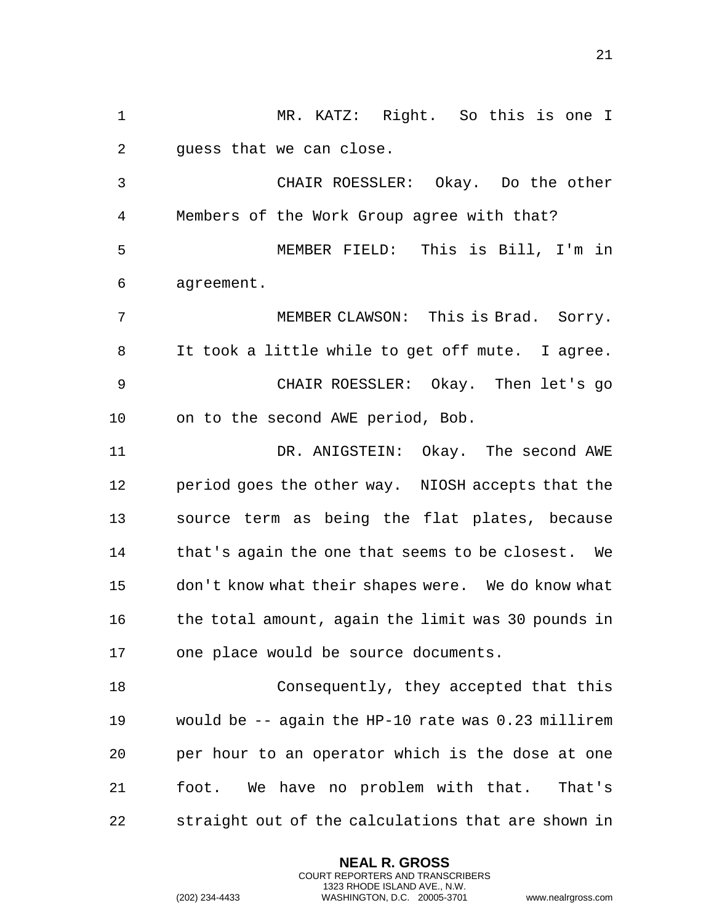MR. KATZ: Right. So this is one I guess that we can close.

 CHAIR ROESSLER: Okay. Do the other Members of the Work Group agree with that? MEMBER FIELD: This is Bill, I'm in agreement.

 MEMBER CLAWSON: This is Brad. Sorry. It took a little while to get off mute. I agree. CHAIR ROESSLER: Okay. Then let's go on to the second AWE period, Bob.

11 DR. ANIGSTEIN: Okay. The second AWE period goes the other way. NIOSH accepts that the source term as being the flat plates, because that's again the one that seems to be closest. We don't know what their shapes were. We do know what 16 the total amount, again the limit was 30 pounds in one place would be source documents.

 Consequently, they accepted that this would be -- again the HP-10 rate was 0.23 millirem per hour to an operator which is the dose at one foot. We have no problem with that. That's straight out of the calculations that are shown in

> **NEAL R. GROSS** COURT REPORTERS AND TRANSCRIBERS 1323 RHODE ISLAND AVE., N.W.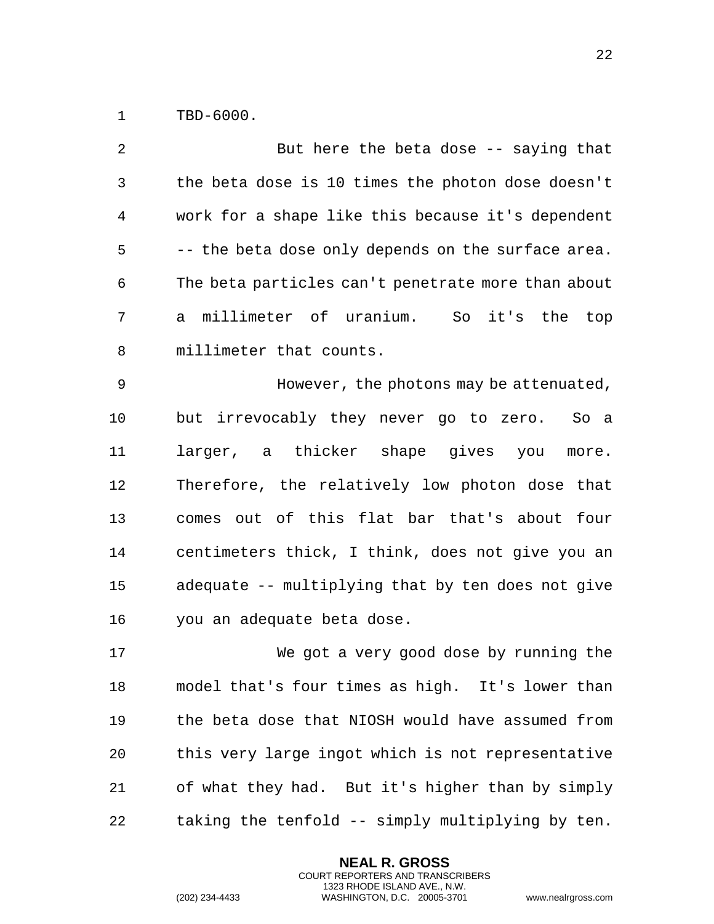TBD-6000.

 But here the beta dose -- saying that the beta dose is 10 times the photon dose doesn't work for a shape like this because it's dependent -- the beta dose only depends on the surface area. The beta particles can't penetrate more than about a millimeter of uranium. So it's the top millimeter that counts. However, the photons may be attenuated, but irrevocably they never go to zero. So a larger, a thicker shape gives you more. Therefore, the relatively low photon dose that comes out of this flat bar that's about four centimeters thick, I think, does not give you an adequate -- multiplying that by ten does not give you an adequate beta dose. We got a very good dose by running the model that's four times as high. It's lower than the beta dose that NIOSH would have assumed from this very large ingot which is not representative of what they had. But it's higher than by simply taking the tenfold -- simply multiplying by ten.

> **NEAL R. GROSS** COURT REPORTERS AND TRANSCRIBERS 1323 RHODE ISLAND AVE., N.W.

(202) 234-4433 WASHINGTON, D.C. 20005-3701 www.nealrgross.com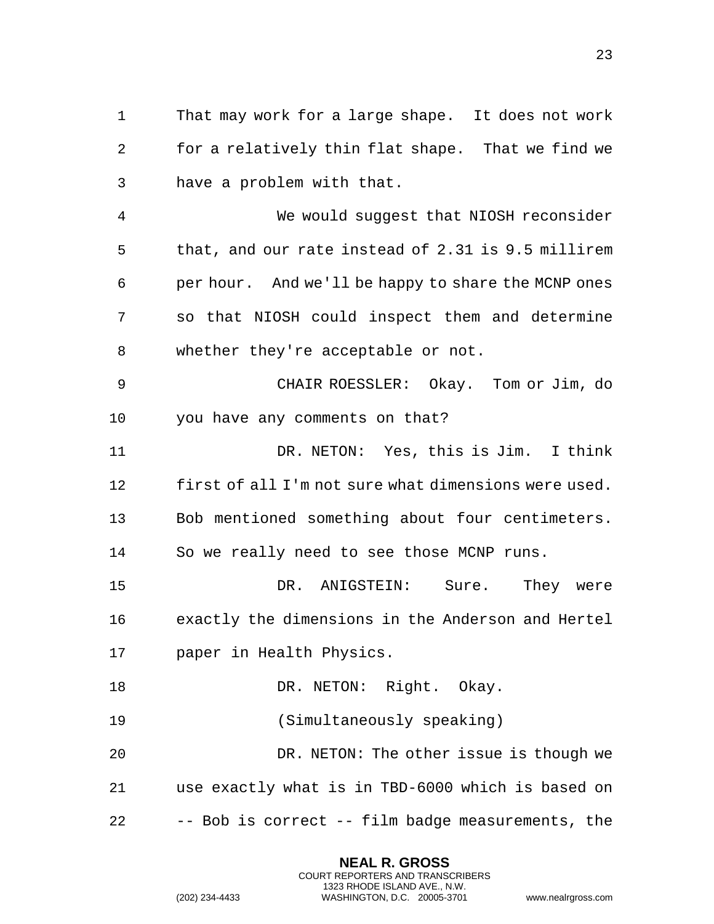1 That may work for a large shape. It does not work 2 for a relatively thin flat shape. That we find we 3 have a problem with that.

4 We would suggest that NIOSH reconsider 5 that, and our rate instead of 2.31 is 9.5 millirem 6 per hour. And we'll be happy to share the MCNP ones 7 so that NIOSH could inspect them and determine 8 whether they're acceptable or not.

9 CHAIR ROESSLER: Okay. Tom or Jim, do 10 you have any comments on that?

11 DR. NETON: Yes, this is Jim. I think 12 first of all I'm not sure what dimensions were used. 13 Bob mentioned something about four centimeters. 14 So we really need to see those MCNP runs.

15 DR. ANIGSTEIN: Sure. They were 16 exactly the dimensions in the Anderson and Hertel 17 paper in Health Physics.

18 DR. NETON: Right. Okay.

19 (Simultaneously speaking)

20 DR. NETON: The other issue is though we 21 use exactly what is in TBD-6000 which is based on 22 -- Bob is correct -- film badge measurements, the

> **NEAL R. GROSS** COURT REPORTERS AND TRANSCRIBERS 1323 RHODE ISLAND AVE., N.W.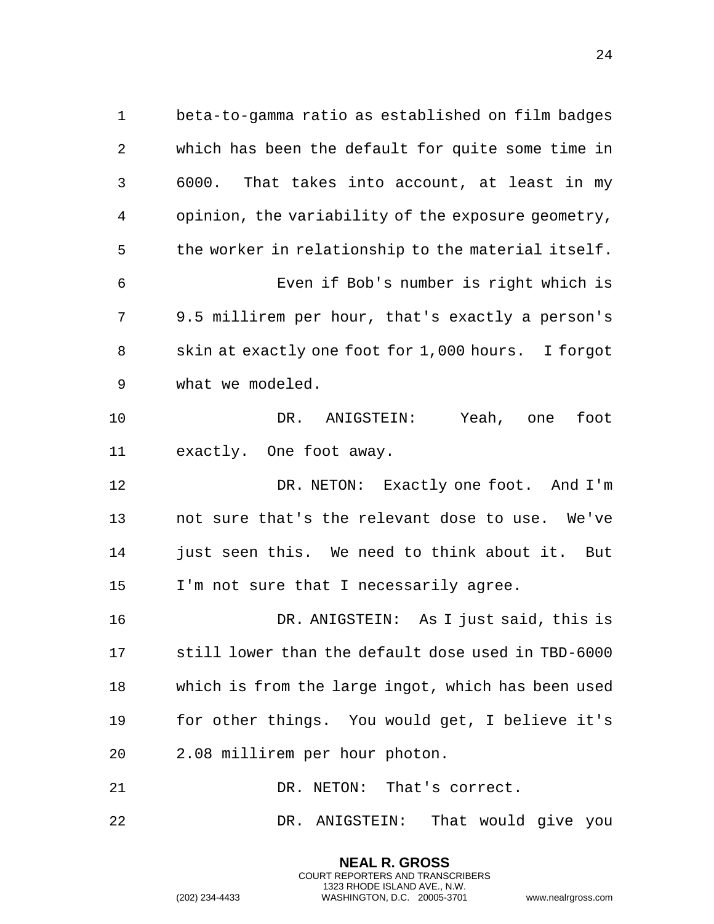1 beta-to-gamma ratio as established on film badges 2 which has been the default for quite some time in 3 6000. That takes into account, at least in my 4 opinion, the variability of the exposure geometry, 5 the worker in relationship to the material itself. 6 Even if Bob's number is right which is 7 9.5 millirem per hour, that's exactly a person's 8 skin at exactly one foot for 1,000 hours. I forgot 9 what we modeled. 10 DR. ANIGSTEIN: Yeah, one foot 11 exactly. One foot away. 12 DR. NETON: Exactly one foot. And I'm 13 not sure that's the relevant dose to use. We've 14 just seen this. We need to think about it. But 15 I'm not sure that I necessarily agree. 16 DR. ANIGSTEIN: As I just said, this is 17 still lower than the default dose used in TBD-6000 18 which is from the large ingot, which has been used 19 for other things. You would get, I believe it's 20 2.08 millirem per hour photon. 21 DR. NETON: That's correct.

22 DR. ANIGSTEIN: That would give you

**NEAL R. GROSS** COURT REPORTERS AND TRANSCRIBERS 1323 RHODE ISLAND AVE., N.W.

(202) 234-4433 WASHINGTON, D.C. 20005-3701 www.nealrgross.com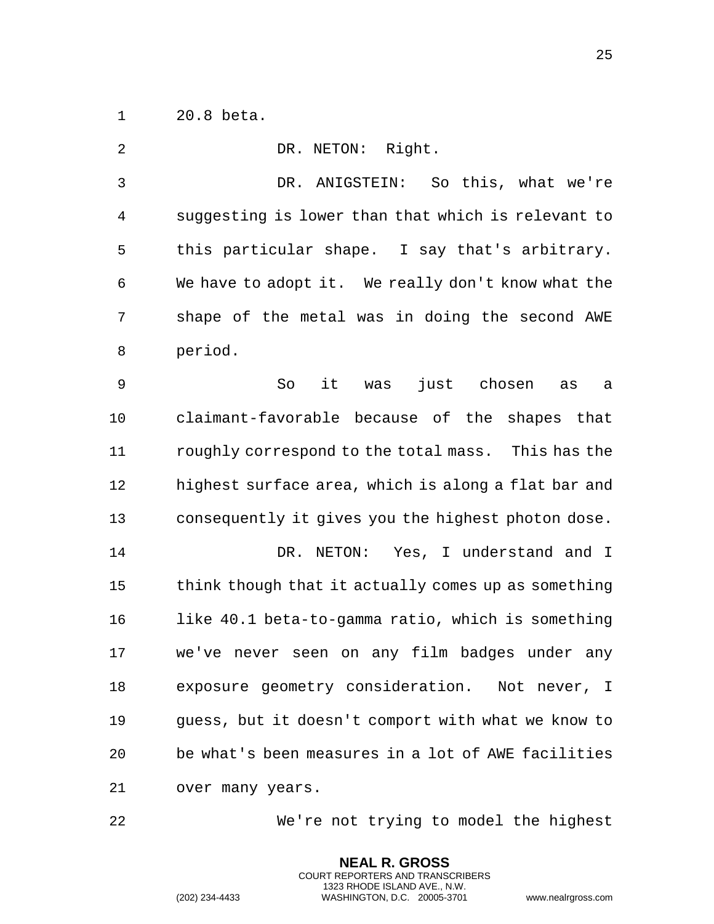20.8 beta.

| 2            | DR. NETON: Right.                                   |
|--------------|-----------------------------------------------------|
| $\mathsf{3}$ | DR. ANIGSTEIN: So this, what we're                  |
| 4            | suggesting is lower than that which is relevant to  |
| 5            | this particular shape. I say that's arbitrary.      |
| 6            | We have to adopt it. We really don't know what the  |
| 7            | shape of the metal was in doing the second AWE      |
| 8            | period.                                             |
| 9            | So<br>it was<br>just chosen<br>as<br>a              |
| 10           | claimant-favorable because of the shapes that       |
| 11           | roughly correspond to the total mass. This has the  |
| 12           | highest surface area, which is along a flat bar and |
| 13           | consequently it gives you the highest photon dose.  |
| 14           | DR. NETON: Yes, I understand and I                  |
| 15           | think though that it actually comes up as something |
| 16           | like 40.1 beta-to-gamma ratio, which is something   |
| 17           | we've never seen on any film badges under any       |
| 18           | exposure geometry consideration. Not never, I       |
| 19           | guess, but it doesn't comport with what we know to  |
| 20           | be what's been measures in a lot of AWE facilities  |
| 21           | over many years.                                    |

We're not trying to model the highest

**NEAL R. GROSS** COURT REPORTERS AND TRANSCRIBERS 1323 RHODE ISLAND AVE., N.W.

(202) 234-4433 WASHINGTON, D.C. 20005-3701 www.nealrgross.com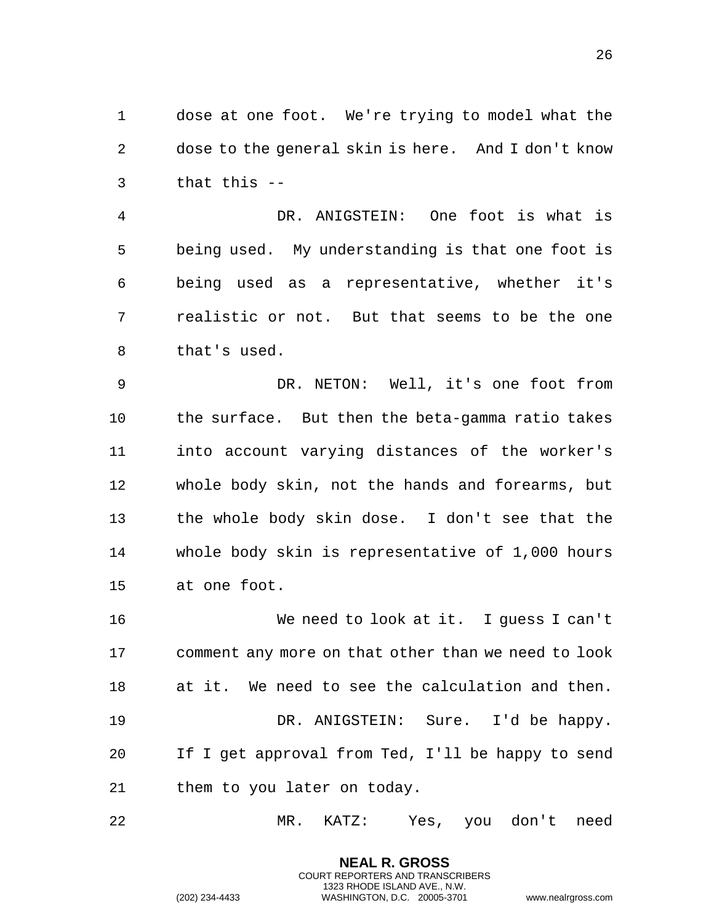dose at one foot. We're trying to model what the dose to the general skin is here. And I don't know that this --

 DR. ANIGSTEIN: One foot is what is being used. My understanding is that one foot is being used as a representative, whether it's realistic or not. But that seems to be the one that's used.

 DR. NETON: Well, it's one foot from the surface. But then the beta-gamma ratio takes into account varying distances of the worker's whole body skin, not the hands and forearms, but the whole body skin dose. I don't see that the whole body skin is representative of 1,000 hours at one foot.

 We need to look at it. I guess I can't comment any more on that other than we need to look at it. We need to see the calculation and then. DR. ANIGSTEIN: Sure. I'd be happy. If I get approval from Ted, I'll be happy to send them to you later on today.

MR. KATZ: Yes, you don't need

**NEAL R. GROSS** COURT REPORTERS AND TRANSCRIBERS 1323 RHODE ISLAND AVE., N.W.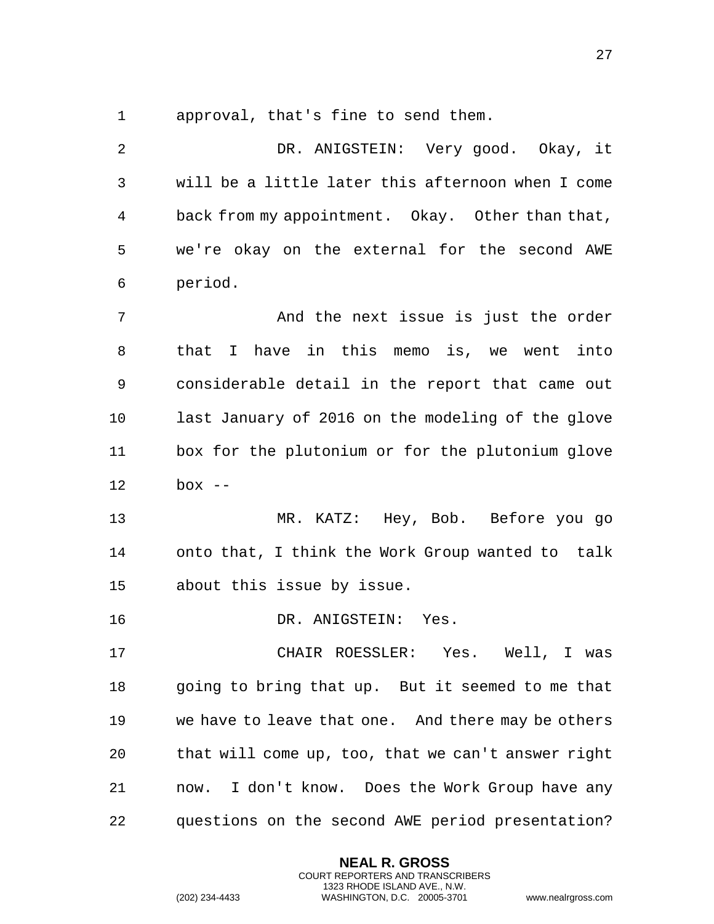approval, that's fine to send them.

 DR. ANIGSTEIN: Very good. Okay, it will be a little later this afternoon when I come back from my appointment. Okay. Other than that, we're okay on the external for the second AWE period.

 And the next issue is just the order that I have in this memo is, we went into considerable detail in the report that came out last January of 2016 on the modeling of the glove box for the plutonium or for the plutonium glove box --

 MR. KATZ: Hey, Bob. Before you go onto that, I think the Work Group wanted to talk about this issue by issue.

DR. ANIGSTEIN: Yes.

 CHAIR ROESSLER: Yes. Well, I was going to bring that up. But it seemed to me that we have to leave that one. And there may be others that will come up, too, that we can't answer right now. I don't know. Does the Work Group have any questions on the second AWE period presentation?

> **NEAL R. GROSS** COURT REPORTERS AND TRANSCRIBERS 1323 RHODE ISLAND AVE., N.W.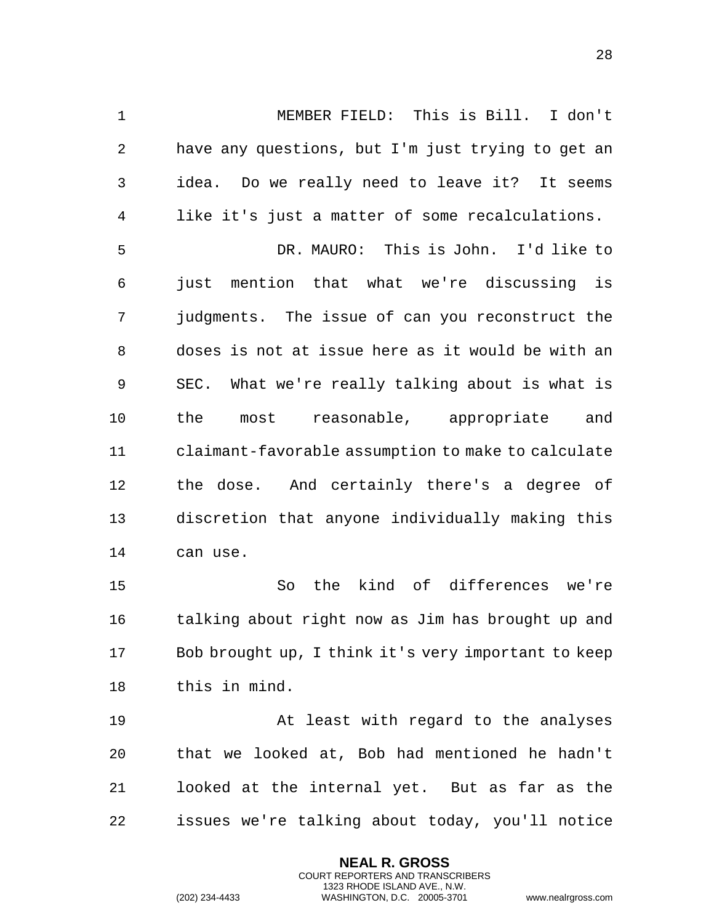MEMBER FIELD: This is Bill. I don't have any questions, but I'm just trying to get an idea. Do we really need to leave it? It seems like it's just a matter of some recalculations.

 DR. MAURO: This is John. I'd like to just mention that what we're discussing is judgments. The issue of can you reconstruct the doses is not at issue here as it would be with an SEC. What we're really talking about is what is the most reasonable, appropriate and claimant-favorable assumption to make to calculate the dose. And certainly there's a degree of discretion that anyone individually making this can use.

 So the kind of differences we're talking about right now as Jim has brought up and Bob brought up, I think it's very important to keep this in mind.

 At least with regard to the analyses that we looked at, Bob had mentioned he hadn't looked at the internal yet. But as far as the issues we're talking about today, you'll notice

> **NEAL R. GROSS** COURT REPORTERS AND TRANSCRIBERS 1323 RHODE ISLAND AVE., N.W.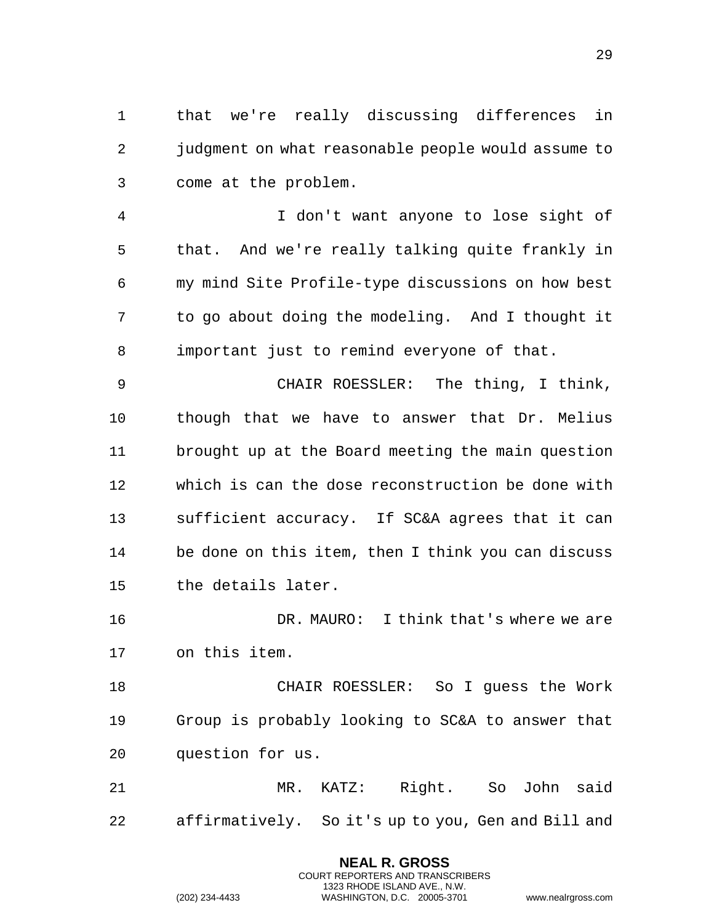that we're really discussing differences in judgment on what reasonable people would assume to come at the problem.

 I don't want anyone to lose sight of that. And we're really talking quite frankly in my mind Site Profile-type discussions on how best to go about doing the modeling. And I thought it important just to remind everyone of that.

 CHAIR ROESSLER: The thing, I think, though that we have to answer that Dr. Melius brought up at the Board meeting the main question which is can the dose reconstruction be done with sufficient accuracy. If SC&A agrees that it can be done on this item, then I think you can discuss the details later.

 DR. MAURO: I think that's where we are on this item.

 CHAIR ROESSLER: So I guess the Work Group is probably looking to SC&A to answer that question for us.

 MR. KATZ: Right. So John said affirmatively. So it's up to you, Gen and Bill and

> **NEAL R. GROSS** COURT REPORTERS AND TRANSCRIBERS 1323 RHODE ISLAND AVE., N.W.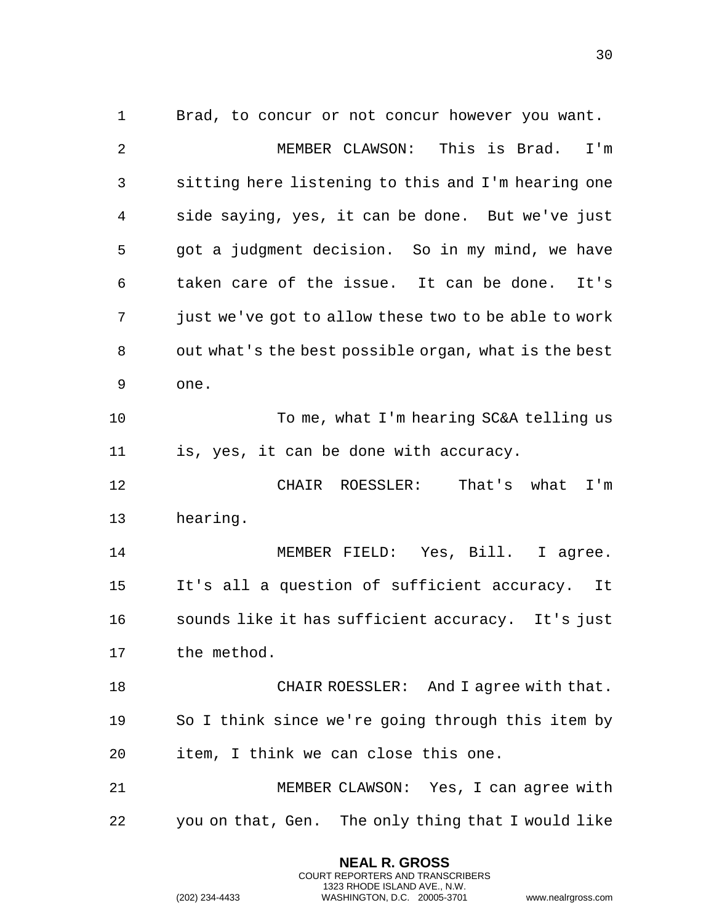Brad, to concur or not concur however you want. MEMBER CLAWSON: This is Brad. I'm sitting here listening to this and I'm hearing one side saying, yes, it can be done. But we've just got a judgment decision. So in my mind, we have taken care of the issue. It can be done. It's just we've got to allow these two to be able to work out what's the best possible organ, what is the best one. To me, what I'm hearing SC&A telling us is, yes, it can be done with accuracy. CHAIR ROESSLER: That's what I'm hearing. MEMBER FIELD: Yes, Bill. I agree. It's all a question of sufficient accuracy. It sounds like it has sufficient accuracy. It's just the method. 18 CHAIR ROESSLER: And I agree with that. So I think since we're going through this item by item, I think we can close this one. MEMBER CLAWSON: Yes, I can agree with you on that, Gen. The only thing that I would like

> **NEAL R. GROSS** COURT REPORTERS AND TRANSCRIBERS 1323 RHODE ISLAND AVE., N.W.

(202) 234-4433 WASHINGTON, D.C. 20005-3701 www.nealrgross.com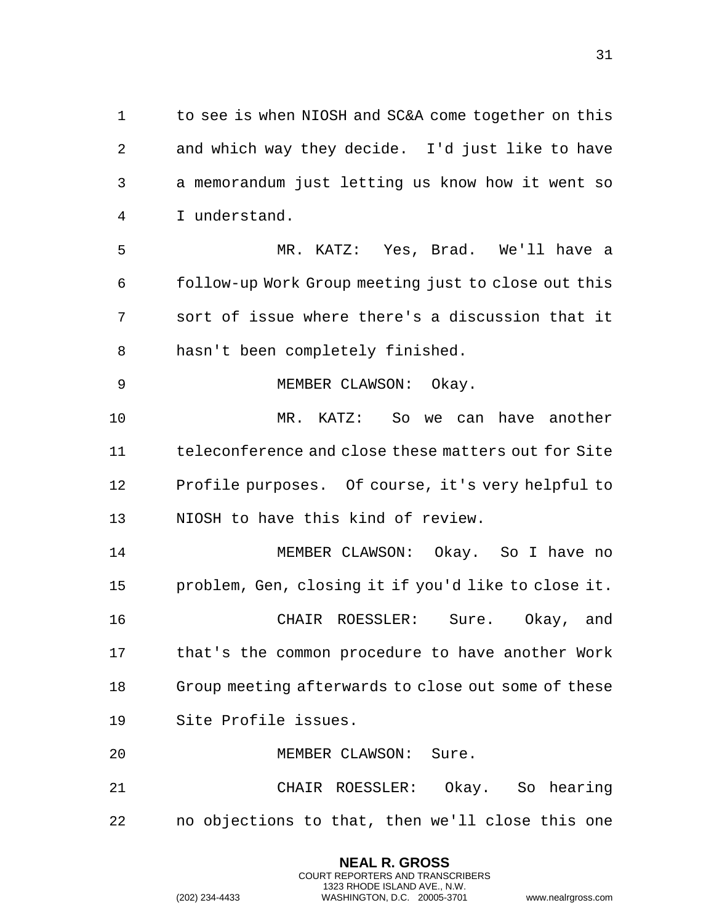1 to see is when NIOSH and SC&A come together on this and which way they decide. I'd just like to have a memorandum just letting us know how it went so I understand.

 MR. KATZ: Yes, Brad. We'll have a follow-up Work Group meeting just to close out this sort of issue where there's a discussion that it hasn't been completely finished.

 MR. KATZ: So we can have another teleconference and close these matters out for Site Profile purposes. Of course, it's very helpful to NIOSH to have this kind of review.

MEMBER CLAWSON: Okay.

 MEMBER CLAWSON: Okay. So I have no problem, Gen, closing it if you'd like to close it. CHAIR ROESSLER: Sure. Okay, and that's the common procedure to have another Work Group meeting afterwards to close out some of these Site Profile issues.

MEMBER CLAWSON: Sure.

 CHAIR ROESSLER: Okay. So hearing no objections to that, then we'll close this one

> **NEAL R. GROSS** COURT REPORTERS AND TRANSCRIBERS 1323 RHODE ISLAND AVE., N.W.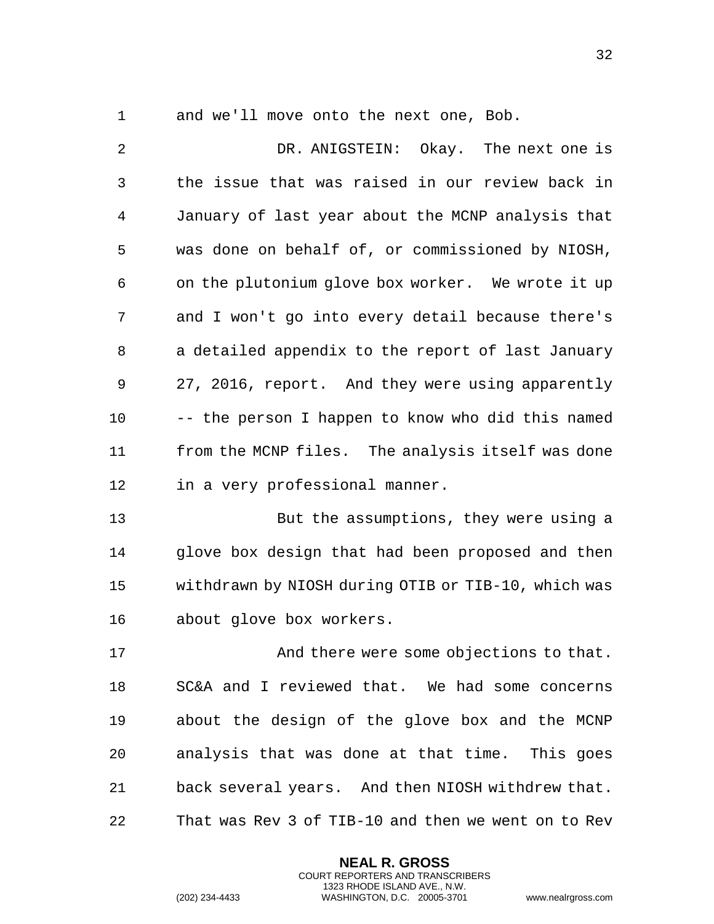and we'll move onto the next one, Bob.

 DR. ANIGSTEIN: Okay. The next one is the issue that was raised in our review back in January of last year about the MCNP analysis that was done on behalf of, or commissioned by NIOSH, on the plutonium glove box worker. We wrote it up and I won't go into every detail because there's a detailed appendix to the report of last January 27, 2016, report. And they were using apparently -- the person I happen to know who did this named from the MCNP files. The analysis itself was done in a very professional manner.

 But the assumptions, they were using a glove box design that had been proposed and then withdrawn by NIOSH during OTIB or TIB-10, which was about glove box workers.

17 And there were some objections to that. SC&A and I reviewed that. We had some concerns about the design of the glove box and the MCNP analysis that was done at that time. This goes back several years. And then NIOSH withdrew that. That was Rev 3 of TIB-10 and then we went on to Rev

> **NEAL R. GROSS** COURT REPORTERS AND TRANSCRIBERS 1323 RHODE ISLAND AVE., N.W.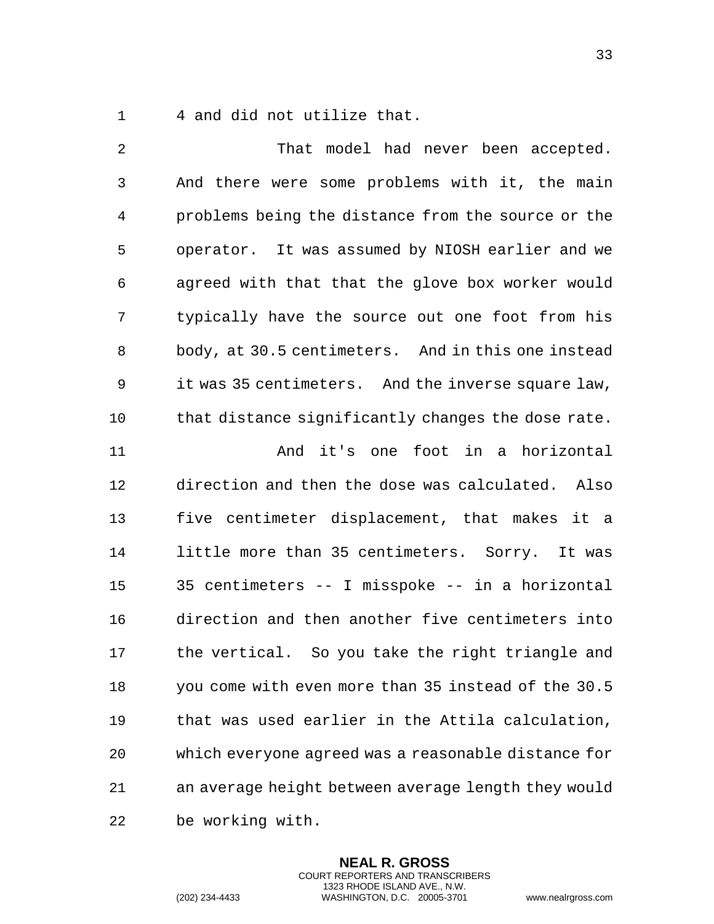4 and did not utilize that.

 That model had never been accepted. And there were some problems with it, the main problems being the distance from the source or the operator. It was assumed by NIOSH earlier and we agreed with that that the glove box worker would typically have the source out one foot from his body, at 30.5 centimeters. And in this one instead it was 35 centimeters. And the inverse square law, 10 that distance significantly changes the dose rate. And it's one foot in a horizontal direction and then the dose was calculated. Also five centimeter displacement, that makes it a little more than 35 centimeters. Sorry. It was 35 centimeters -- I misspoke -- in a horizontal direction and then another five centimeters into the vertical. So you take the right triangle and you come with even more than 35 instead of the 30.5 that was used earlier in the Attila calculation, which everyone agreed was a reasonable distance for an average height between average length they would be working with.

> **NEAL R. GROSS** COURT REPORTERS AND TRANSCRIBERS 1323 RHODE ISLAND AVE., N.W.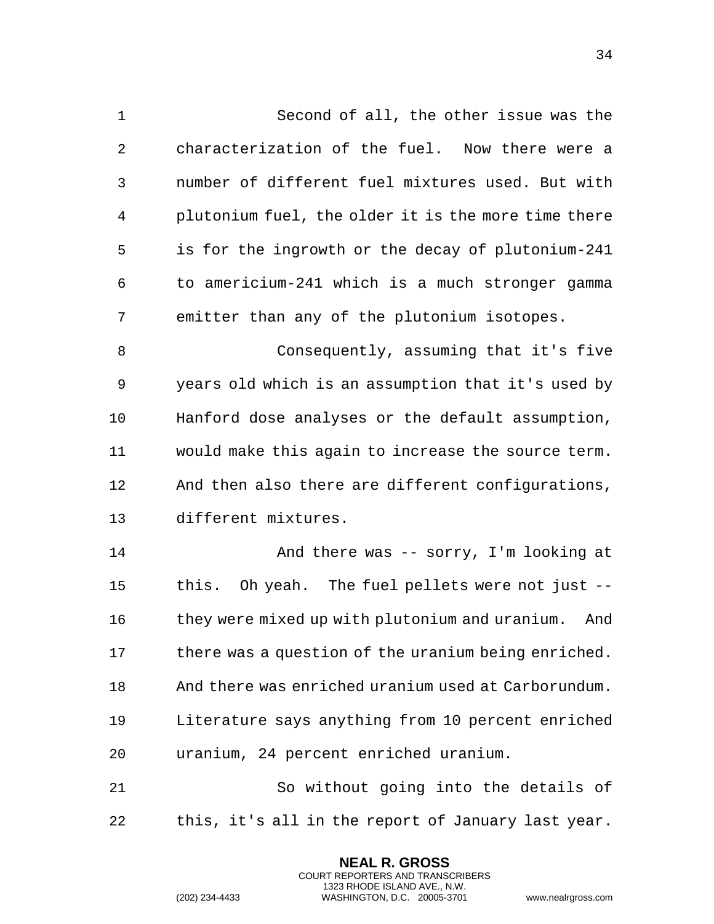Second of all, the other issue was the characterization of the fuel. Now there were a number of different fuel mixtures used. But with plutonium fuel, the older it is the more time there is for the ingrowth or the decay of plutonium-241 to americium-241 which is a much stronger gamma emitter than any of the plutonium isotopes. Consequently, assuming that it's five years old which is an assumption that it's used by Hanford dose analyses or the default assumption, would make this again to increase the source term. And then also there are different configurations, different mixtures. And there was -- sorry, I'm looking at this. Oh yeah. The fuel pellets were not just -- 16 they were mixed up with plutonium and uranium. And 17 there was a question of the uranium being enriched. And there was enriched uranium used at Carborundum. Literature says anything from 10 percent enriched uranium, 24 percent enriched uranium. So without going into the details of

this, it's all in the report of January last year.

**NEAL R. GROSS** COURT REPORTERS AND TRANSCRIBERS 1323 RHODE ISLAND AVE., N.W.

(202) 234-4433 WASHINGTON, D.C. 20005-3701 www.nealrgross.com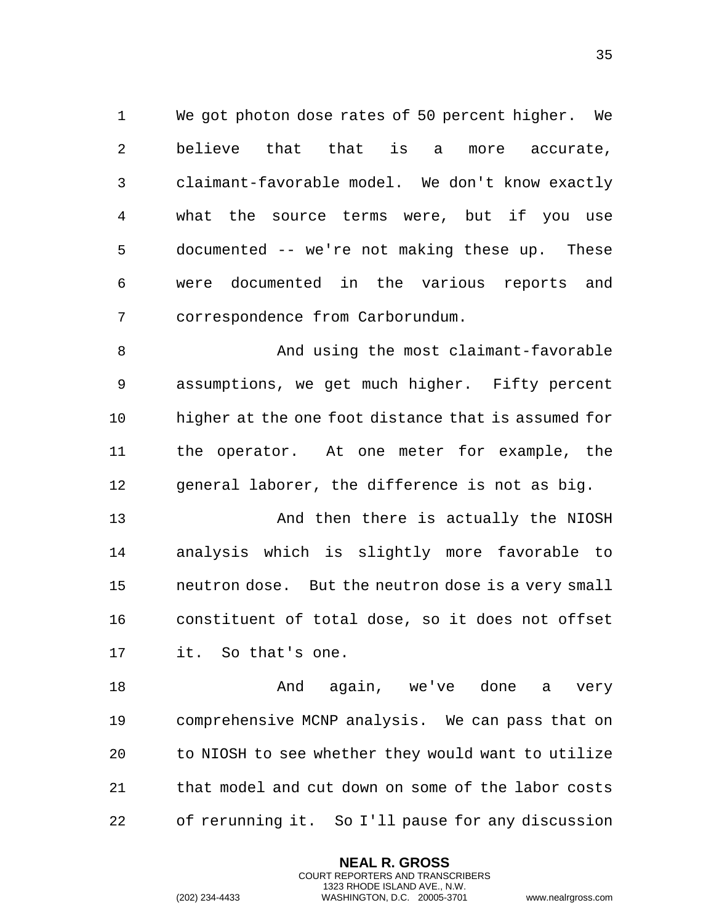We got photon dose rates of 50 percent higher. We believe that that is a more accurate, claimant-favorable model. We don't know exactly what the source terms were, but if you use documented -- we're not making these up. These were documented in the various reports and correspondence from Carborundum.

 And using the most claimant-favorable assumptions, we get much higher. Fifty percent higher at the one foot distance that is assumed for the operator. At one meter for example, the general laborer, the difference is not as big.

13 And then there is actually the NIOSH analysis which is slightly more favorable to neutron dose. But the neutron dose is a very small constituent of total dose, so it does not offset it. So that's one.

 And again, we've done a very comprehensive MCNP analysis. We can pass that on to NIOSH to see whether they would want to utilize that model and cut down on some of the labor costs of rerunning it. So I'll pause for any discussion

> **NEAL R. GROSS** COURT REPORTERS AND TRANSCRIBERS 1323 RHODE ISLAND AVE., N.W.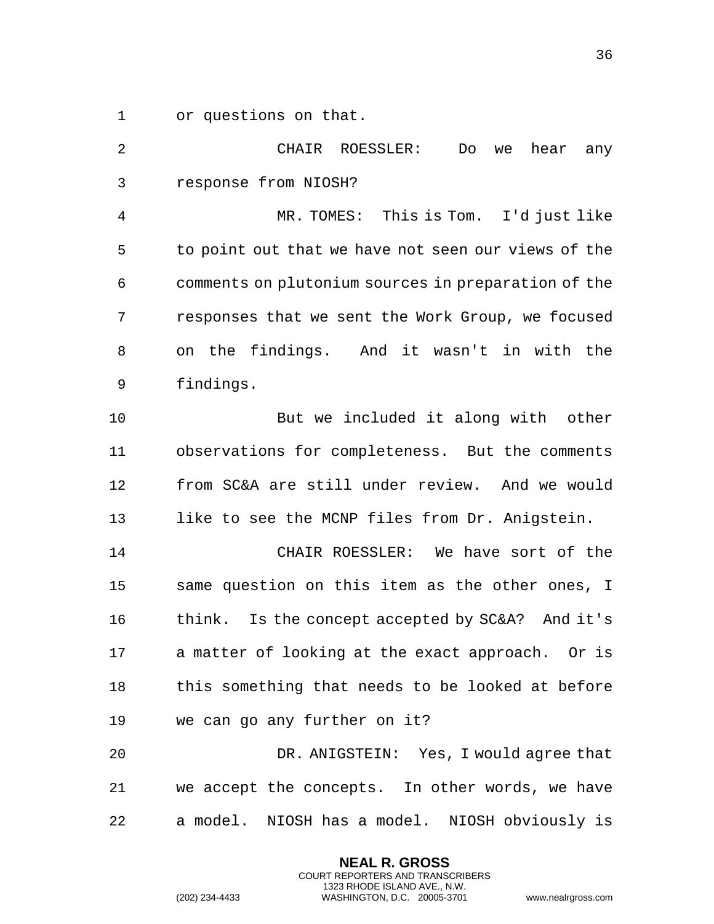or questions on that.

 CHAIR ROESSLER: Do we hear any response from NIOSH? MR. TOMES: This is Tom. I'd just like to point out that we have not seen our views of the comments on plutonium sources in preparation of the responses that we sent the Work Group, we focused on the findings. And it wasn't in with the findings. 10 But we included it along with other observations for completeness. But the comments from SC&A are still under review. And we would 13 like to see the MCNP files from Dr. Anigstein. CHAIR ROESSLER: We have sort of the same question on this item as the other ones, I think. Is the concept accepted by SC&A? And it's a matter of looking at the exact approach. Or is this something that needs to be looked at before we can go any further on it? DR. ANIGSTEIN: Yes, I would agree that we accept the concepts. In other words, we have a model. NIOSH has a model. NIOSH obviously is

> **NEAL R. GROSS** COURT REPORTERS AND TRANSCRIBERS 1323 RHODE ISLAND AVE., N.W.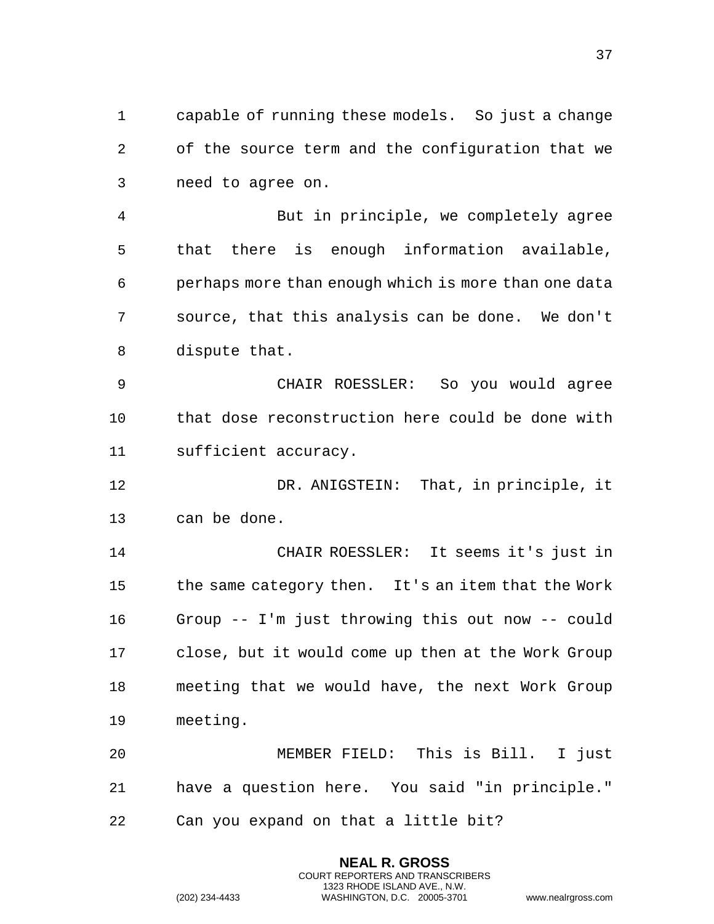capable of running these models. So just a change of the source term and the configuration that we need to agree on.

 But in principle, we completely agree that there is enough information available, perhaps more than enough which is more than one data source, that this analysis can be done. We don't dispute that.

 CHAIR ROESSLER: So you would agree that dose reconstruction here could be done with sufficient accuracy.

 DR. ANIGSTEIN: That, in principle, it can be done.

 CHAIR ROESSLER: It seems it's just in the same category then. It's an item that the Work Group -- I'm just throwing this out now -- could close, but it would come up then at the Work Group meeting that we would have, the next Work Group meeting.

 MEMBER FIELD: This is Bill. I just have a question here. You said "in principle." Can you expand on that a little bit?

> **NEAL R. GROSS** COURT REPORTERS AND TRANSCRIBERS 1323 RHODE ISLAND AVE., N.W.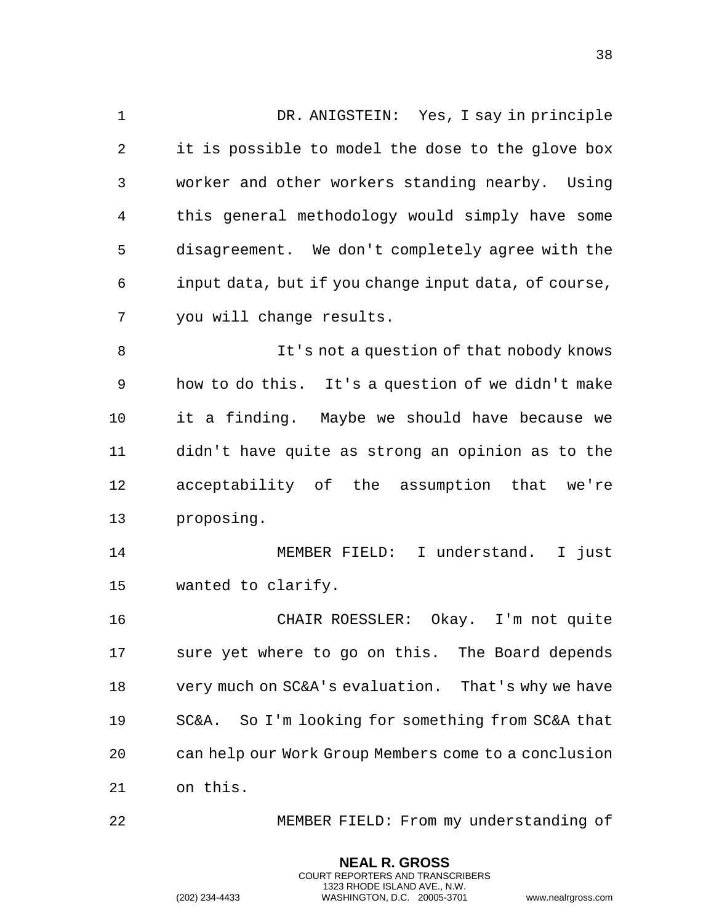DR. ANIGSTEIN: Yes, I say in principle it is possible to model the dose to the glove box worker and other workers standing nearby. Using this general methodology would simply have some disagreement. We don't completely agree with the input data, but if you change input data, of course, you will change results. It's not a question of that nobody knows how to do this. It's a question of we didn't make it a finding. Maybe we should have because we didn't have quite as strong an opinion as to the acceptability of the assumption that we're proposing. MEMBER FIELD: I understand. I just wanted to clarify. CHAIR ROESSLER: Okay. I'm not quite sure yet where to go on this. The Board depends very much on SC&A's evaluation. That's why we have SC&A. So I'm looking for something from SC&A that can help our Work Group Members come to a conclusion on this.

MEMBER FIELD: From my understanding of

**NEAL R. GROSS** COURT REPORTERS AND TRANSCRIBERS 1323 RHODE ISLAND AVE., N.W.

(202) 234-4433 WASHINGTON, D.C. 20005-3701 www.nealrgross.com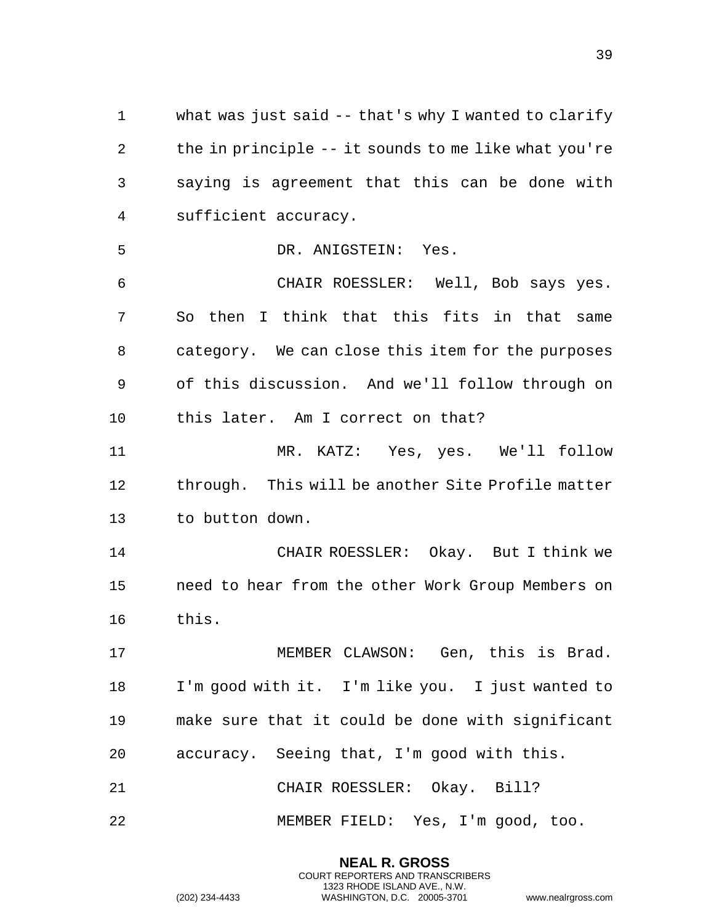what was just said -- that's why I wanted to clarify the in principle -- it sounds to me like what you're saying is agreement that this can be done with sufficient accuracy.

DR. ANIGSTEIN: Yes.

 CHAIR ROESSLER: Well, Bob says yes. So then I think that this fits in that same category. We can close this item for the purposes of this discussion. And we'll follow through on this later. Am I correct on that?

 MR. KATZ: Yes, yes. We'll follow through. This will be another Site Profile matter to button down.

 CHAIR ROESSLER: Okay. But I think we need to hear from the other Work Group Members on this.

 MEMBER CLAWSON: Gen, this is Brad. I'm good with it. I'm like you. I just wanted to make sure that it could be done with significant accuracy. Seeing that, I'm good with this. CHAIR ROESSLER: Okay. Bill?

MEMBER FIELD: Yes, I'm good, too.

**NEAL R. GROSS** COURT REPORTERS AND TRANSCRIBERS 1323 RHODE ISLAND AVE., N.W.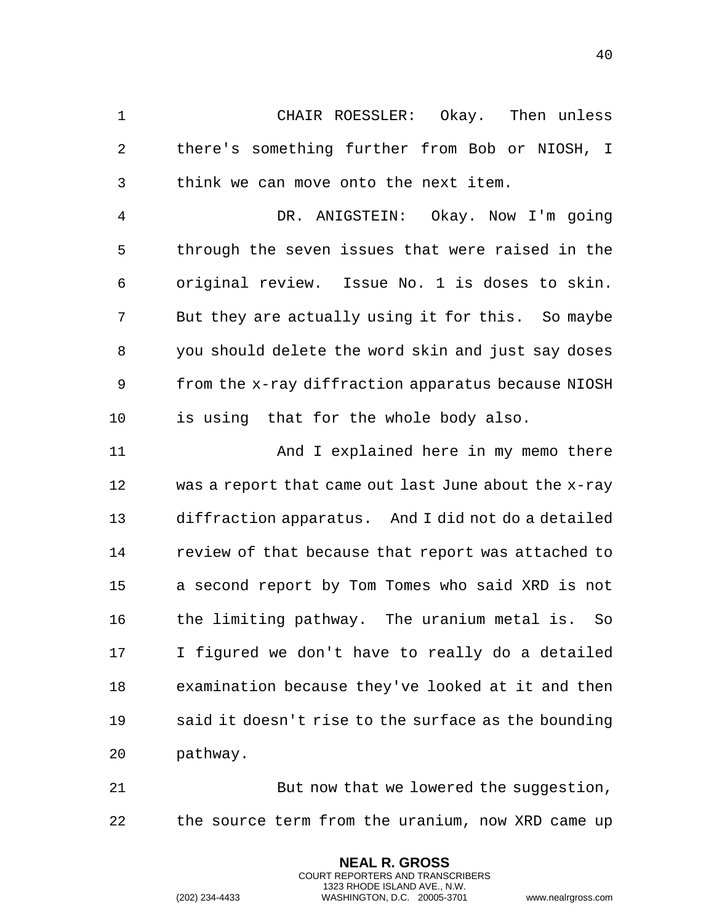CHAIR ROESSLER: Okay. Then unless there's something further from Bob or NIOSH, I think we can move onto the next item.

 DR. ANIGSTEIN: Okay. Now I'm going through the seven issues that were raised in the original review. Issue No. 1 is doses to skin. But they are actually using it for this. So maybe you should delete the word skin and just say doses from the x-ray diffraction apparatus because NIOSH is using that for the whole body also.

**And I** explained here in my memo there was a report that came out last June about the x-ray diffraction apparatus. And I did not do a detailed review of that because that report was attached to a second report by Tom Tomes who said XRD is not the limiting pathway. The uranium metal is. So I figured we don't have to really do a detailed examination because they've looked at it and then said it doesn't rise to the surface as the bounding pathway.

21 But now that we lowered the suggestion, the source term from the uranium, now XRD came up

> **NEAL R. GROSS** COURT REPORTERS AND TRANSCRIBERS 1323 RHODE ISLAND AVE., N.W.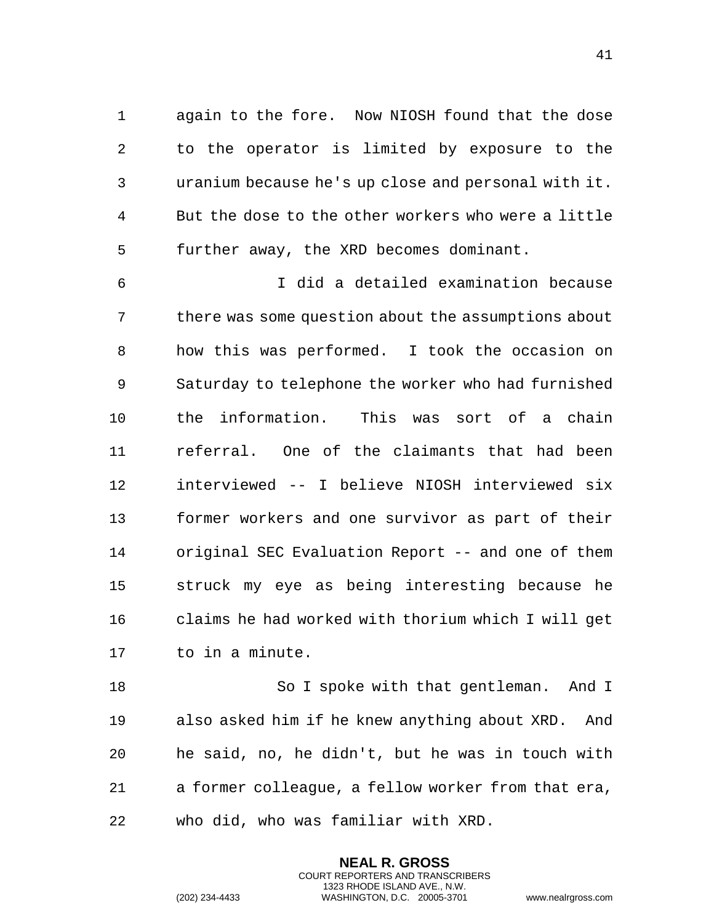again to the fore. Now NIOSH found that the dose to the operator is limited by exposure to the uranium because he's up close and personal with it. But the dose to the other workers who were a little further away, the XRD becomes dominant.

 I did a detailed examination because there was some question about the assumptions about how this was performed. I took the occasion on Saturday to telephone the worker who had furnished the information. This was sort of a chain referral. One of the claimants that had been interviewed -- I believe NIOSH interviewed six former workers and one survivor as part of their original SEC Evaluation Report -- and one of them struck my eye as being interesting because he claims he had worked with thorium which I will get to in a minute.

18 So I spoke with that gentleman. And I also asked him if he knew anything about XRD. And he said, no, he didn't, but he was in touch with a former colleague, a fellow worker from that era, who did, who was familiar with XRD.

> **NEAL R. GROSS** COURT REPORTERS AND TRANSCRIBERS 1323 RHODE ISLAND AVE., N.W.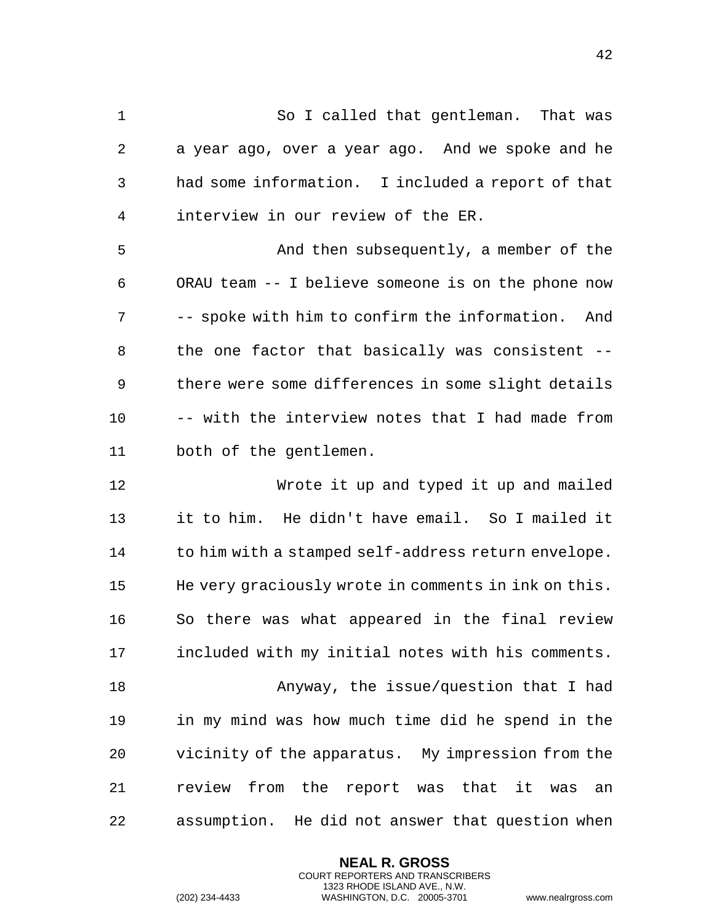So I called that gentleman. That was a year ago, over a year ago. And we spoke and he had some information. I included a report of that interview in our review of the ER. And then subsequently, a member of the ORAU team -- I believe someone is on the phone now -- spoke with him to confirm the information. And the one factor that basically was consistent -- there were some differences in some slight details -- with the interview notes that I had made from both of the gentlemen. Wrote it up and typed it up and mailed it to him. He didn't have email. So I mailed it 14 to him with a stamped self-address return envelope. He very graciously wrote in comments in ink on this. So there was what appeared in the final review included with my initial notes with his comments. Anyway, the issue/question that I had in my mind was how much time did he spend in the vicinity of the apparatus. My impression from the

 review from the report was that it was an assumption. He did not answer that question when

> **NEAL R. GROSS** COURT REPORTERS AND TRANSCRIBERS 1323 RHODE ISLAND AVE., N.W.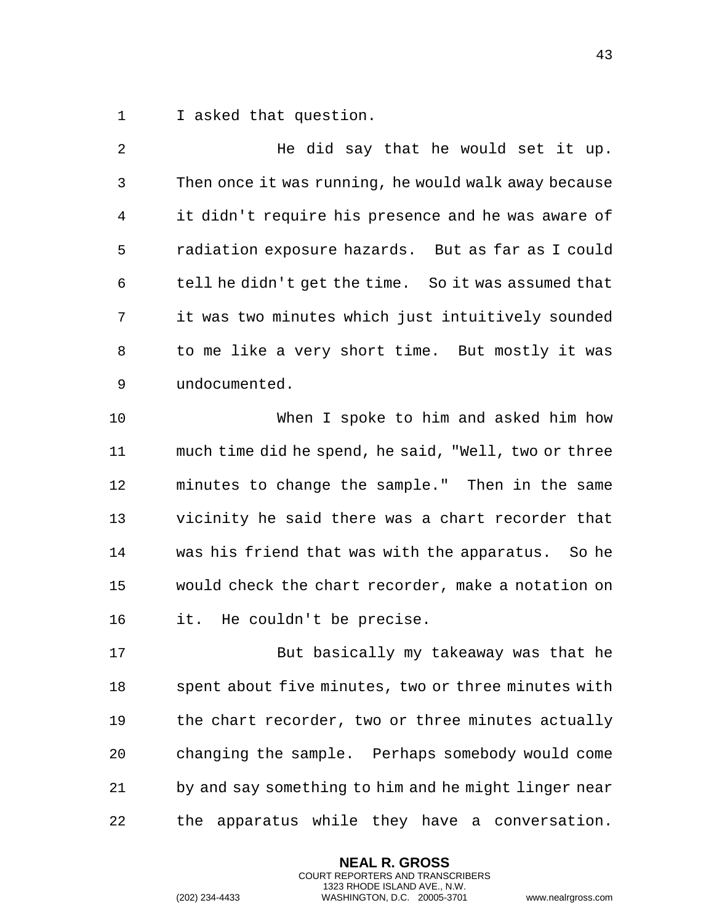I asked that question.

 He did say that he would set it up. Then once it was running, he would walk away because it didn't require his presence and he was aware of radiation exposure hazards. But as far as I could tell he didn't get the time. So it was assumed that it was two minutes which just intuitively sounded to me like a very short time. But mostly it was undocumented. When I spoke to him and asked him how much time did he spend, he said, "Well, two or three minutes to change the sample." Then in the same vicinity he said there was a chart recorder that was his friend that was with the apparatus. So he would check the chart recorder, make a notation on it. He couldn't be precise. But basically my takeaway was that he spent about five minutes, two or three minutes with the chart recorder, two or three minutes actually changing the sample. Perhaps somebody would come

 by and say something to him and he might linger near the apparatus while they have a conversation.

> **NEAL R. GROSS** COURT REPORTERS AND TRANSCRIBERS 1323 RHODE ISLAND AVE., N.W.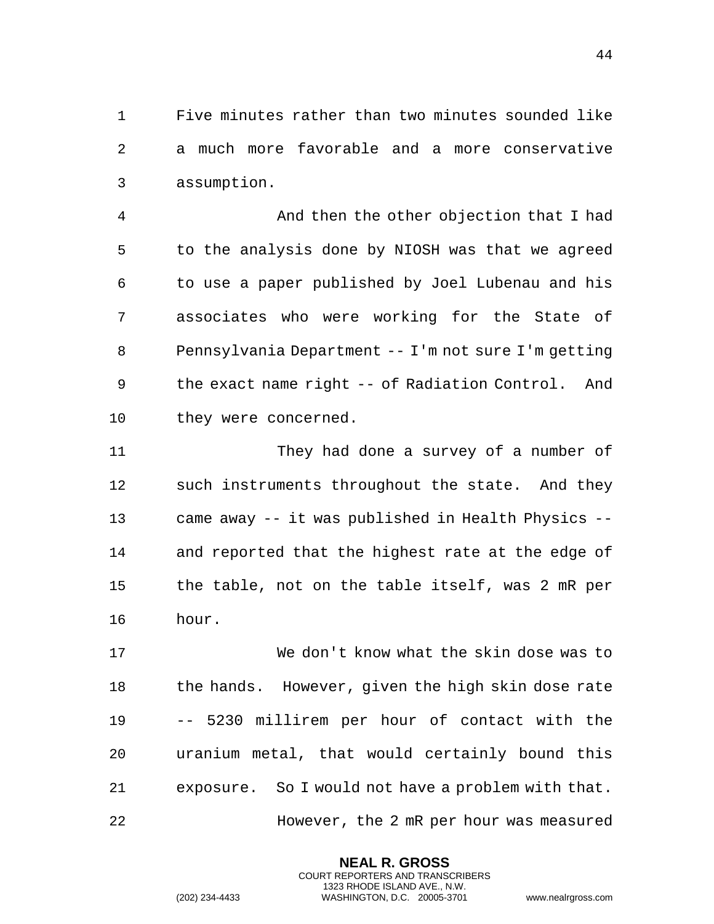Five minutes rather than two minutes sounded like a much more favorable and a more conservative assumption.

 And then the other objection that I had to the analysis done by NIOSH was that we agreed to use a paper published by Joel Lubenau and his associates who were working for the State of Pennsylvania Department -- I'm not sure I'm getting the exact name right -- of Radiation Control. And they were concerned.

 They had done a survey of a number of such instruments throughout the state. And they came away -- it was published in Health Physics -- and reported that the highest rate at the edge of the table, not on the table itself, was 2 mR per hour.

 We don't know what the skin dose was to 18 the hands. However, given the high skin dose rate -- 5230 millirem per hour of contact with the uranium metal, that would certainly bound this exposure. So I would not have a problem with that. However, the 2 mR per hour was measured

> **NEAL R. GROSS** COURT REPORTERS AND TRANSCRIBERS 1323 RHODE ISLAND AVE., N.W.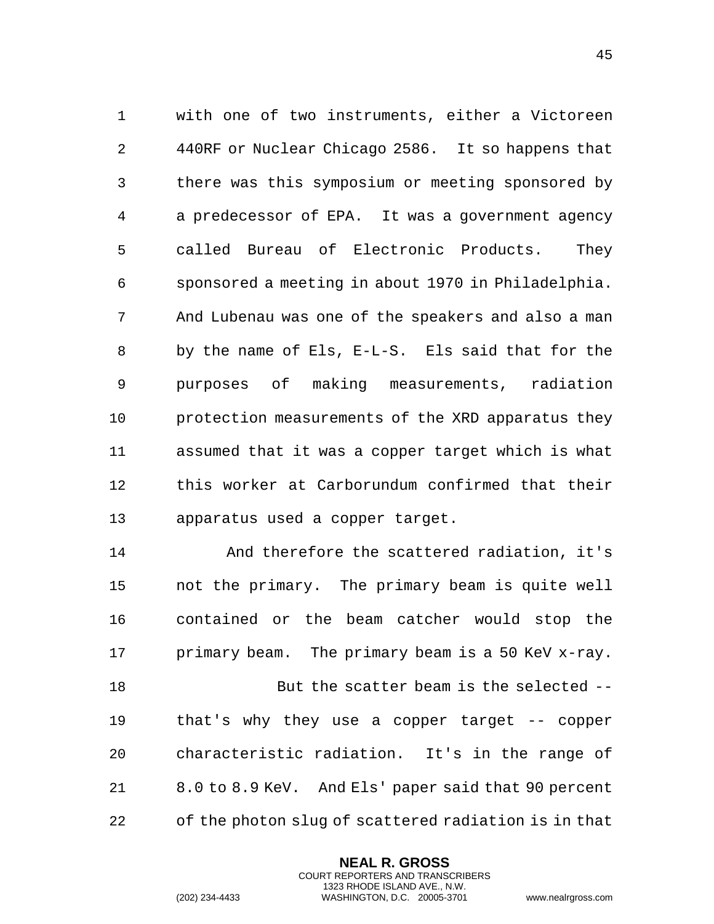with one of two instruments, either a Victoreen 440RF or Nuclear Chicago 2586. It so happens that there was this symposium or meeting sponsored by a predecessor of EPA. It was a government agency called Bureau of Electronic Products. They sponsored a meeting in about 1970 in Philadelphia. And Lubenau was one of the speakers and also a man by the name of Els, E-L-S. Els said that for the purposes of making measurements, radiation protection measurements of the XRD apparatus they assumed that it was a copper target which is what this worker at Carborundum confirmed that their apparatus used a copper target.

 And therefore the scattered radiation, it's not the primary. The primary beam is quite well contained or the beam catcher would stop the 17 primary beam. The primary beam is a 50 KeV x-ray. But the scatter beam is the selected --

 that's why they use a copper target -- copper characteristic radiation. It's in the range of 8.0 to 8.9 KeV. And Els' paper said that 90 percent of the photon slug of scattered radiation is in that

> **NEAL R. GROSS** COURT REPORTERS AND TRANSCRIBERS 1323 RHODE ISLAND AVE., N.W.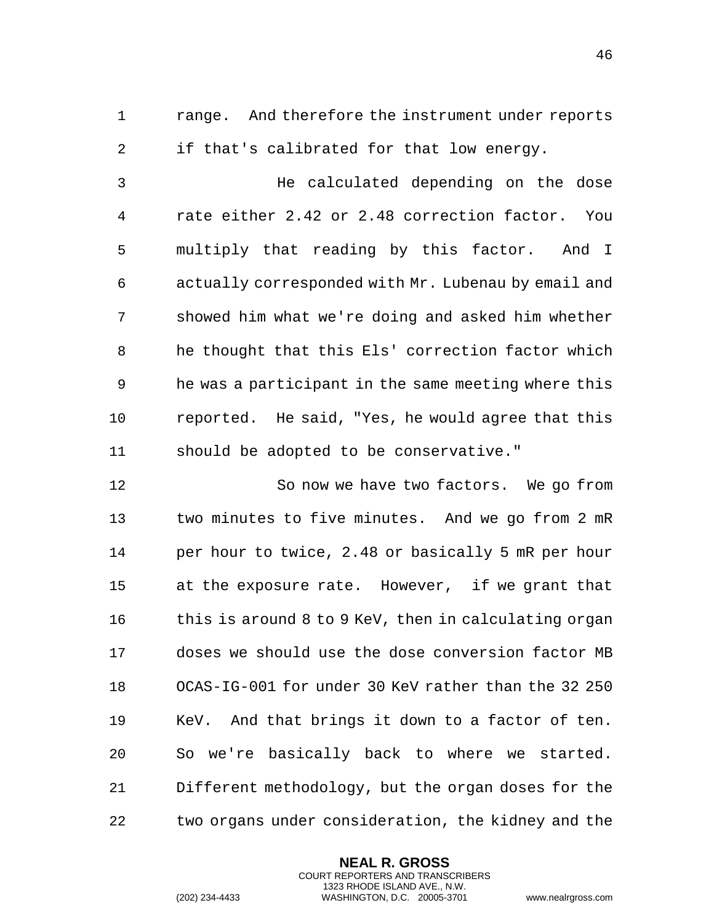range. And therefore the instrument under reports if that's calibrated for that low energy.

 He calculated depending on the dose rate either 2.42 or 2.48 correction factor. You multiply that reading by this factor. And I actually corresponded with Mr. Lubenau by email and showed him what we're doing and asked him whether he thought that this Els' correction factor which he was a participant in the same meeting where this reported. He said, "Yes, he would agree that this should be adopted to be conservative."

 So now we have two factors. We go from two minutes to five minutes. And we go from 2 mR per hour to twice, 2.48 or basically 5 mR per hour at the exposure rate. However, if we grant that 16 this is around 8 to 9 KeV, then in calculating organ doses we should use the dose conversion factor MB OCAS-IG-001 for under 30 KeV rather than the 32 250 KeV. And that brings it down to a factor of ten. So we're basically back to where we started. Different methodology, but the organ doses for the two organs under consideration, the kidney and the

> **NEAL R. GROSS** COURT REPORTERS AND TRANSCRIBERS 1323 RHODE ISLAND AVE., N.W.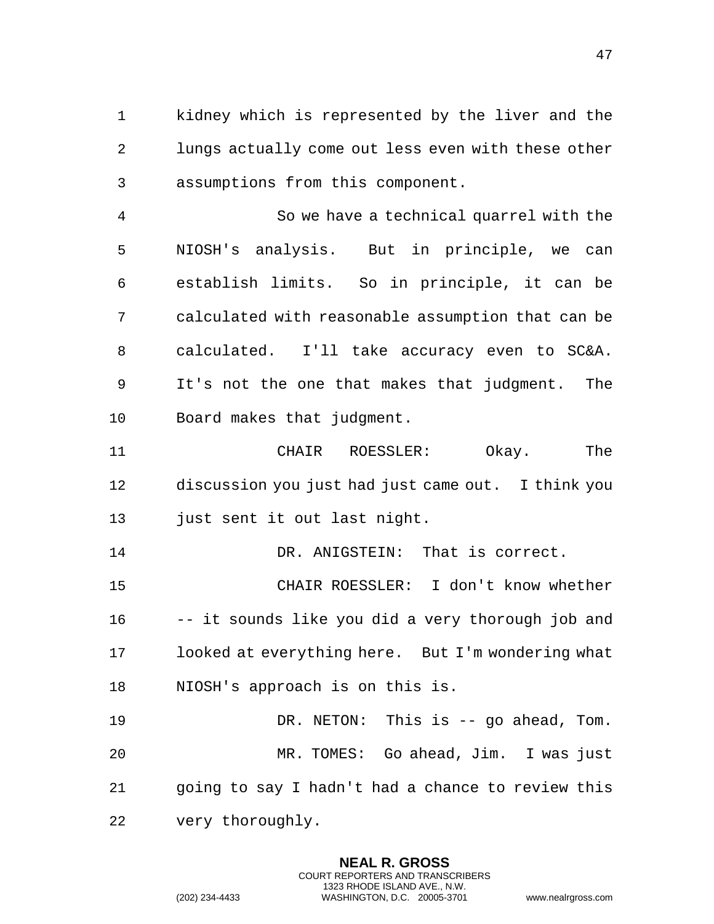kidney which is represented by the liver and the lungs actually come out less even with these other assumptions from this component.

 So we have a technical quarrel with the NIOSH's analysis. But in principle, we can establish limits. So in principle, it can be calculated with reasonable assumption that can be calculated. I'll take accuracy even to SC&A. It's not the one that makes that judgment. The Board makes that judgment.

 CHAIR ROESSLER: Okay. The discussion you just had just came out. I think you just sent it out last night.

14 DR. ANIGSTEIN: That is correct.

 CHAIR ROESSLER: I don't know whether -- it sounds like you did a very thorough job and looked at everything here. But I'm wondering what NIOSH's approach is on this is.

 DR. NETON: This is -- go ahead, Tom. MR. TOMES: Go ahead, Jim. I was just going to say I hadn't had a chance to review this very thoroughly.

> **NEAL R. GROSS** COURT REPORTERS AND TRANSCRIBERS 1323 RHODE ISLAND AVE., N.W.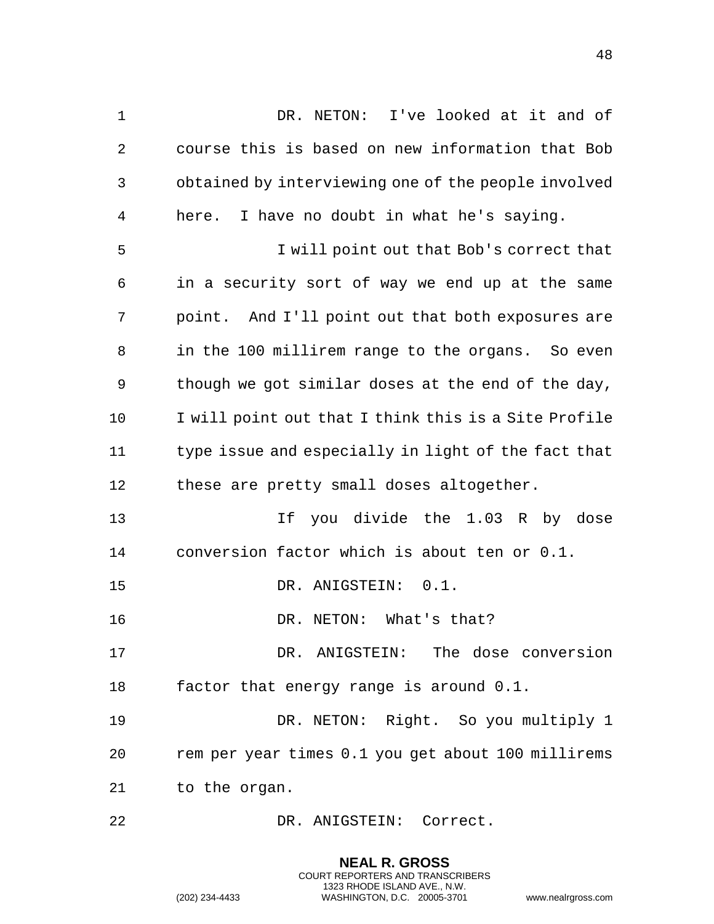1 DR. NETON: I've looked at it and of course this is based on new information that Bob obtained by interviewing one of the people involved here. I have no doubt in what he's saying. I will point out that Bob's correct that in a security sort of way we end up at the same point. And I'll point out that both exposures are in the 100 millirem range to the organs. So even though we got similar doses at the end of the day, I will point out that I think this is a Site Profile type issue and especially in light of the fact that 12 these are pretty small doses altogether. 13 13 If you divide the 1.03 R by dose conversion factor which is about ten or 0.1. DR. ANIGSTEIN: 0.1. DR. NETON: What's that? DR. ANIGSTEIN: The dose conversion factor that energy range is around 0.1. DR. NETON: Right. So you multiply 1 rem per year times 0.1 you get about 100 millirems to the organ. DR. ANIGSTEIN: Correct.

> **NEAL R. GROSS** COURT REPORTERS AND TRANSCRIBERS 1323 RHODE ISLAND AVE., N.W.

(202) 234-4433 WASHINGTON, D.C. 20005-3701 www.nealrgross.com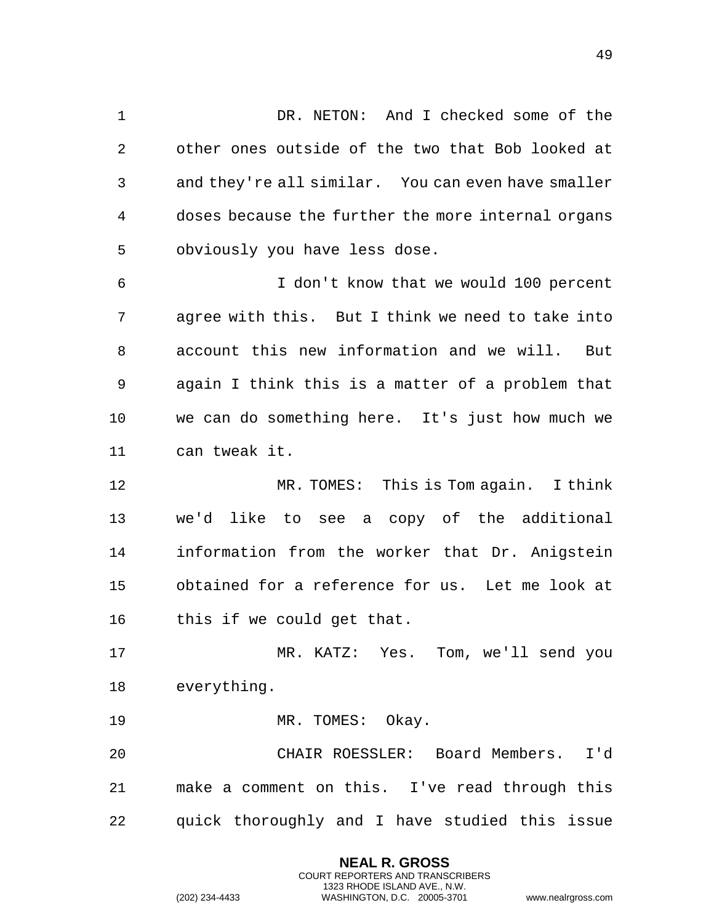1 DR. NETON: And I checked some of the other ones outside of the two that Bob looked at and they're all similar. You can even have smaller doses because the further the more internal organs obviously you have less dose. I don't know that we would 100 percent agree with this. But I think we need to take into account this new information and we will. But again I think this is a matter of a problem that we can do something here. It's just how much we can tweak it. MR. TOMES: This is Tom again. I think we'd like to see a copy of the additional information from the worker that Dr. Anigstein obtained for a reference for us. Let me look at this if we could get that. MR. KATZ: Yes. Tom, we'll send you everything. 19 MR. TOMES: Okay. CHAIR ROESSLER: Board Members. I'd make a comment on this. I've read through this quick thoroughly and I have studied this issue

> **NEAL R. GROSS** COURT REPORTERS AND TRANSCRIBERS 1323 RHODE ISLAND AVE., N.W.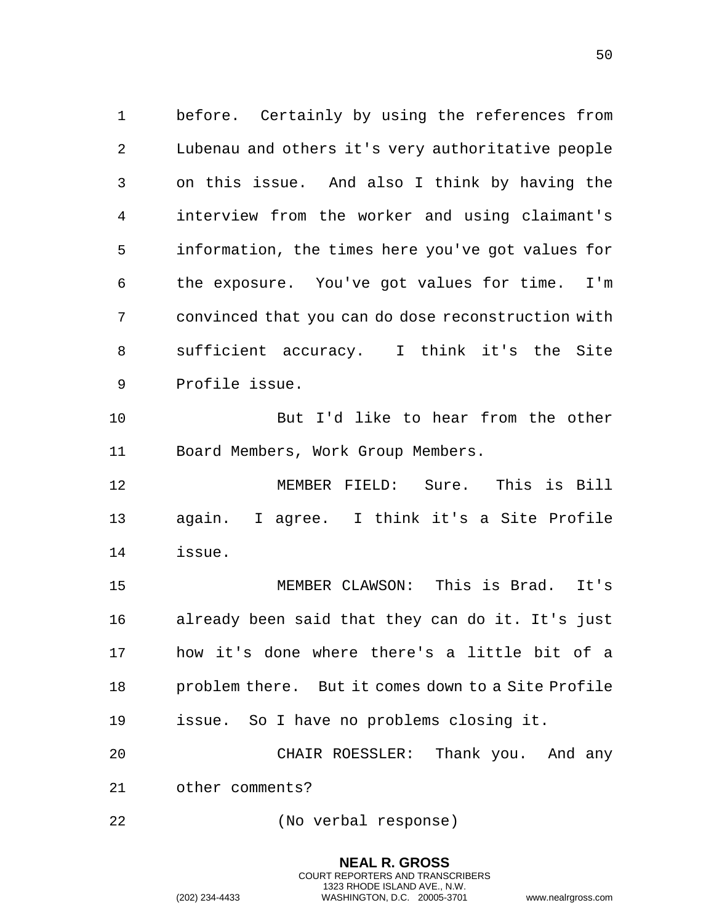before. Certainly by using the references from Lubenau and others it's very authoritative people on this issue. And also I think by having the interview from the worker and using claimant's information, the times here you've got values for the exposure. You've got values for time. I'm convinced that you can do dose reconstruction with sufficient accuracy. I think it's the Site Profile issue.

 But I'd like to hear from the other Board Members, Work Group Members.

 MEMBER FIELD: Sure. This is Bill again. I agree. I think it's a Site Profile issue.

 MEMBER CLAWSON: This is Brad. It's already been said that they can do it. It's just how it's done where there's a little bit of a problem there. But it comes down to a Site Profile issue. So I have no problems closing it.

 CHAIR ROESSLER: Thank you. And any other comments?

> **NEAL R. GROSS** COURT REPORTERS AND TRANSCRIBERS 1323 RHODE ISLAND AVE., N.W.

(No verbal response)

(202) 234-4433 WASHINGTON, D.C. 20005-3701 www.nealrgross.com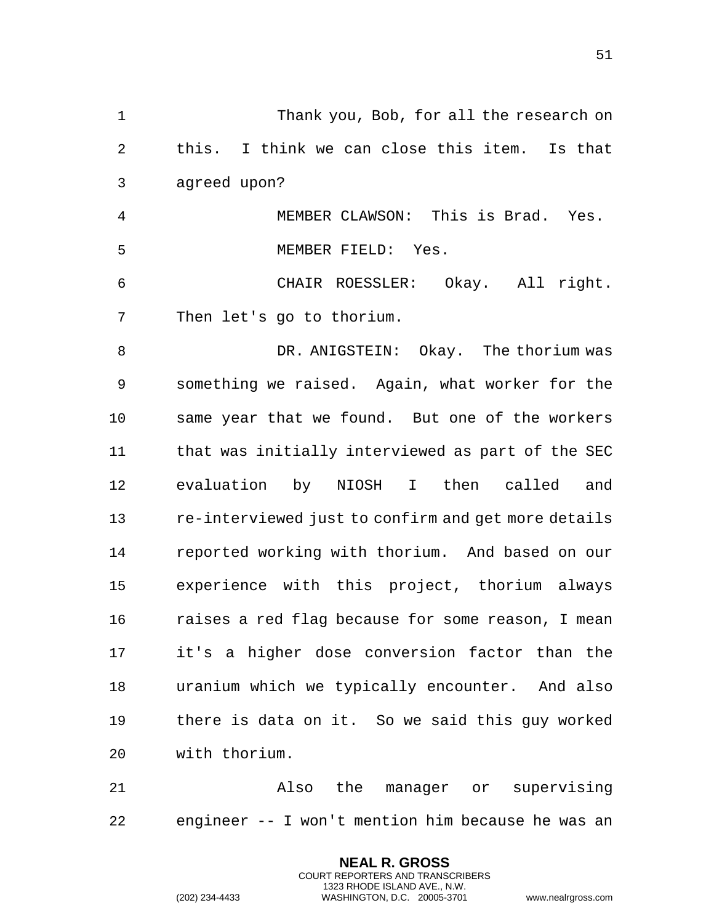| $\mathbf 1$    | Thank you, Bob, for all the research on             |
|----------------|-----------------------------------------------------|
| 2              | this. I think we can close this item. Is that       |
| 3              | agreed upon?                                        |
| $\overline{4}$ | MEMBER CLAWSON: This is Brad. Yes.                  |
| 5              | MEMBER FIELD: Yes.                                  |
| 6              | CHAIR ROESSLER: Okay. All right.                    |
| 7              | Then let's go to thorium.                           |
| 8              | DR. ANIGSTEIN: Okay. The thorium was                |
| 9              | something we raised. Again, what worker for the     |
| 10             | same year that we found. But one of the workers     |
| 11             | that was initially interviewed as part of the SEC   |
| 12             | evaluation by NIOSH I then called<br>and            |
| 13             | re-interviewed just to confirm and get more details |
| 14             | reported working with thorium. And based on our     |
| 15             | experience with this project, thorium always        |
| 16             | raises a red flag because for some reason, I mean   |
| 17             | it's a higher dose conversion factor than the       |
| 18             | uranium which we typically encounter. And also      |
| 19             | there is data on it. So we said this guy worked     |
| 20             | with thorium.                                       |
| 21             | manager or supervising<br>Also<br>the               |

22 engineer -- I won't mention him because he was an

**NEAL R. GROSS** COURT REPORTERS AND TRANSCRIBERS 1323 RHODE ISLAND AVE., N.W.

(202) 234-4433 WASHINGTON, D.C. 20005-3701 www.nealrgross.com

51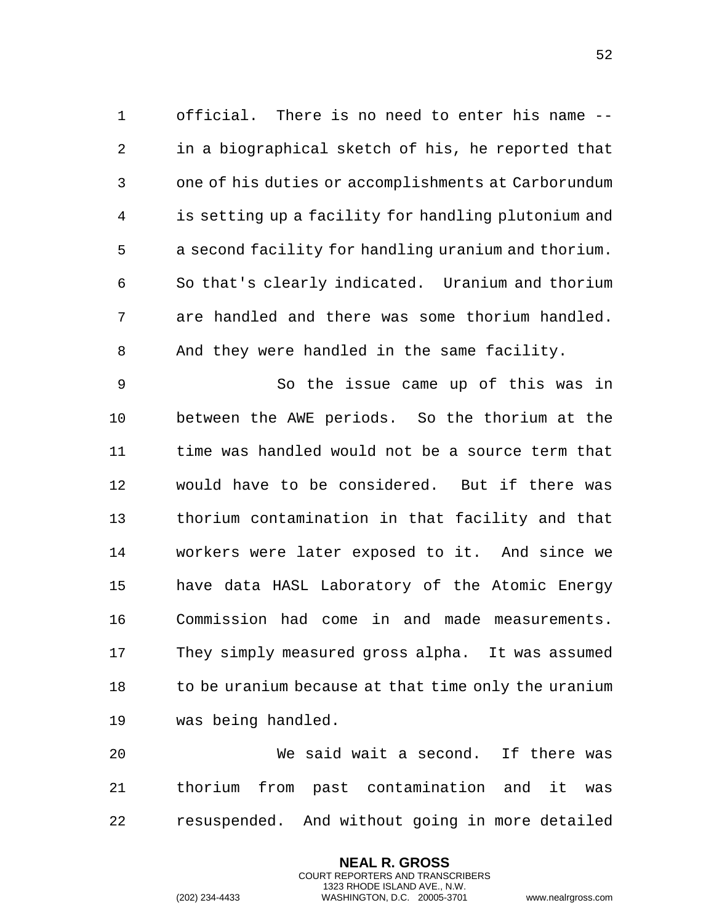1 official. There is no need to enter his name -- 2 in a biographical sketch of his, he reported that 3 one of his duties or accomplishments at Carborundum 4 is setting up a facility for handling plutonium and 5 a second facility for handling uranium and thorium. 6 So that's clearly indicated. Uranium and thorium 7 are handled and there was some thorium handled. 8 And they were handled in the same facility.

9 So the issue came up of this was in 10 between the AWE periods. So the thorium at the 11 time was handled would not be a source term that 12 would have to be considered. But if there was 13 thorium contamination in that facility and that 14 workers were later exposed to it. And since we 15 have data HASL Laboratory of the Atomic Energy 16 Commission had come in and made measurements. 17 They simply measured gross alpha. It was assumed 18 to be uranium because at that time only the uranium 19 was being handled.

20 We said wait a second. If there was 21 thorium from past contamination and it was 22 resuspended. And without going in more detailed

> **NEAL R. GROSS** COURT REPORTERS AND TRANSCRIBERS 1323 RHODE ISLAND AVE., N.W.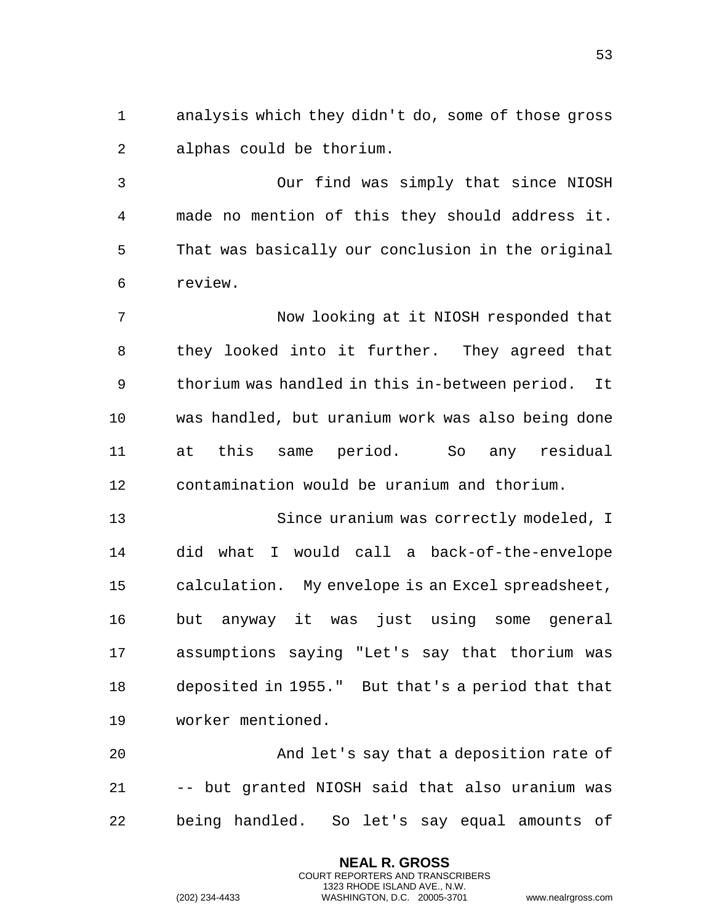analysis which they didn't do, some of those gross alphas could be thorium.

 Our find was simply that since NIOSH made no mention of this they should address it. That was basically our conclusion in the original review.

 Now looking at it NIOSH responded that they looked into it further. They agreed that thorium was handled in this in-between period. It was handled, but uranium work was also being done at this same period. So any residual contamination would be uranium and thorium.

 Since uranium was correctly modeled, I did what I would call a back-of-the-envelope calculation. My envelope is an Excel spreadsheet, but anyway it was just using some general assumptions saying "Let's say that thorium was deposited in 1955." But that's a period that that worker mentioned.

 And let's say that a deposition rate of -- but granted NIOSH said that also uranium was being handled. So let's say equal amounts of

> **NEAL R. GROSS** COURT REPORTERS AND TRANSCRIBERS 1323 RHODE ISLAND AVE., N.W.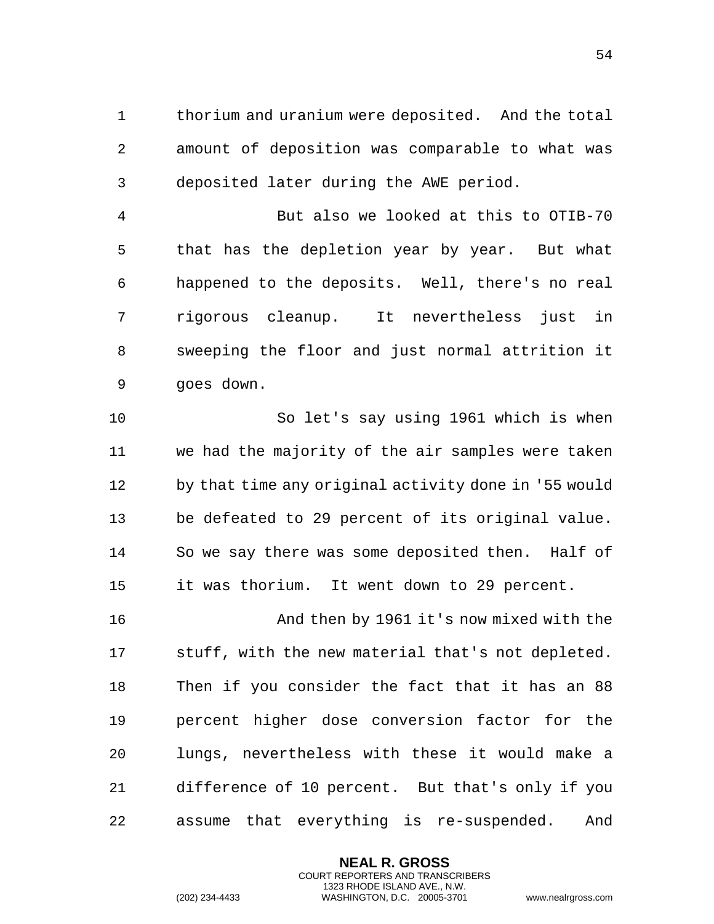thorium and uranium were deposited. And the total amount of deposition was comparable to what was deposited later during the AWE period.

 But also we looked at this to OTIB-70 that has the depletion year by year. But what happened to the deposits. Well, there's no real rigorous cleanup. It nevertheless just in sweeping the floor and just normal attrition it goes down.

 So let's say using 1961 which is when we had the majority of the air samples were taken by that time any original activity done in '55 would be defeated to 29 percent of its original value. So we say there was some deposited then. Half of it was thorium. It went down to 29 percent.

 And then by 1961 it's now mixed with the stuff, with the new material that's not depleted. Then if you consider the fact that it has an 88 percent higher dose conversion factor for the lungs, nevertheless with these it would make a difference of 10 percent. But that's only if you assume that everything is re-suspended. And

> **NEAL R. GROSS** COURT REPORTERS AND TRANSCRIBERS 1323 RHODE ISLAND AVE., N.W.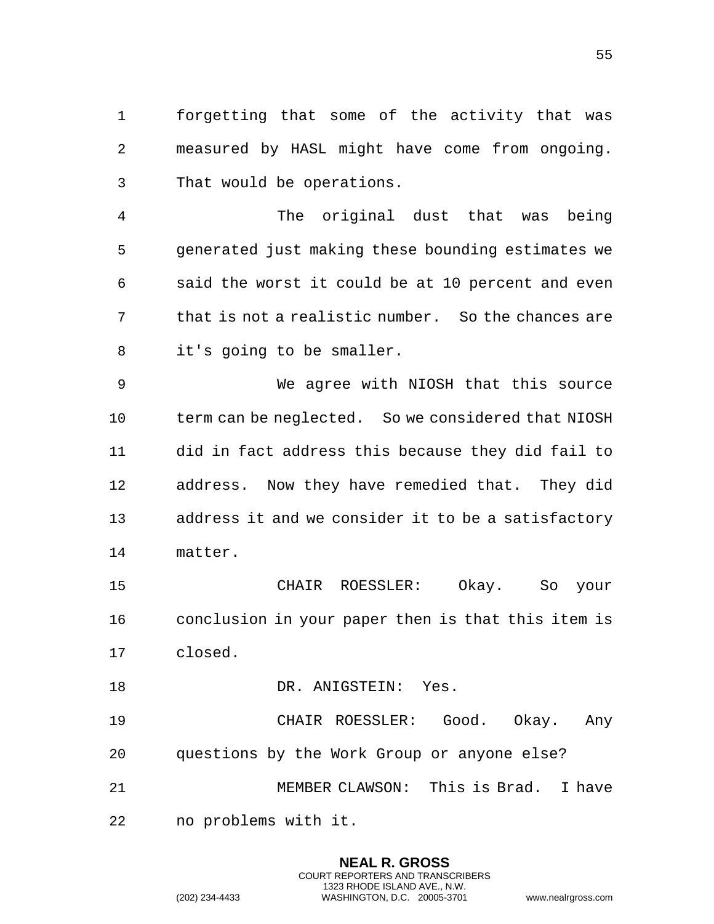forgetting that some of the activity that was measured by HASL might have come from ongoing. That would be operations.

 The original dust that was being generated just making these bounding estimates we said the worst it could be at 10 percent and even that is not a realistic number. So the chances are it's going to be smaller.

 We agree with NIOSH that this source term can be neglected. So we considered that NIOSH did in fact address this because they did fail to address. Now they have remedied that. They did address it and we consider it to be a satisfactory matter.

 CHAIR ROESSLER: Okay. So your conclusion in your paper then is that this item is closed.

18 DR. ANIGSTEIN: Yes.

 CHAIR ROESSLER: Good. Okay. Any questions by the Work Group or anyone else? MEMBER CLAWSON: This is Brad. I have no problems with it.

> **NEAL R. GROSS** COURT REPORTERS AND TRANSCRIBERS 1323 RHODE ISLAND AVE., N.W.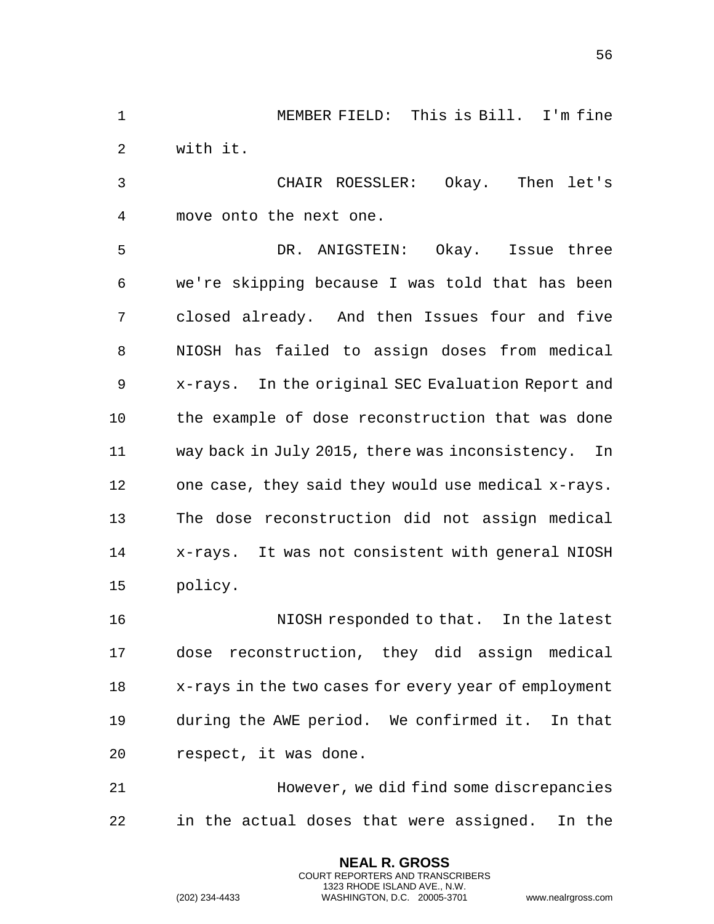MEMBER FIELD: This is Bill. I'm fine with it.

 CHAIR ROESSLER: Okay. Then let's move onto the next one.

 DR. ANIGSTEIN: Okay. Issue three we're skipping because I was told that has been closed already. And then Issues four and five NIOSH has failed to assign doses from medical x-rays. In the original SEC Evaluation Report and the example of dose reconstruction that was done way back in July 2015, there was inconsistency. In one case, they said they would use medical x-rays. The dose reconstruction did not assign medical x-rays. It was not consistent with general NIOSH policy.

 NIOSH responded to that. In the latest dose reconstruction, they did assign medical x-rays in the two cases for every year of employment during the AWE period. We confirmed it. In that respect, it was done.

 However, we did find some discrepancies in the actual doses that were assigned. In the

> **NEAL R. GROSS** COURT REPORTERS AND TRANSCRIBERS 1323 RHODE ISLAND AVE., N.W.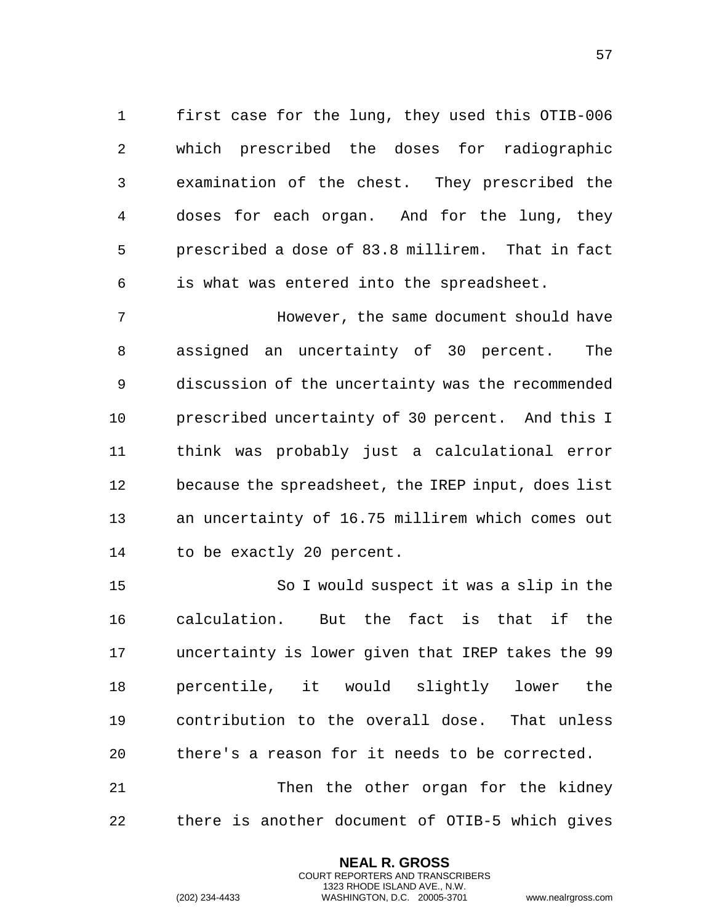first case for the lung, they used this OTIB-006 which prescribed the doses for radiographic examination of the chest. They prescribed the doses for each organ. And for the lung, they prescribed a dose of 83.8 millirem. That in fact is what was entered into the spreadsheet.

 However, the same document should have assigned an uncertainty of 30 percent. The discussion of the uncertainty was the recommended prescribed uncertainty of 30 percent. And this I think was probably just a calculational error because the spreadsheet, the IREP input, does list an uncertainty of 16.75 millirem which comes out to be exactly 20 percent.

 So I would suspect it was a slip in the calculation. But the fact is that if the uncertainty is lower given that IREP takes the 99 percentile, it would slightly lower the contribution to the overall dose. That unless there's a reason for it needs to be corrected. Then the other organ for the kidney

there is another document of OTIB-5 which gives

**NEAL R. GROSS** COURT REPORTERS AND TRANSCRIBERS 1323 RHODE ISLAND AVE., N.W.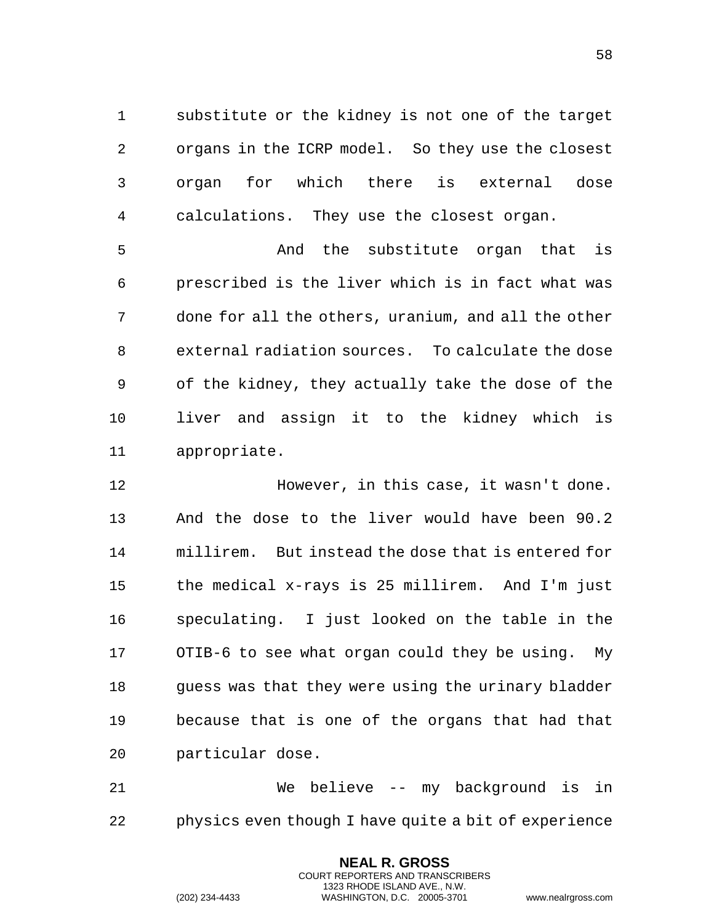substitute or the kidney is not one of the target organs in the ICRP model. So they use the closest organ for which there is external dose calculations. They use the closest organ.

 And the substitute organ that is prescribed is the liver which is in fact what was done for all the others, uranium, and all the other external radiation sources. To calculate the dose of the kidney, they actually take the dose of the liver and assign it to the kidney which is appropriate.

 However, in this case, it wasn't done. And the dose to the liver would have been 90.2 millirem. But instead the dose that is entered for the medical x-rays is 25 millirem. And I'm just speculating. I just looked on the table in the OTIB-6 to see what organ could they be using. My guess was that they were using the urinary bladder because that is one of the organs that had that particular dose.

 We believe -- my background is in physics even though I have quite a bit of experience

> **NEAL R. GROSS** COURT REPORTERS AND TRANSCRIBERS 1323 RHODE ISLAND AVE., N.W.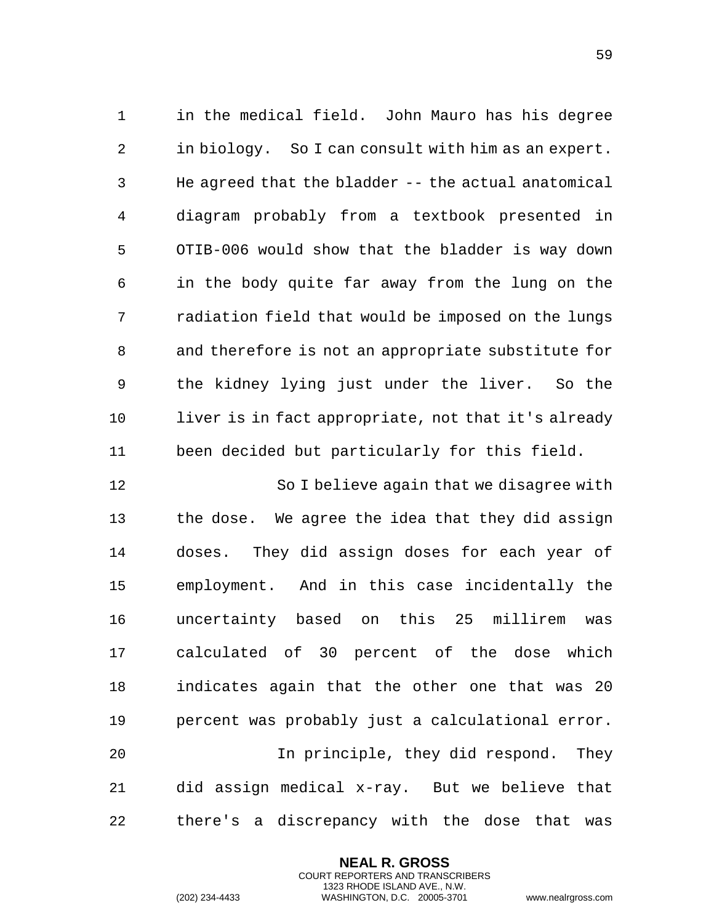in the medical field. John Mauro has his degree in biology. So I can consult with him as an expert. He agreed that the bladder -- the actual anatomical diagram probably from a textbook presented in OTIB-006 would show that the bladder is way down in the body quite far away from the lung on the radiation field that would be imposed on the lungs and therefore is not an appropriate substitute for the kidney lying just under the liver. So the liver is in fact appropriate, not that it's already been decided but particularly for this field.

 So I believe again that we disagree with the dose. We agree the idea that they did assign doses. They did assign doses for each year of employment. And in this case incidentally the uncertainty based on this 25 millirem was calculated of 30 percent of the dose which indicates again that the other one that was 20 percent was probably just a calculational error. In principle, they did respond. They did assign medical x-ray. But we believe that there's a discrepancy with the dose that was

> **NEAL R. GROSS** COURT REPORTERS AND TRANSCRIBERS 1323 RHODE ISLAND AVE., N.W.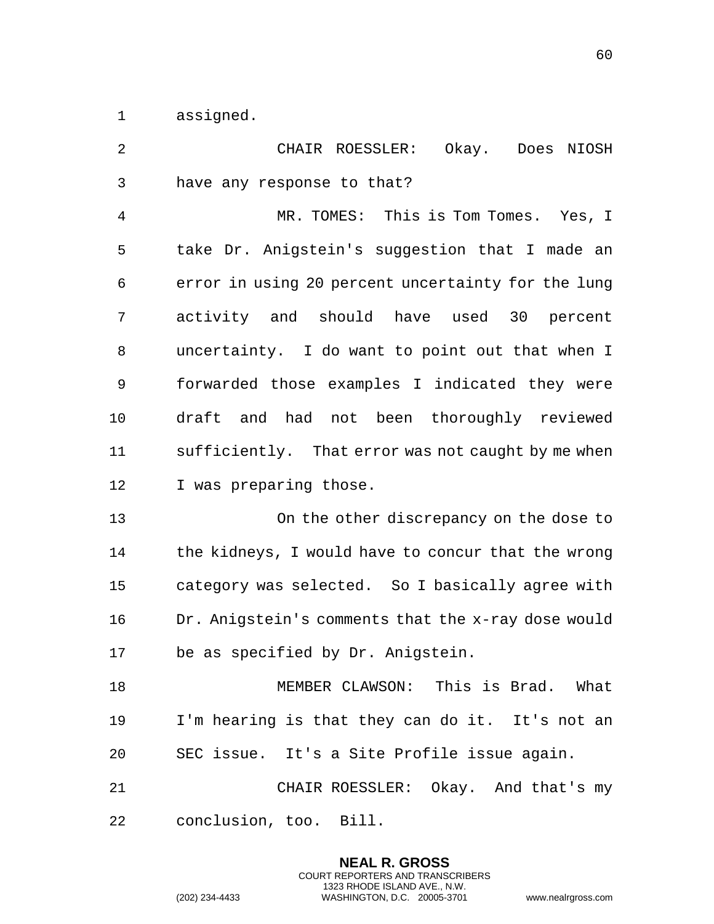assigned.

| 2  | CHAIR ROESSLER:<br>Okay. Does NIOSH                |
|----|----------------------------------------------------|
| 3  | have any response to that?                         |
| 4  | MR. TOMES: This is Tom Tomes. Yes, I               |
| 5  | take Dr. Anigstein's suggestion that I made an     |
| 6  | error in using 20 percent uncertainty for the lung |
| 7  | activity and should have used 30 percent           |
| 8  | uncertainty. I do want to point out that when I    |
| 9  | forwarded those examples I indicated they were     |
| 10 | draft and had not been thoroughly reviewed         |
| 11 | sufficiently. That error was not caught by me when |
| 12 | I was preparing those.                             |
| 13 | On the other discrepancy on the dose to            |
| 14 | the kidneys, I would have to concur that the wrong |
| 15 | category was selected. So I basically agree with   |
| 16 | Dr. Anigstein's comments that the x-ray dose would |
| 17 | be as specified by Dr. Anigstein.                  |
| 18 | MEMBER CLAWSON: This is Brad. What                 |
| 19 | I'm hearing is that they can do it. It's not an    |
| 20 | SEC issue. It's a Site Profile issue again.        |
| 21 | CHAIR ROESSLER: Okay. And that's my                |
| 22 | conclusion, too. Bill.                             |
|    |                                                    |

**NEAL R. GROSS** COURT REPORTERS AND TRANSCRIBERS 1323 RHODE ISLAND AVE., N.W.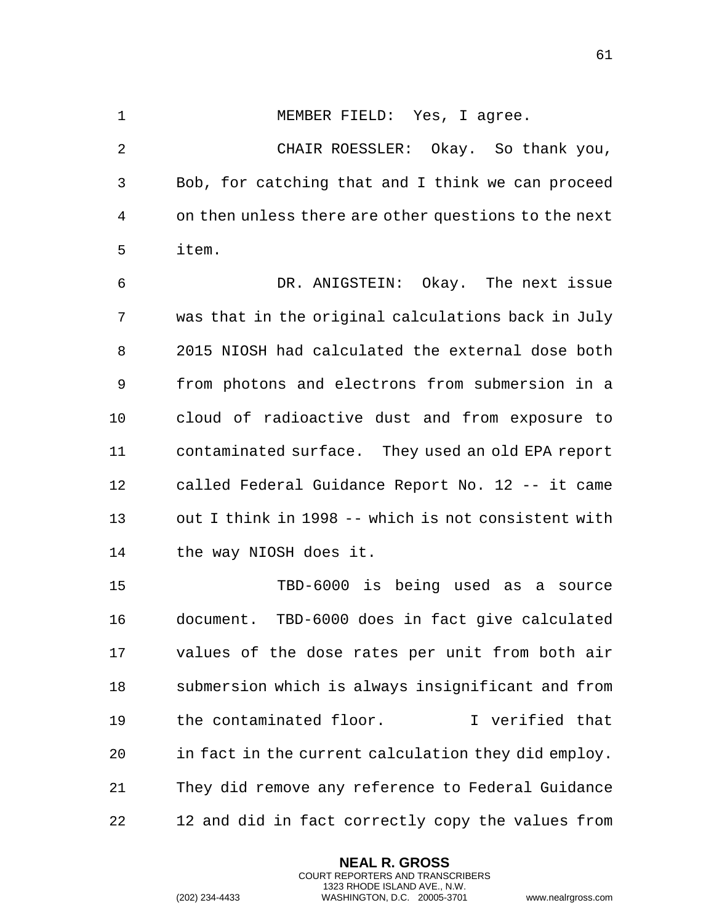1 MEMBER FIELD: Yes, I agree.

 CHAIR ROESSLER: Okay. So thank you, Bob, for catching that and I think we can proceed on then unless there are other questions to the next item.

 DR. ANIGSTEIN: Okay. The next issue was that in the original calculations back in July 2015 NIOSH had calculated the external dose both from photons and electrons from submersion in a cloud of radioactive dust and from exposure to contaminated surface. They used an old EPA report called Federal Guidance Report No. 12 -- it came out I think in 1998 -- which is not consistent with the way NIOSH does it.

 TBD-6000 is being used as a source document. TBD-6000 does in fact give calculated values of the dose rates per unit from both air submersion which is always insignificant and from the contaminated floor. I verified that in fact in the current calculation they did employ. They did remove any reference to Federal Guidance 12 and did in fact correctly copy the values from

> **NEAL R. GROSS** COURT REPORTERS AND TRANSCRIBERS 1323 RHODE ISLAND AVE., N.W.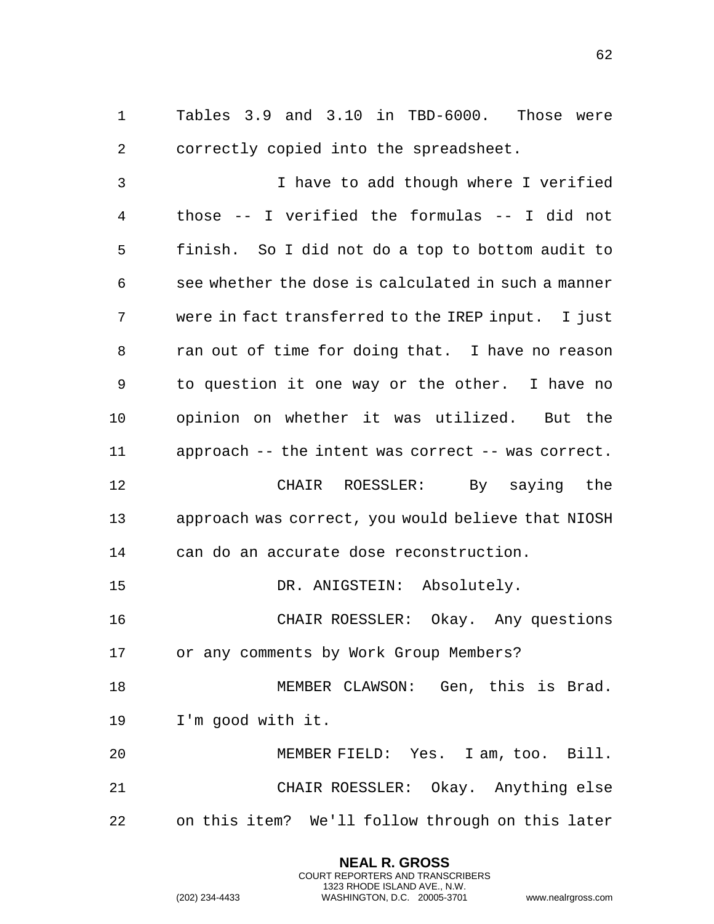Tables 3.9 and 3.10 in TBD-6000. Those were correctly copied into the spreadsheet.

 I have to add though where I verified those -- I verified the formulas -- I did not finish. So I did not do a top to bottom audit to see whether the dose is calculated in such a manner were in fact transferred to the IREP input. I just ran out of time for doing that. I have no reason to question it one way or the other. I have no opinion on whether it was utilized. But the approach -- the intent was correct -- was correct. CHAIR ROESSLER: By saying the approach was correct, you would believe that NIOSH can do an accurate dose reconstruction. 15 DR. ANIGSTEIN: Absolutely. CHAIR ROESSLER: Okay. Any questions or any comments by Work Group Members?

18 MEMBER CLAWSON: Gen, this is Brad. I'm good with it.

 MEMBER FIELD: Yes. I am, too. Bill. CHAIR ROESSLER: Okay. Anything else on this item? We'll follow through on this later

> **NEAL R. GROSS** COURT REPORTERS AND TRANSCRIBERS 1323 RHODE ISLAND AVE., N.W.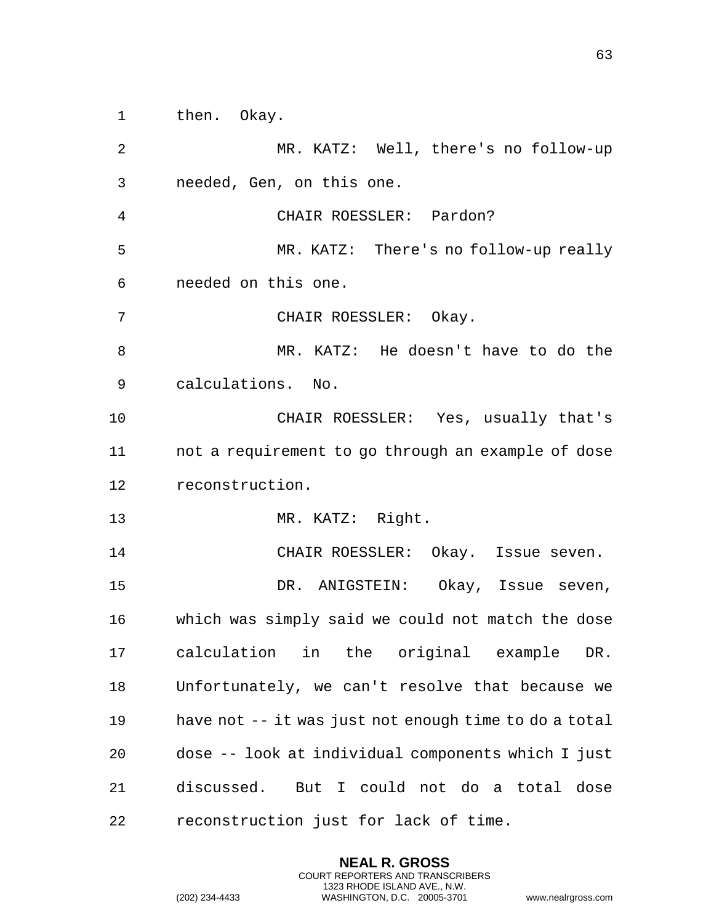then. Okay.

 MR. KATZ: Well, there's no follow-up needed, Gen, on this one. CHAIR ROESSLER: Pardon? MR. KATZ: There's no follow-up really needed on this one. CHAIR ROESSLER: Okay. MR. KATZ: He doesn't have to do the calculations. No. CHAIR ROESSLER: Yes, usually that's not a requirement to go through an example of dose reconstruction. MR. KATZ: Right. CHAIR ROESSLER: Okay. Issue seven. DR. ANIGSTEIN: Okay, Issue seven, which was simply said we could not match the dose calculation in the original example DR. Unfortunately, we can't resolve that because we have not -- it was just not enough time to do a total dose -- look at individual components which I just discussed. But I could not do a total dose reconstruction just for lack of time.

> **NEAL R. GROSS** COURT REPORTERS AND TRANSCRIBERS 1323 RHODE ISLAND AVE., N.W.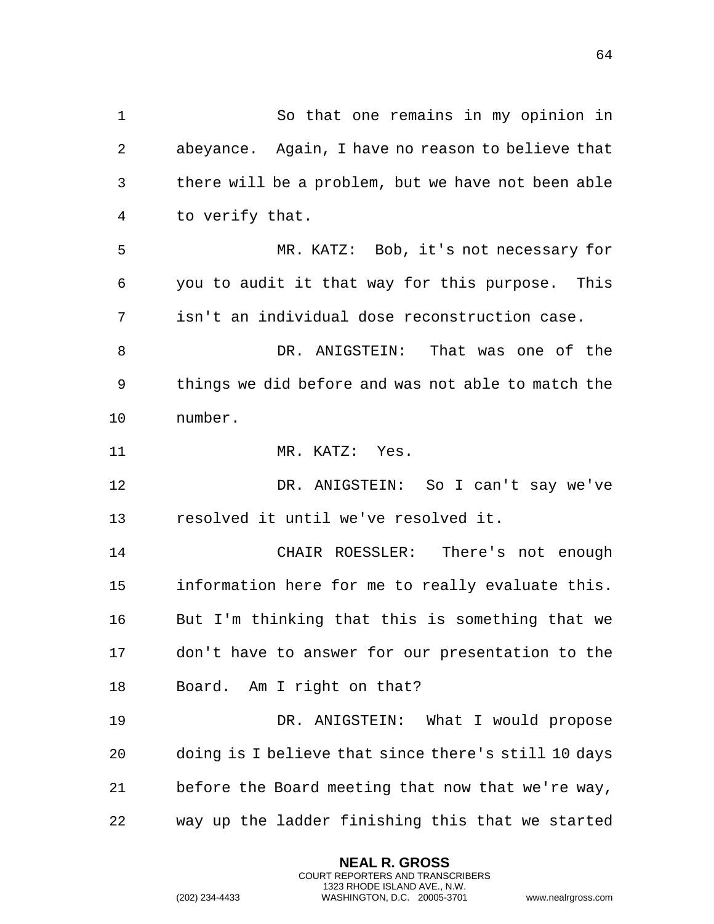So that one remains in my opinion in abeyance. Again, I have no reason to believe that there will be a problem, but we have not been able to verify that. MR. KATZ: Bob, it's not necessary for you to audit it that way for this purpose. This isn't an individual dose reconstruction case. DR. ANIGSTEIN: That was one of the things we did before and was not able to match the number. MR. KATZ: Yes. DR. ANIGSTEIN: So I can't say we've resolved it until we've resolved it. CHAIR ROESSLER: There's not enough information here for me to really evaluate this. But I'm thinking that this is something that we don't have to answer for our presentation to the Board. Am I right on that? DR. ANIGSTEIN: What I would propose doing is I believe that since there's still 10 days before the Board meeting that now that we're way, way up the ladder finishing this that we started

> **NEAL R. GROSS** COURT REPORTERS AND TRANSCRIBERS 1323 RHODE ISLAND AVE., N.W.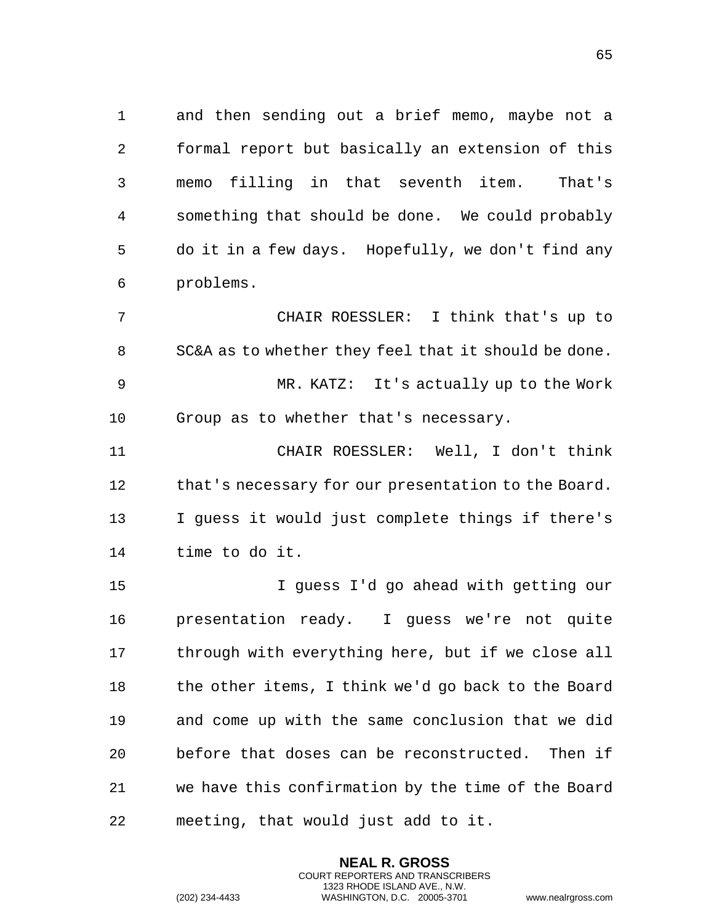1 and then sending out a brief memo, maybe not a 2 formal report but basically an extension of this 3 memo filling in that seventh item. That's 4 something that should be done. We could probably 5 do it in a few days. Hopefully, we don't find any 6 problems.

7 CHAIR ROESSLER: I think that's up to 8 SC&A as to whether they feel that it should be done. 9 MR. KATZ: It's actually up to the Work 10 Group as to whether that's necessary.

11 CHAIR ROESSLER: Well, I don't think 12 that's necessary for our presentation to the Board. 13 I guess it would just complete things if there's 14 time to do it.

15 I guess I'd go ahead with getting our 16 presentation ready. I guess we're not quite 17 through with everything here, but if we close all 18 the other items, I think we'd go back to the Board 19 and come up with the same conclusion that we did 20 before that doses can be reconstructed. Then if 21 we have this confirmation by the time of the Board 22 meeting, that would just add to it.

> **NEAL R. GROSS** COURT REPORTERS AND TRANSCRIBERS 1323 RHODE ISLAND AVE., N.W.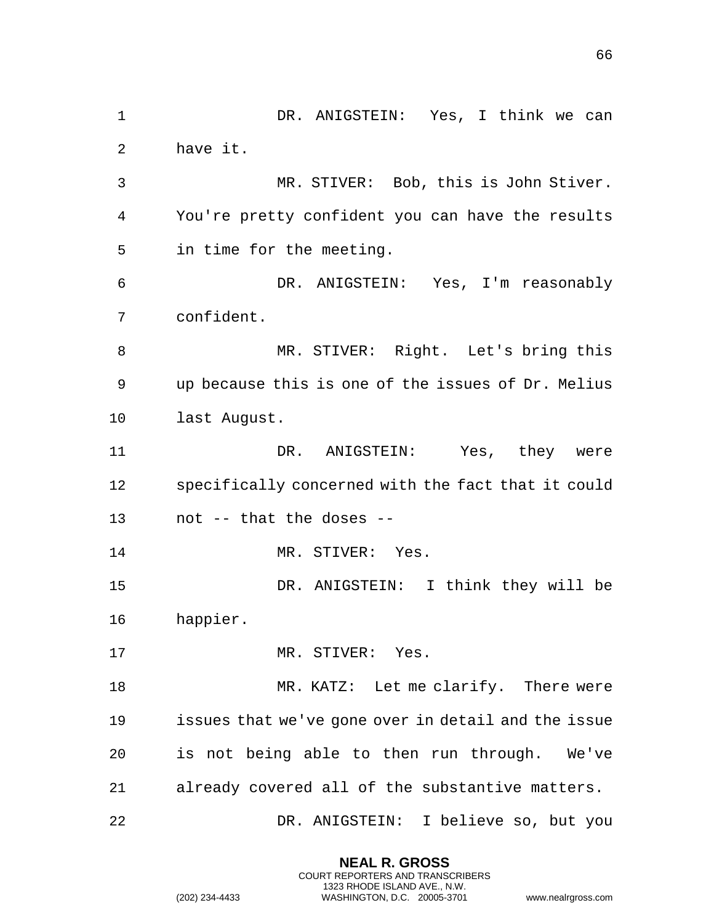1 DR. ANIGSTEIN: Yes, I think we can have it. MR. STIVER: Bob, this is John Stiver. You're pretty confident you can have the results in time for the meeting. DR. ANIGSTEIN: Yes, I'm reasonably confident. MR. STIVER: Right. Let's bring this up because this is one of the issues of Dr. Melius last August. DR. ANIGSTEIN: Yes, they were specifically concerned with the fact that it could not -- that the doses -- 14 MR. STIVER: Yes. DR. ANIGSTEIN: I think they will be happier. 17 MR. STIVER: Yes. 18 MR. KATZ: Let me clarify. There were issues that we've gone over in detail and the issue is not being able to then run through. We've already covered all of the substantive matters. DR. ANIGSTEIN: I believe so, but you

> **NEAL R. GROSS** COURT REPORTERS AND TRANSCRIBERS 1323 RHODE ISLAND AVE., N.W.

(202) 234-4433 WASHINGTON, D.C. 20005-3701 www.nealrgross.com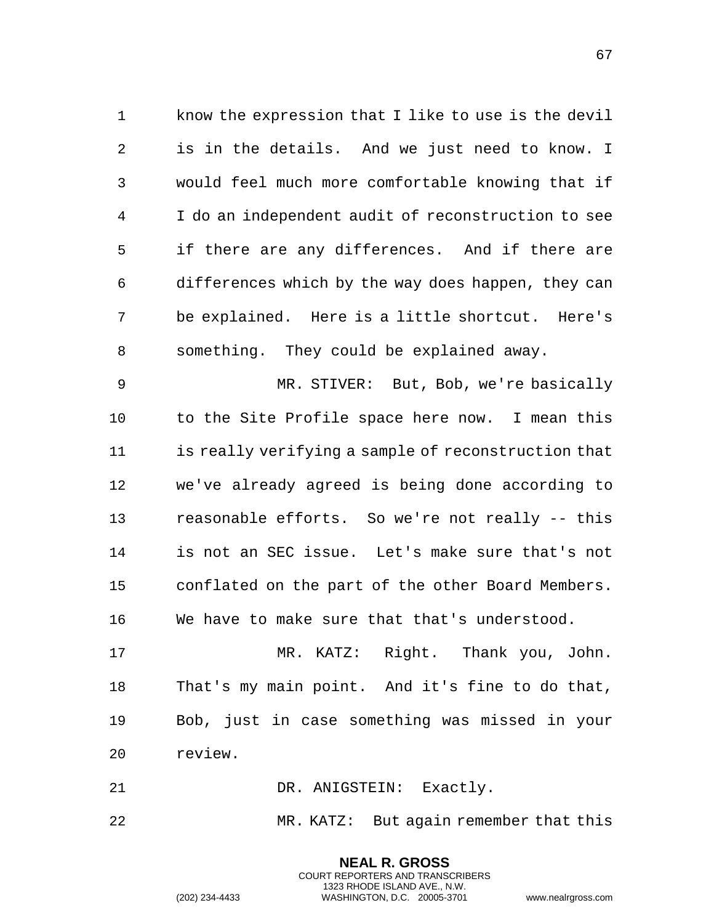know the expression that I like to use is the devil is in the details. And we just need to know. I would feel much more comfortable knowing that if I do an independent audit of reconstruction to see if there are any differences. And if there are differences which by the way does happen, they can be explained. Here is a little shortcut. Here's something. They could be explained away.

 MR. STIVER: But, Bob, we're basically to the Site Profile space here now. I mean this is really verifying a sample of reconstruction that we've already agreed is being done according to reasonable efforts. So we're not really -- this is not an SEC issue. Let's make sure that's not conflated on the part of the other Board Members. We have to make sure that that's understood.

 MR. KATZ: Right. Thank you, John. That's my main point. And it's fine to do that, Bob, just in case something was missed in your review.

21 DR. ANIGSTEIN: Exactly.

MR. KATZ: But again remember that this

**NEAL R. GROSS** COURT REPORTERS AND TRANSCRIBERS 1323 RHODE ISLAND AVE., N.W.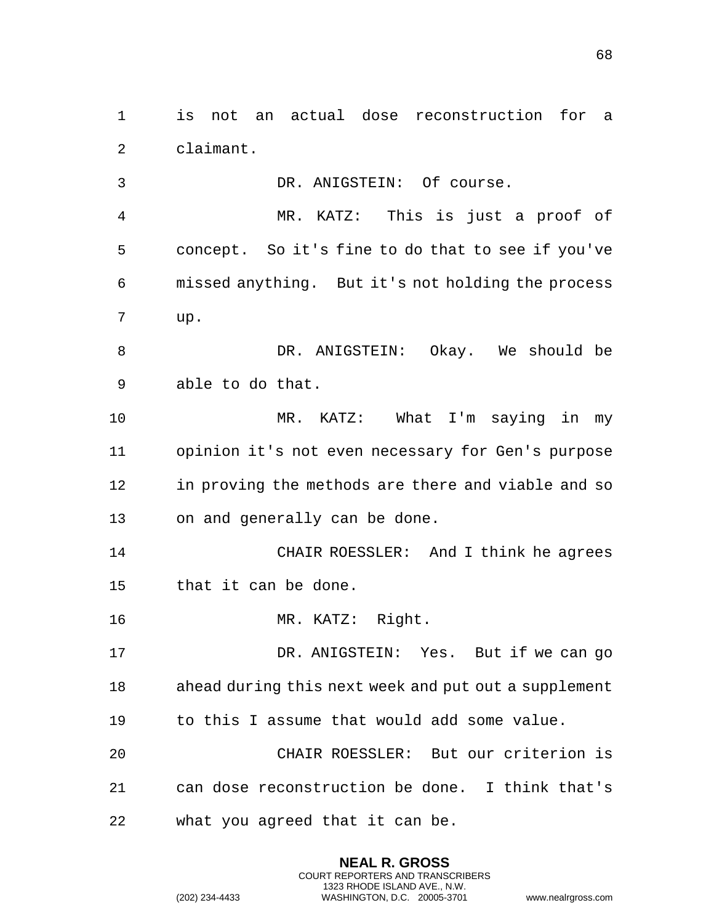is not an actual dose reconstruction for a claimant.

 DR. ANIGSTEIN: Of course. MR. KATZ: This is just a proof of concept. So it's fine to do that to see if you've missed anything. But it's not holding the process up. DR. ANIGSTEIN: Okay. We should be able to do that. MR. KATZ: What I'm saying in my opinion it's not even necessary for Gen's purpose in proving the methods are there and viable and so on and generally can be done. CHAIR ROESSLER: And I think he agrees that it can be done. MR. KATZ: Right. DR. ANIGSTEIN: Yes. But if we can go ahead during this next week and put out a supplement to this I assume that would add some value. CHAIR ROESSLER: But our criterion is can dose reconstruction be done. I think that's what you agreed that it can be.

> **NEAL R. GROSS** COURT REPORTERS AND TRANSCRIBERS 1323 RHODE ISLAND AVE., N.W.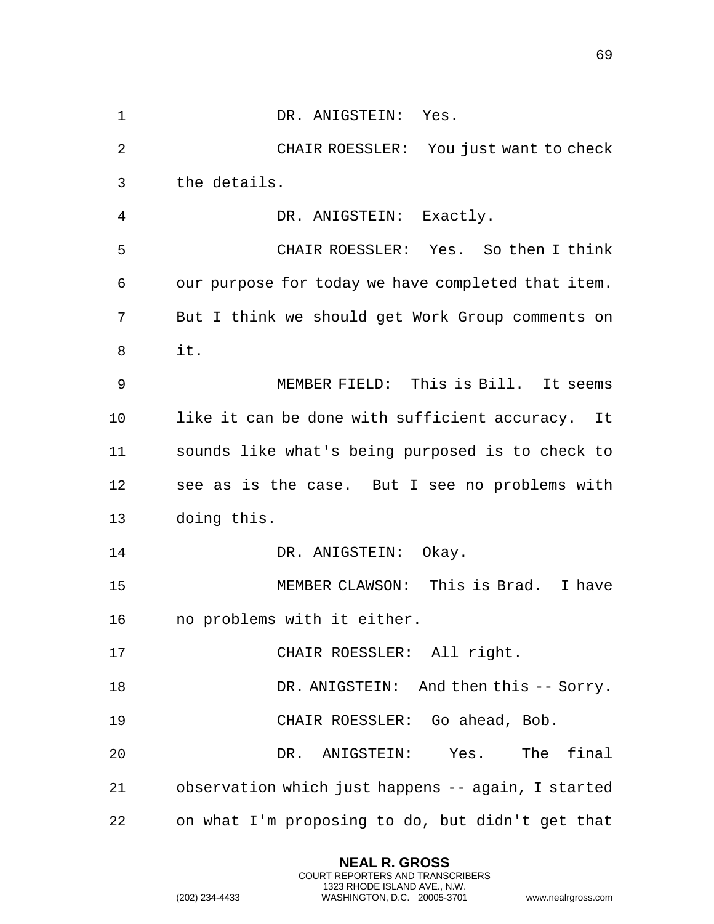| 1  | DR. ANIGSTEIN: Yes.                                |
|----|----------------------------------------------------|
| 2  | CHAIR ROESSLER: You just want to check             |
| 3  | the details.                                       |
| 4  | DR. ANIGSTEIN: Exactly.                            |
| 5  | CHAIR ROESSLER: Yes. So then I think               |
| 6  | our purpose for today we have completed that item. |
| 7  | But I think we should get Work Group comments on   |
| 8  | it.                                                |
| 9  | MEMBER FIELD: This is Bill. It seems               |
| 10 | like it can be done with sufficient accuracy. It   |
| 11 | sounds like what's being purposed is to check to   |
| 12 | see as is the case. But I see no problems with     |
| 13 | doing this.                                        |
| 14 | DR. ANIGSTEIN: Okay.                               |
| 15 | MEMBER CLAWSON: This is Brad. I have               |
| 16 | no problems with it either.                        |
| 17 | CHAIR ROESSLER: All right.                         |
| 18 | DR. ANIGSTEIN: And then this -- Sorry.             |
| 19 | CHAIR ROESSLER: Go ahead, Bob.                     |
| 20 | DR. ANIGSTEIN: Yes. The final                      |
| 21 | observation which just happens -- again, I started |
| 22 | on what I'm proposing to do, but didn't get that   |

**NEAL R. GROSS** COURT REPORTERS AND TRANSCRIBERS 1323 RHODE ISLAND AVE., N.W.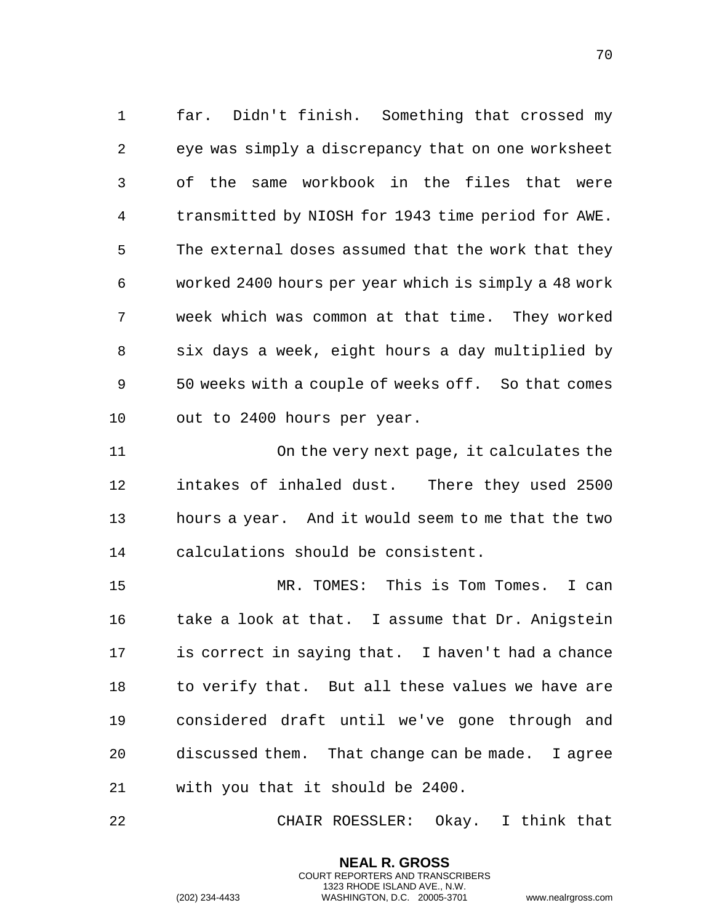far. Didn't finish. Something that crossed my eye was simply a discrepancy that on one worksheet of the same workbook in the files that were transmitted by NIOSH for 1943 time period for AWE. The external doses assumed that the work that they worked 2400 hours per year which is simply a 48 work week which was common at that time. They worked six days a week, eight hours a day multiplied by 50 weeks with a couple of weeks off. So that comes out to 2400 hours per year.

 On the very next page, it calculates the intakes of inhaled dust. There they used 2500 hours a year. And it would seem to me that the two calculations should be consistent.

 MR. TOMES: This is Tom Tomes. I can 16 take a look at that. I assume that Dr. Anigstein is correct in saying that. I haven't had a chance 18 to verify that. But all these values we have are considered draft until we've gone through and discussed them. That change can be made. I agree with you that it should be 2400.

CHAIR ROESSLER: Okay. I think that

**NEAL R. GROSS** COURT REPORTERS AND TRANSCRIBERS 1323 RHODE ISLAND AVE., N.W.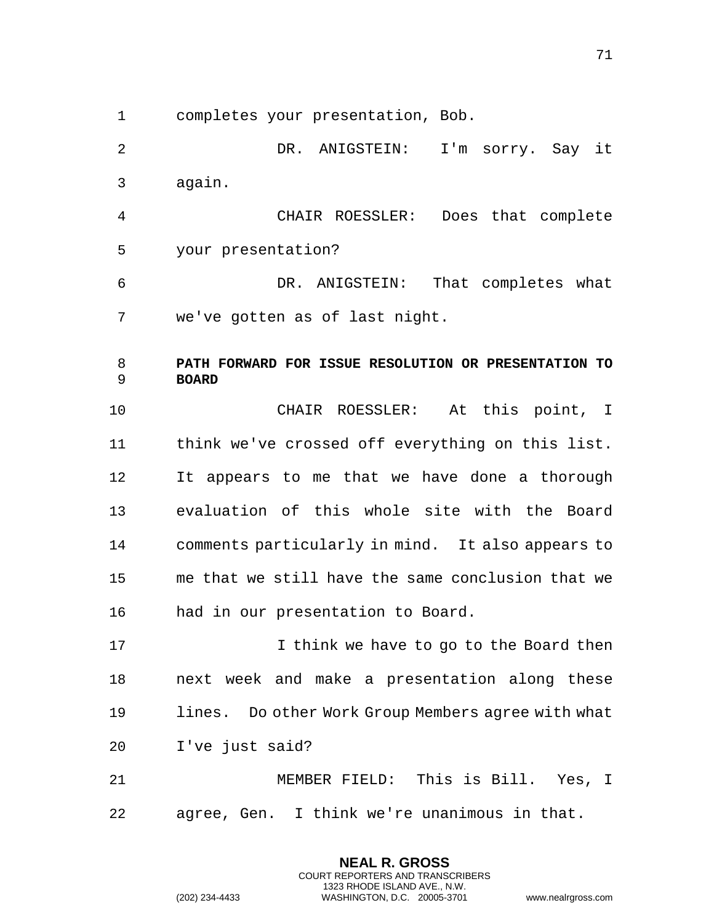1 completes your presentation, Bob.

2 DR. ANIGSTEIN: I'm sorry. Say it 3 again. 4 CHAIR ROESSLER: Does that complete 5 your presentation? 6 DR. ANIGSTEIN: That completes what 7 we've gotten as of last night. 8 **PATH FORWARD FOR ISSUE RESOLUTION OR PRESENTATION TO**  9 **BOARD**  10 CHAIR ROESSLER: At this point, I 11 think we've crossed off everything on this list. 12 It appears to me that we have done a thorough 13 evaluation of this whole site with the Board 14 comments particularly in mind. It also appears to 15 me that we still have the same conclusion that we 16 had in our presentation to Board. 17 I think we have to go to the Board then 18 next week and make a presentation along these 19 lines. Do other Work Group Members agree with what 20 I've just said? 21 MEMBER FIELD: This is Bill. Yes, I 22 agree, Gen. I think we're unanimous in that.

> **NEAL R. GROSS** COURT REPORTERS AND TRANSCRIBERS 1323 RHODE ISLAND AVE., N.W.

(202) 234-4433 WASHINGTON, D.C. 20005-3701 www.nealrgross.com

71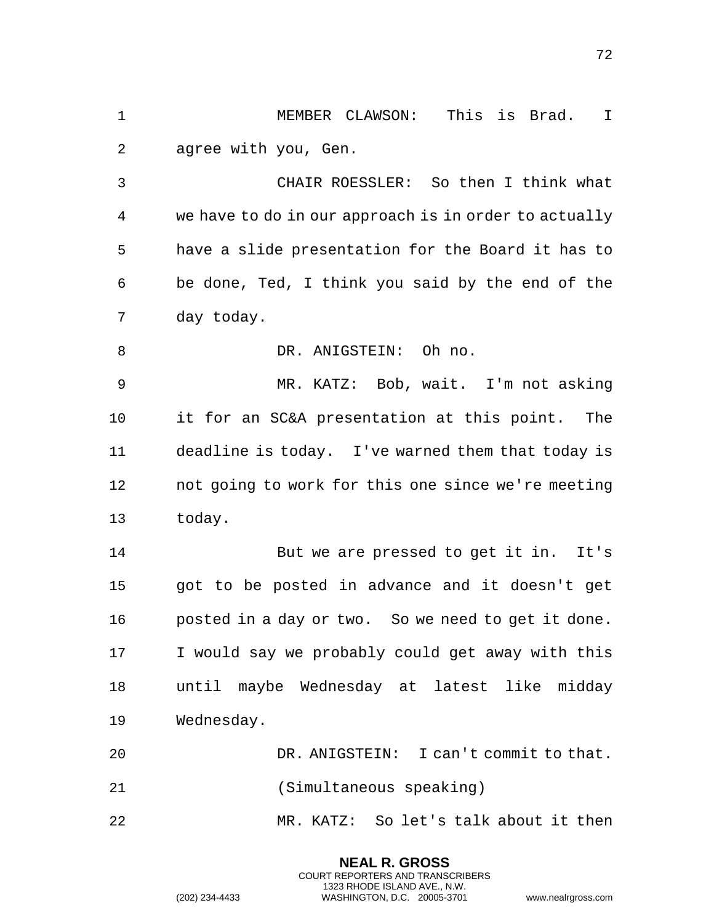1 MEMBER CLAWSON: This is Brad. I 2 agree with you, Gen.

3 CHAIR ROESSLER: So then I think what 4 we have to do in our approach is in order to actually 5 have a slide presentation for the Board it has to 6 be done, Ted, I think you said by the end of the 7 day today.

8 DR. ANIGSTEIN: Oh no.

9 MR. KATZ: Bob, wait. I'm not asking 10 it for an SC&A presentation at this point. The 11 deadline is today. I've warned them that today is 12 not going to work for this one since we're meeting 13 today.

14 But we are pressed to get it in. It's 15 got to be posted in advance and it doesn't get 16 posted in a day or two. So we need to get it done. 17 I would say we probably could get away with this 18 until maybe Wednesday at latest like midday 19 Wednesday.

20 DR. ANIGSTEIN: I can't commit to that. 21 (Simultaneous speaking) 22 MR. KATZ: So let's talk about it then

> **NEAL R. GROSS** COURT REPORTERS AND TRANSCRIBERS 1323 RHODE ISLAND AVE., N.W.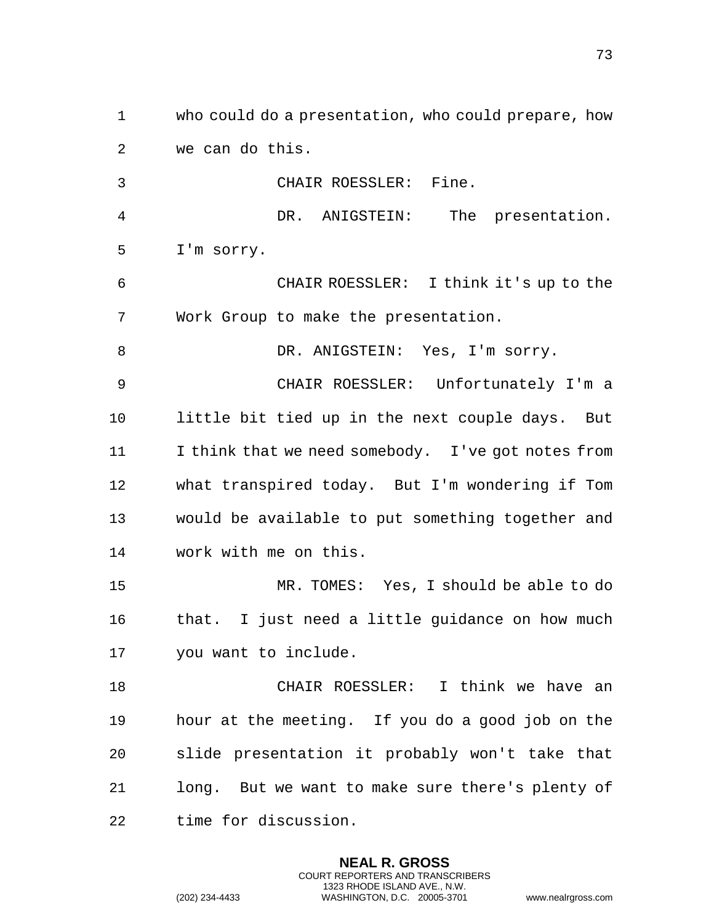1 who could do a presentation, who could prepare, how 2 we can do this. 3 CHAIR ROESSLER: Fine. 4 DR. ANIGSTEIN: The presentation. 5 I'm sorry. 6 CHAIR ROESSLER: I think it's up to the 7 Work Group to make the presentation. 8 DR. ANIGSTEIN: Yes, I'm sorry. 9 CHAIR ROESSLER: Unfortunately I'm a 10 little bit tied up in the next couple days. But 11 I think that we need somebody. I've got notes from 12 what transpired today. But I'm wondering if Tom 13 would be available to put something together and 14 work with me on this. 15 MR. TOMES: Yes, I should be able to do 16 that. I just need a little guidance on how much 17 you want to include. 18 CHAIR ROESSLER: I think we have an 19 hour at the meeting. If you do a good job on the 20 slide presentation it probably won't take that 21 long. But we want to make sure there's plenty of 22 time for discussion.

> **NEAL R. GROSS** COURT REPORTERS AND TRANSCRIBERS 1323 RHODE ISLAND AVE., N.W.

(202) 234-4433 WASHINGTON, D.C. 20005-3701 www.nealrgross.com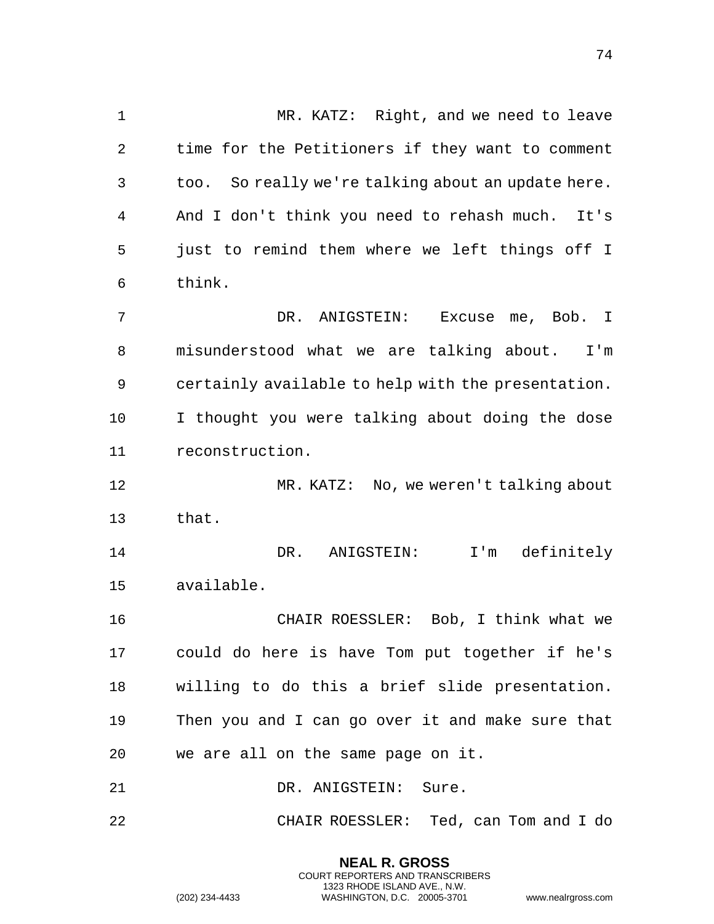1 MR. KATZ: Right, and we need to leave 2 time for the Petitioners if they want to comment 3 too. So really we're talking about an update here. 4 And I don't think you need to rehash much. It's 5 just to remind them where we left things off I 6 think. 7 DR. ANIGSTEIN: Excuse me, Bob. I 8 misunderstood what we are talking about. I'm 9 certainly available to help with the presentation. 10 I thought you were talking about doing the dose 11 reconstruction. 12 MR. KATZ: No, we weren't talking about 13 that. 14 DR. ANIGSTEIN: I'm definitely 15 available. 16 CHAIR ROESSLER: Bob, I think what we 17 could do here is have Tom put together if he's 18 willing to do this a brief slide presentation. 19 Then you and I can go over it and make sure that 20 we are all on the same page on it. 21 DR. ANIGSTEIN: Sure. 22 CHAIR ROESSLER: Ted, can Tom and I do

> **NEAL R. GROSS** COURT REPORTERS AND TRANSCRIBERS 1323 RHODE ISLAND AVE., N.W.

(202) 234-4433 WASHINGTON, D.C. 20005-3701 www.nealrgross.com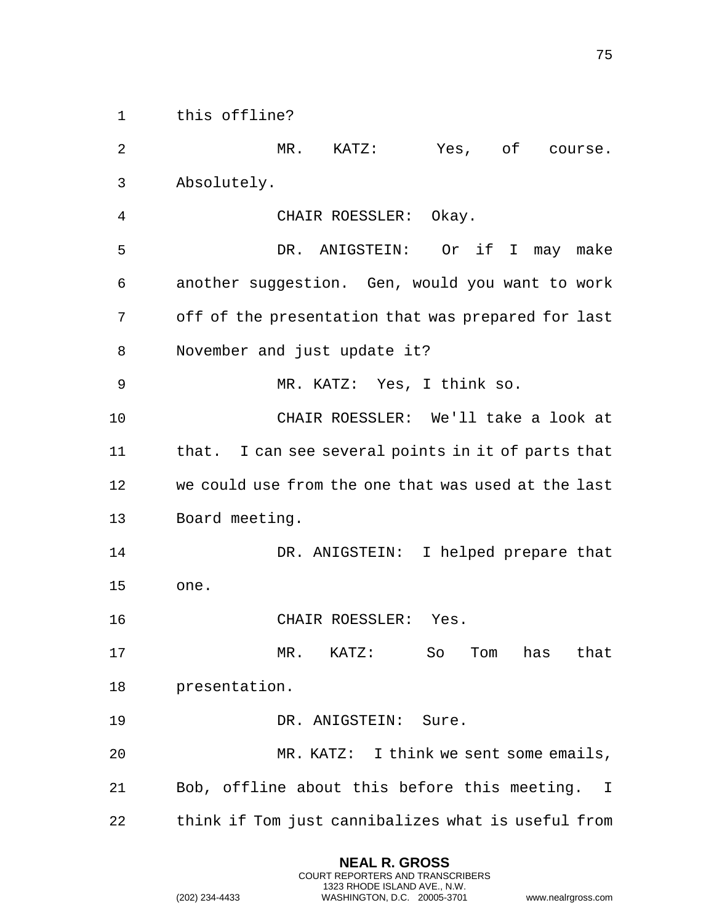1 this offline?

2 MR. KATZ: Yes, of course. 3 Absolutely. 4 CHAIR ROESSLER: Okay. 5 DR. ANIGSTEIN: Or if I may make 6 another suggestion. Gen, would you want to work 7 off of the presentation that was prepared for last 8 November and just update it? 9 MR. KATZ: Yes, I think so. 10 CHAIR ROESSLER: We'll take a look at 11 that. I can see several points in it of parts that 12 we could use from the one that was used at the last 13 Board meeting. 14 DR. ANIGSTEIN: I helped prepare that 15 one. 16 CHAIR ROESSLER: Yes. 17 MR. KATZ: So Tom has that 18 presentation. 19 DR. ANIGSTEIN: Sure. 20 MR. KATZ: I think we sent some emails, 21 Bob, offline about this before this meeting. I 22 think if Tom just cannibalizes what is useful from

> **NEAL R. GROSS** COURT REPORTERS AND TRANSCRIBERS 1323 RHODE ISLAND AVE., N.W.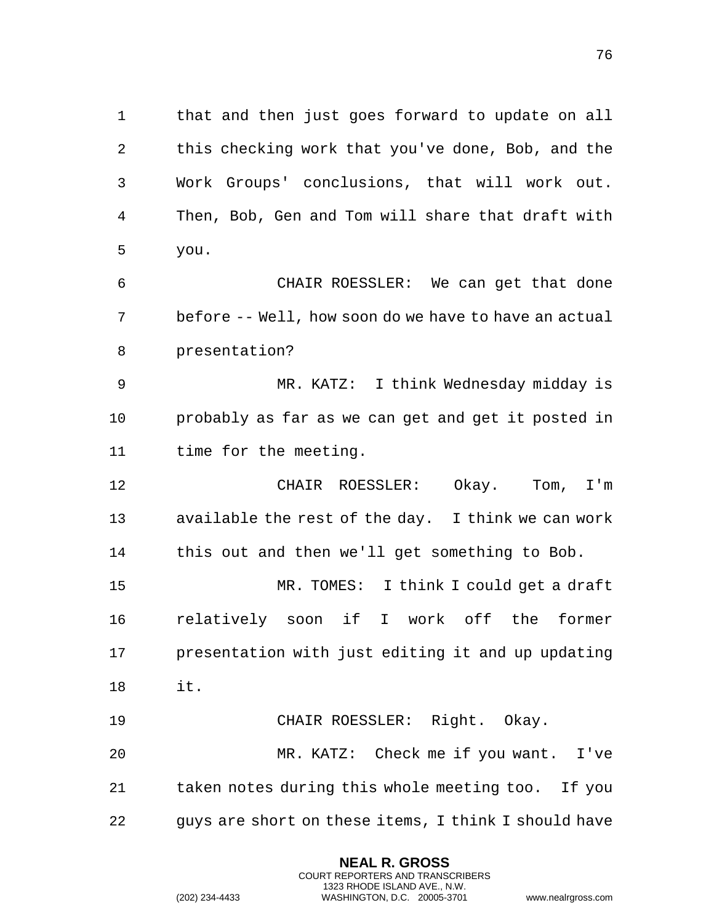that and then just goes forward to update on all this checking work that you've done, Bob, and the Work Groups' conclusions, that will work out. Then, Bob, Gen and Tom will share that draft with you.

 CHAIR ROESSLER: We can get that done before -- Well, how soon do we have to have an actual presentation?

 MR. KATZ: I think Wednesday midday is probably as far as we can get and get it posted in time for the meeting.

 CHAIR ROESSLER: Okay. Tom, I'm available the rest of the day. I think we can work this out and then we'll get something to Bob.

 MR. TOMES: I think I could get a draft relatively soon if I work off the former presentation with just editing it and up updating it.

 CHAIR ROESSLER: Right. Okay. MR. KATZ: Check me if you want. I've taken notes during this whole meeting too. If you guys are short on these items, I think I should have

> **NEAL R. GROSS** COURT REPORTERS AND TRANSCRIBERS 1323 RHODE ISLAND AVE., N.W.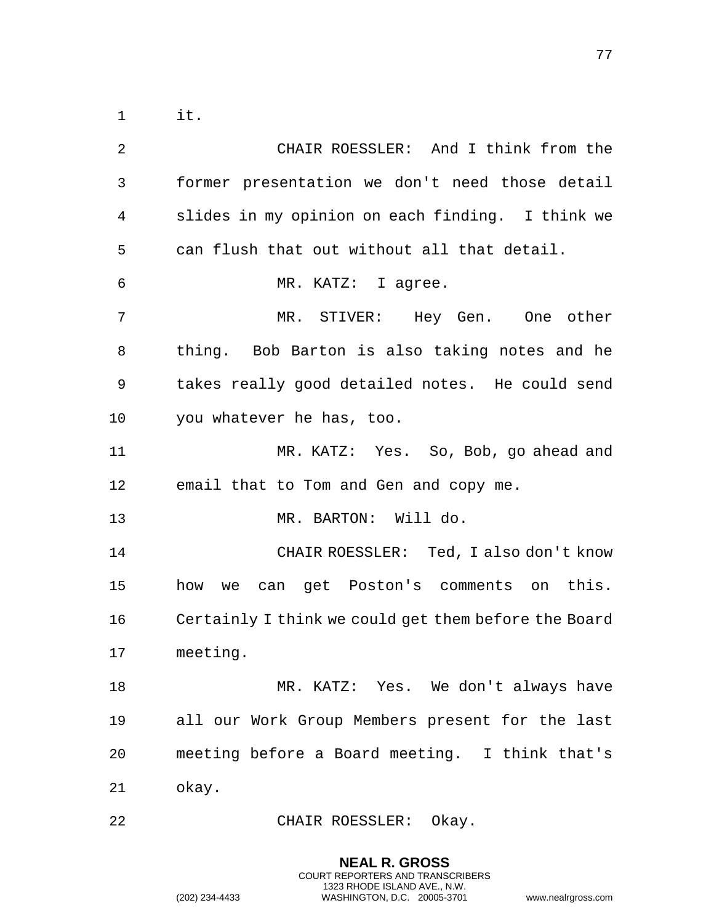1 it.

2 CHAIR ROESSLER: And I think from the 3 former presentation we don't need those detail 4 slides in my opinion on each finding. I think we 5 can flush that out without all that detail. 6 MR. KATZ: I agree. 7 MR. STIVER: Hey Gen. One other 8 thing. Bob Barton is also taking notes and he 9 takes really good detailed notes. He could send 10 you whatever he has, too. 11 MR. KATZ: Yes. So, Bob, go ahead and 12 email that to Tom and Gen and copy me. 13 MR. BARTON: Will do. 14 CHAIR ROESSLER: Ted, I also don't know 15 how we can get Poston's comments on this. 16 Certainly I think we could get them before the Board 17 meeting. 18 MR. KATZ: Yes. We don't always have 19 all our Work Group Members present for the last 20 meeting before a Board meeting. I think that's 21 okay.

22 CHAIR ROESSLER: Okay.

**NEAL R. GROSS** COURT REPORTERS AND TRANSCRIBERS 1323 RHODE ISLAND AVE., N.W.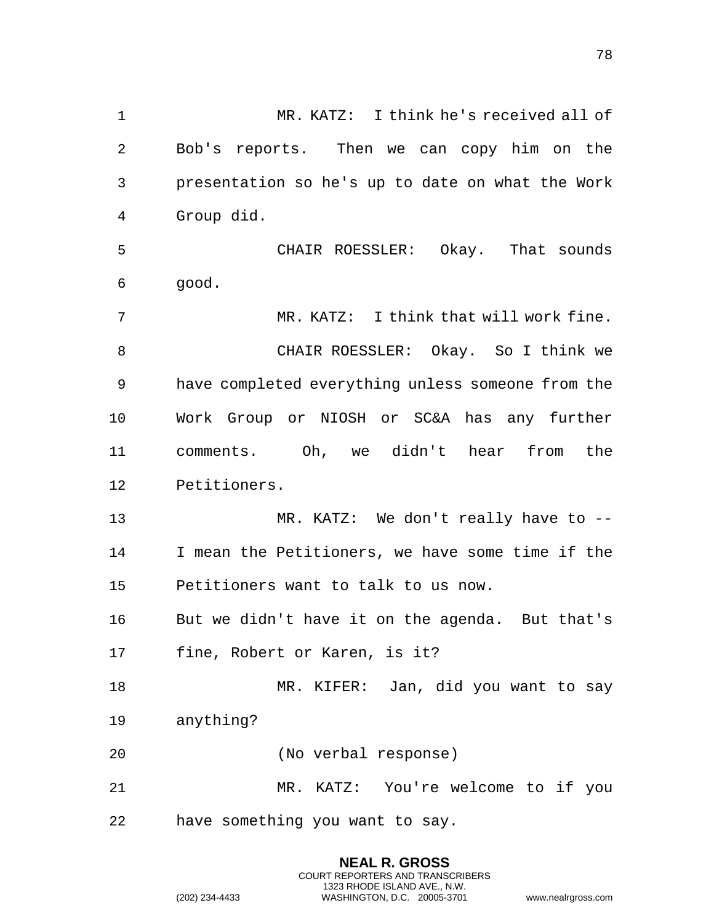1 MR. KATZ: I think he's received all of 2 Bob's reports. Then we can copy him on the 3 presentation so he's up to date on what the Work 4 Group did. 5 CHAIR ROESSLER: Okay. That sounds 6 good. 7 MR. KATZ: I think that will work fine. 8 CHAIR ROESSLER: Okay. So I think we 9 have completed everything unless someone from the 10 Work Group or NIOSH or SC&A has any further 11 comments. Oh, we didn't hear from the 12 Petitioners. 13 MR. KATZ: We don't really have to --14 I mean the Petitioners, we have some time if the 15 Petitioners want to talk to us now. 16 But we didn't have it on the agenda. But that's 17 fine, Robert or Karen, is it? 18 MR. KIFER: Jan, did you want to say 19 anything? 20 (No verbal response) 21 MR. KATZ: You're welcome to if you 22 have something you want to say.

> **NEAL R. GROSS** COURT REPORTERS AND TRANSCRIBERS 1323 RHODE ISLAND AVE., N.W.

(202) 234-4433 WASHINGTON, D.C. 20005-3701 www.nealrgross.com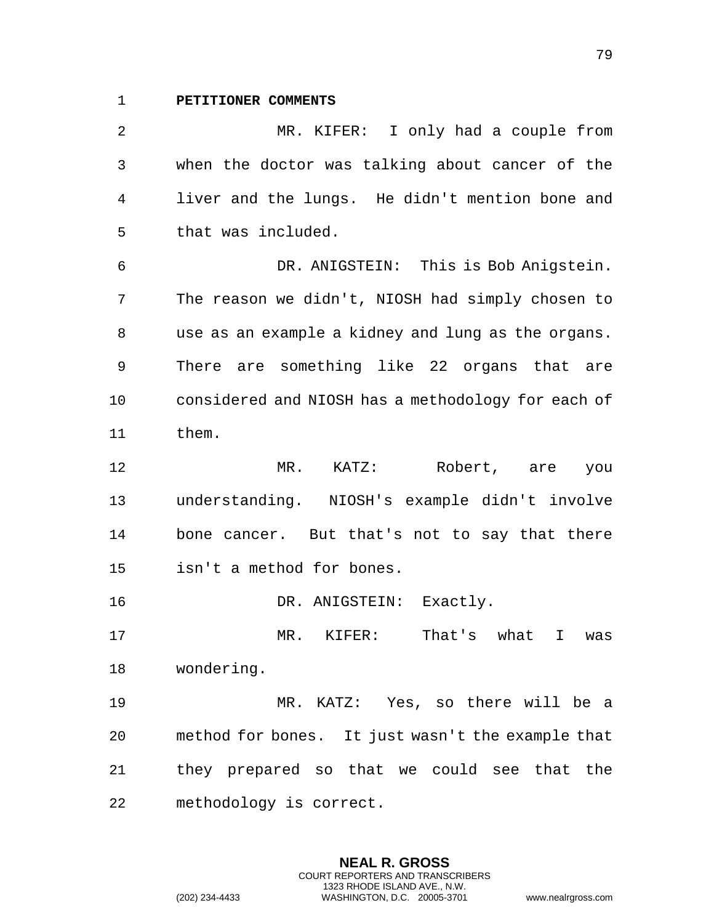**PETITIONER COMMENTS**

 MR. KIFER: I only had a couple from when the doctor was talking about cancer of the liver and the lungs. He didn't mention bone and that was included. DR. ANIGSTEIN: This is Bob Anigstein. The reason we didn't, NIOSH had simply chosen to use as an example a kidney and lung as the organs. There are something like 22 organs that are considered and NIOSH has a methodology for each of them. 12 MR. KATZ: Robert, are you understanding. NIOSH's example didn't involve bone cancer. But that's not to say that there isn't a method for bones. 16 DR. ANIGSTEIN: Exactly. MR. KIFER: That's what I was wondering. MR. KATZ: Yes, so there will be a method for bones. It just wasn't the example that they prepared so that we could see that the

> **NEAL R. GROSS** COURT REPORTERS AND TRANSCRIBERS 1323 RHODE ISLAND AVE., N.W.

methodology is correct.

(202) 234-4433 WASHINGTON, D.C. 20005-3701 www.nealrgross.com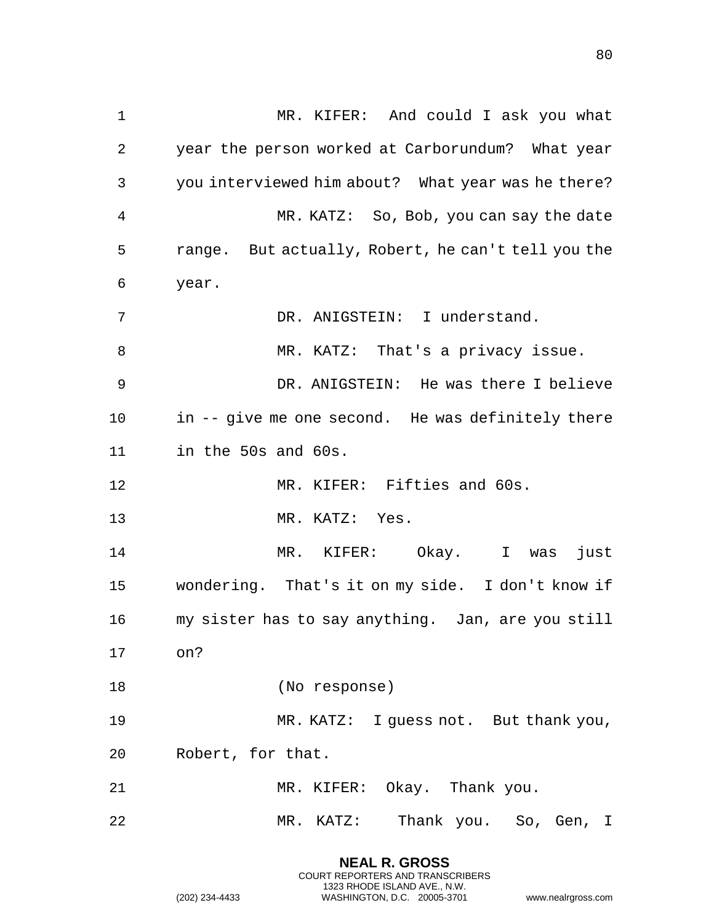| $\mathbf 1$ | MR. KIFER: And could I ask you what                |
|-------------|----------------------------------------------------|
| 2           | year the person worked at Carborundum? What year   |
| 3           | you interviewed him about? What year was he there? |
| 4           | MR. KATZ: So, Bob, you can say the date            |
| 5           | range. But actually, Robert, he can't tell you the |
| 6           | year.                                              |
| 7           | DR. ANIGSTEIN: I understand.                       |
| 8           | MR. KATZ: That's a privacy issue.                  |
| 9           | DR. ANIGSTEIN: He was there I believe              |
| 10          | in -- give me one second. He was definitely there  |
| 11          | in the 50s and 60s.                                |
| 12          | MR. KIFER: Fifties and 60s.                        |
|             |                                                    |
| 13          | MR. KATZ: Yes.                                     |
| 14          | MR. KIFER: Okay. I was<br>just                     |
| 15          | wondering. That's it on my side. I don't know if   |
| 16          | my sister has to say anything. Jan, are you still  |
| 17          | on?                                                |
| 18          | (No response)                                      |
| 19          | MR. KATZ: I guess not. But thank you,              |
| 20          | Robert, for that.                                  |
| 21          | MR. KIFER: Okay. Thank you.                        |

**NEAL R. GROSS** COURT REPORTERS AND TRANSCRIBERS 1323 RHODE ISLAND AVE., N.W.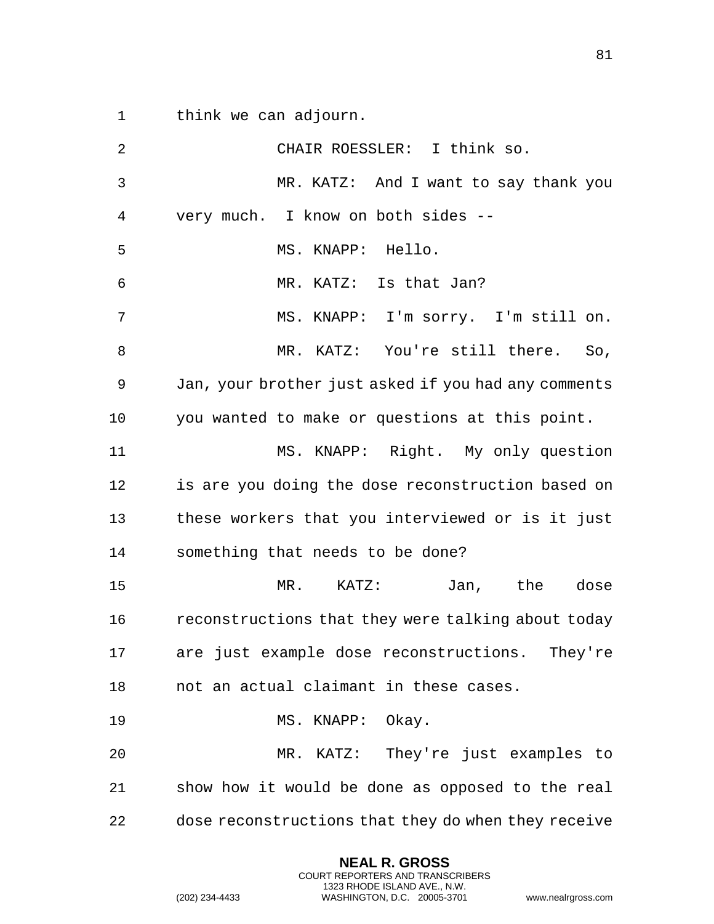1 think we can adjourn.

2 CHAIR ROESSLER: I think so. 3 MR. KATZ: And I want to say thank you 4 very much. I know on both sides -- 5 MS. KNAPP: Hello. 6 MR. KATZ: Is that Jan? 7 MS. KNAPP: I'm sorry. I'm still on. 8 MR. KATZ: You're still there. So, 9 Jan, your brother just asked if you had any comments 10 you wanted to make or questions at this point. 11 MS. KNAPP: Right. My only question 12 is are you doing the dose reconstruction based on 13 these workers that you interviewed or is it just 14 something that needs to be done? 15 MR. KATZ: Jan, the dose 16 reconstructions that they were talking about today 17 are just example dose reconstructions. They're 18 not an actual claimant in these cases. 19 MS. KNAPP: Okay. 20 MR. KATZ: They're just examples to 21 show how it would be done as opposed to the real 22 dose reconstructions that they do when they receive

> **NEAL R. GROSS** COURT REPORTERS AND TRANSCRIBERS 1323 RHODE ISLAND AVE., N.W.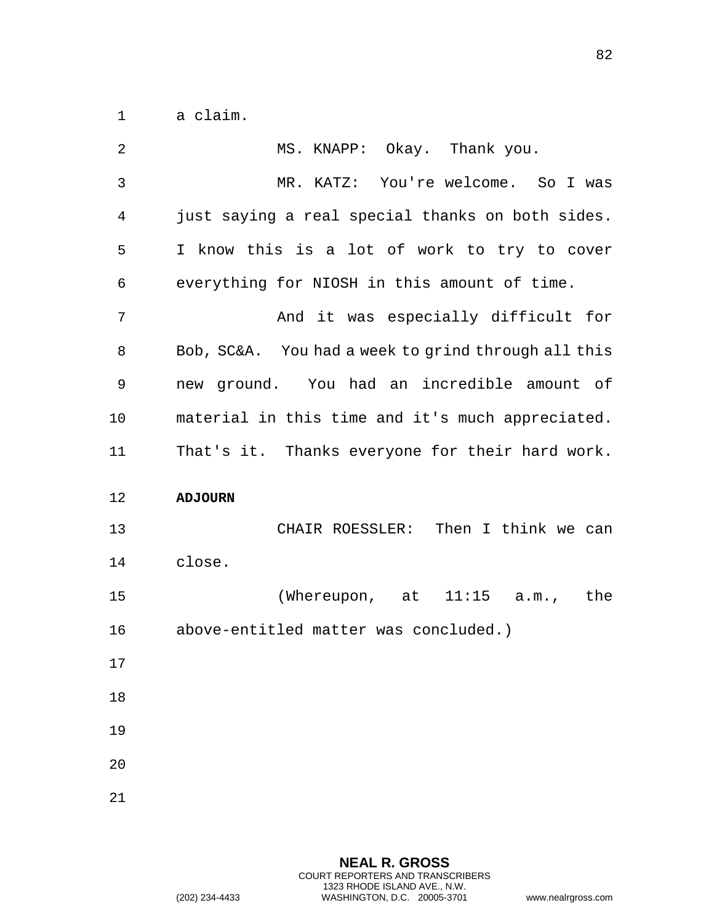1 a claim.

| $\overline{2}$ | MS. KNAPP: Okay. Thank you.                         |
|----------------|-----------------------------------------------------|
| 3              | MR. KATZ: You're welcome. So I was                  |
| 4              | just saying a real special thanks on both sides.    |
| 5              | I know this is a lot of work to try to cover        |
| 6              | everything for NIOSH in this amount of time.        |
| 7              | And it was especially difficult for                 |
| 8              | Bob, SC&A. You had a week to grind through all this |
| 9              | new ground. You had an incredible amount of         |
| 10             | material in this time and it's much appreciated.    |
| 11             | That's it. Thanks everyone for their hard work.     |
|                |                                                     |
| 12             | <b>ADJOURN</b>                                      |
| 13             | CHAIR ROESSLER: Then I think we can                 |
| 14             | close.                                              |
| 15             | (Whereupon, at $11:15$ a.m.,<br>the                 |
| 16             | above-entitled matter was concluded.)               |
|                |                                                     |
| 18             |                                                     |
| 17<br>19       |                                                     |
| 20             |                                                     |